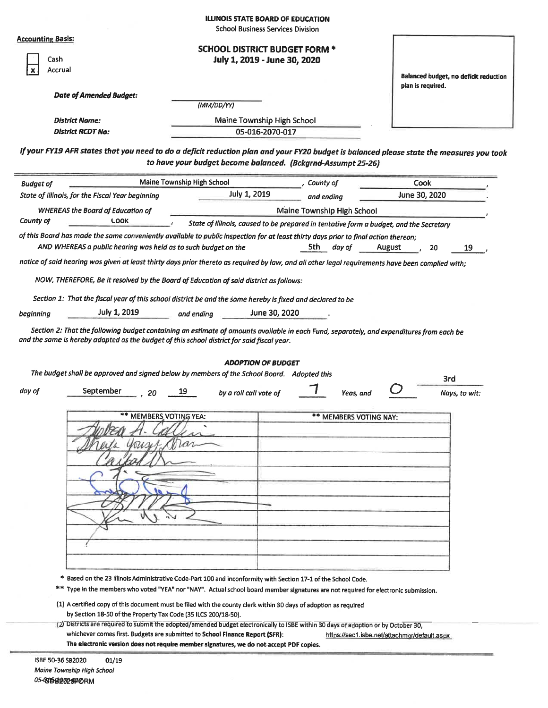|                                                                                                                                     |                                                                                                                                                                                                                                                                                                                |                                                              | ILLINOIS STATE BOARD OF EDUCATION                                    |                            |                                                                                                                                                   |  |
|-------------------------------------------------------------------------------------------------------------------------------------|----------------------------------------------------------------------------------------------------------------------------------------------------------------------------------------------------------------------------------------------------------------------------------------------------------------|--------------------------------------------------------------|----------------------------------------------------------------------|----------------------------|---------------------------------------------------------------------------------------------------------------------------------------------------|--|
| <b>Accounting Basis:</b>                                                                                                            |                                                                                                                                                                                                                                                                                                                |                                                              | <b>School Business Services Division</b>                             |                            |                                                                                                                                                   |  |
| Cash<br>Accrual                                                                                                                     |                                                                                                                                                                                                                                                                                                                |                                                              | <b>SCHOOL DISTRICT BUDGET FORM *</b><br>July 1, 2019 - June 30, 2020 |                            |                                                                                                                                                   |  |
|                                                                                                                                     | <b>Date of Amended Budget:</b>                                                                                                                                                                                                                                                                                 |                                                              |                                                                      |                            | Balanced budget, no deficit reduction<br>plan is required.                                                                                        |  |
|                                                                                                                                     |                                                                                                                                                                                                                                                                                                                | (MM/DD/YY)                                                   |                                                                      |                            |                                                                                                                                                   |  |
| <b>District Name:</b>                                                                                                               |                                                                                                                                                                                                                                                                                                                |                                                              | Maine Township High School                                           |                            |                                                                                                                                                   |  |
| <b>District RCDT No:</b>                                                                                                            |                                                                                                                                                                                                                                                                                                                |                                                              | 05-016-2070-017                                                      |                            |                                                                                                                                                   |  |
|                                                                                                                                     |                                                                                                                                                                                                                                                                                                                | to have your budget become balanced. (Bckgrnd-Assumpt 25-26) |                                                                      |                            | If your FY19 AFR states that you need to do a deficit reduction plan and your FY20 budget is balanced please state the measures you took          |  |
| <b>Budget of</b>                                                                                                                    |                                                                                                                                                                                                                                                                                                                | Maine Township High School                                   |                                                                      | , County of                | Cook                                                                                                                                              |  |
| State of Illinois, for the Fiscal Year beginning                                                                                    |                                                                                                                                                                                                                                                                                                                |                                                              | July 1, 2019                                                         | and endina                 | June 30, 2020                                                                                                                                     |  |
|                                                                                                                                     | <b>WHEREAS the Board of Education of</b>                                                                                                                                                                                                                                                                       |                                                              |                                                                      | Maine Township High School |                                                                                                                                                   |  |
| County of                                                                                                                           | <b>LOOK</b>                                                                                                                                                                                                                                                                                                    |                                                              |                                                                      |                            | State of Illinois, caused to be prepared in tentative form a budget, and the Secretary                                                            |  |
| of this Board has made the same conveniently available to public inspection for at least thirty days prior to final action thereon; | AND WHEREAS a public hearing was held as to such budget on the                                                                                                                                                                                                                                                 |                                                              |                                                                      | 5th day of                 | August<br>20<br>19                                                                                                                                |  |
|                                                                                                                                     |                                                                                                                                                                                                                                                                                                                |                                                              |                                                                      |                            | notice of said hearing was given at least thirty days prior thereto as required by law, and all other legal requirements have been complied with; |  |
|                                                                                                                                     |                                                                                                                                                                                                                                                                                                                |                                                              |                                                                      |                            |                                                                                                                                                   |  |
|                                                                                                                                     | NOW, THEREFORE, Be it resolved by the Board of Education of said district as follows:                                                                                                                                                                                                                          |                                                              |                                                                      |                            |                                                                                                                                                   |  |
|                                                                                                                                     | Section 1: That the fiscal year of this school district be and the same hereby is fixed and declared to be                                                                                                                                                                                                     |                                                              |                                                                      |                            |                                                                                                                                                   |  |
| beginning                                                                                                                           | July 1, 2019                                                                                                                                                                                                                                                                                                   | and endina                                                   | June 30, 2020                                                        |                            |                                                                                                                                                   |  |
| and the same is hereby adopted as the budget of this school district for said fiscal year.                                          |                                                                                                                                                                                                                                                                                                                |                                                              |                                                                      |                            | Section 2: That the following budget containing an estimate of amounts available in each Fund, separately, and expenditures from each be          |  |
|                                                                                                                                     |                                                                                                                                                                                                                                                                                                                |                                                              | <b>ADOPTION OF BUDGET</b>                                            |                            |                                                                                                                                                   |  |
|                                                                                                                                     | The budget shall be approved and signed below by members of the School Board. Adopted this                                                                                                                                                                                                                     |                                                              |                                                                      |                            | 3rd                                                                                                                                               |  |
| day of                                                                                                                              | September<br>20                                                                                                                                                                                                                                                                                                | 19                                                           | by a roll call vote of                                               | Yeas. and                  | Nays, to wit:                                                                                                                                     |  |
|                                                                                                                                     | ** MEMBERS VOTING YEA:                                                                                                                                                                                                                                                                                         |                                                              |                                                                      | <b>MEMBERS VOTING NAY:</b> |                                                                                                                                                   |  |
|                                                                                                                                     |                                                                                                                                                                                                                                                                                                                |                                                              |                                                                      |                            |                                                                                                                                                   |  |
|                                                                                                                                     |                                                                                                                                                                                                                                                                                                                |                                                              |                                                                      |                            |                                                                                                                                                   |  |
|                                                                                                                                     |                                                                                                                                                                                                                                                                                                                |                                                              |                                                                      |                            |                                                                                                                                                   |  |
|                                                                                                                                     |                                                                                                                                                                                                                                                                                                                |                                                              |                                                                      |                            |                                                                                                                                                   |  |
|                                                                                                                                     |                                                                                                                                                                                                                                                                                                                |                                                              |                                                                      |                            |                                                                                                                                                   |  |
|                                                                                                                                     |                                                                                                                                                                                                                                                                                                                |                                                              |                                                                      |                            |                                                                                                                                                   |  |
| **                                                                                                                                  | * Based on the 23 Illinois Administrative Code-Part 100 and inconformity with Section 17-1 of the School Code.                                                                                                                                                                                                 |                                                              |                                                                      |                            | Type in the members who voted "YEA" nor "NAY". Actual school board member signatures are not required for electronic submission.                  |  |
|                                                                                                                                     | (1) A certified copy of this document must be filed with the county clerk within 30 days of adoption as required<br>by Section 18-50 of the Property Tax Code (35 ILCS 200/18-50).                                                                                                                             |                                                              |                                                                      |                            |                                                                                                                                                   |  |
|                                                                                                                                     | (2) Districts are required to submit the adopted/amended budget electronically to ISBE within 30 days of adoption or by October 30,<br>whichever comes first. Budgets are submitted to School Finance Report (SFR):<br>The electronic version does not require member signatures, we do not accept PDF copies. |                                                              |                                                                      |                            | https://sec1.isbe.net/attachmgr/default.aspx                                                                                                      |  |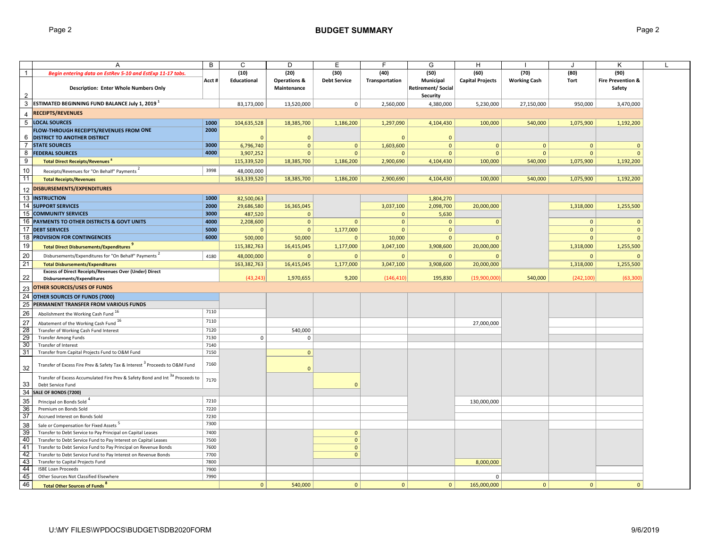|                 | A                                                                                                             | B     | C              | D                       | Ε                   | F              | G                                           | н                       |                     |                | Κ                            |  |
|-----------------|---------------------------------------------------------------------------------------------------------------|-------|----------------|-------------------------|---------------------|----------------|---------------------------------------------|-------------------------|---------------------|----------------|------------------------------|--|
| $\overline{1}$  | Begin entering data on EstRev 5-10 and EstExp 11-17 tabs.                                                     |       | (10)           | (20)                    | (30)                | (40)           | (50)                                        | (60)                    | (70)                | (80)           | (90)                         |  |
|                 |                                                                                                               | Acct# | Educational    | <b>Operations &amp;</b> | <b>Debt Service</b> | Transportation | Municipal                                   | <b>Capital Projects</b> | <b>Working Cash</b> | Tort           | <b>Fire Prevention &amp;</b> |  |
|                 | <b>Description: Enter Whole Numbers Only</b>                                                                  |       |                | Maintenance             |                     |                | <b>Retirement/Social</b><br><b>Security</b> |                         |                     |                | Safety                       |  |
| 3               | ESTIMATED BEGINNING FUND BALANCE July 1, 2019 <sup>1</sup>                                                    |       | 83,173,000     | 13,520,000              | $\mathbf{0}$        | 2,560,000      | 4,380,000                                   | 5,230,000               | 27,150,000          | 950,000        | 3,470,000                    |  |
|                 | <b>RECEIPTS/REVENUES</b>                                                                                      |       |                |                         |                     |                |                                             |                         |                     |                |                              |  |
| $5\phantom{.0}$ | <b>LOCAL SOURCES</b>                                                                                          | 1000  | 104,635,528    | 18,385,700              | 1,186,200           | 1,297,090      | 4,104,430                                   | 100,000                 | 540,000             | 1,075,900      | 1,192,200                    |  |
|                 | FLOW-THROUGH RECEIPTS/REVENUES FROM ONE                                                                       | 2000  |                |                         |                     |                |                                             |                         |                     |                |                              |  |
| 6               | <b>DISTRICT TO ANOTHER DISTRICT</b>                                                                           |       |                | $\overline{0}$          |                     | $\Omega$       | $\mathbf{0}$                                |                         |                     |                |                              |  |
| $\overline{7}$  | <b>STATE SOURCES</b>                                                                                          | 3000  | 6,796,740      | $\mathbf{0}$            | $\mathbf{0}$        | 1,603,600      | $\mathbf{0}$                                | $\mathbf{0}$            | $\mathbf{0}$        | $\mathbf{0}$   | $\Omega$                     |  |
| 8               | <b>FEDERAL SOURCES</b>                                                                                        | 4000  | 3,907,252      | $\overline{0}$          | $\mathbf{0}$        |                | $\mathbf{0}$                                | $\mathbf 0$             | $\mathbf{0}$        | $\overline{0}$ |                              |  |
| 9               | <b>Total Direct Receipts/Revenues</b> <sup>8</sup>                                                            |       | 115,339,520    | 18,385,700              | 1,186,200           | 2,900,690      | 4,104,430                                   | 100,000                 | 540,000             | 1,075,900      | 1,192,200                    |  |
| 10              | Receipts/Revenues for "On Behalf" Payments                                                                    | 3998  | 48,000,000     |                         |                     |                |                                             |                         |                     |                |                              |  |
| 11              | <b>Total Receipts/Revenues</b>                                                                                |       | 163,339,520    | 18,385,700              | 1,186,200           | 2,900,690      | 4,104,430                                   | 100,000                 | 540,000             | 1,075,900      | 1,192,200                    |  |
|                 | 12 DISBURSEMENTS/EXPENDITURES                                                                                 |       |                |                         |                     |                |                                             |                         |                     |                |                              |  |
|                 | <b>13 INSTRUCTION</b>                                                                                         | 1000  | 82,500,063     |                         |                     |                | 1,804,270                                   |                         |                     |                |                              |  |
|                 | 14 SUPPORT SERVICES                                                                                           | 2000  | 29,686,580     | 16,365,045              |                     | 3,037,100      | 2,098,700                                   | 20,000,000              |                     | 1,318,000      | 1,255,500                    |  |
|                 | 15 COMMUNITY SERVICES                                                                                         | 3000  | 487,520        | $\Omega$                |                     | $\mathbf{0}$   | 5,630                                       |                         |                     |                |                              |  |
|                 | 16 PAYMENTS TO OTHER DISTRICTS & GOVT UNITS                                                                   | 4000  | 2,208,600      | $\mathbf 0$             | $\mathbf{0}$        | $\mathbf 0$    | $\mathbf{0}$                                | $\pmb{0}$               |                     | $\mathbf 0$    | $\mathbf{0}$                 |  |
|                 | 17 DEBT SERVICES                                                                                              | 5000  | $\mathbf{0}$   | $\mathbf{0}$            | 1,177,000           | $\mathbf{0}$   | $\mathbf{0}$                                |                         |                     | $\mathbf{0}$   | $\mathbf{0}$                 |  |
|                 | <b>18 PROVISION FOR CONTINGENCIES</b>                                                                         | 6000  | 500,000        | 50,000                  | $\mathbf{0}$        | 10,000         | $\mathbf{0}$                                | $\mathbf 0$             |                     | $\mathbf{0}$   | $\mathbf 0$                  |  |
| 19              | Total Direct Disbursements/Expenditures                                                                       |       | 115,382,763    | 16,415,045              | 1,177,000           | 3,047,100      | 3,908,600                                   | 20,000,000              |                     | 1,318,000      | 1,255,500                    |  |
| 20              | Disbursements/Expenditures for "On Behalf" Payments                                                           | 4180  | 48,000,000     | $\mathbf{0}$            | $\mathbf{0}$        | $\Omega$       | $\mathbf{0}$                                | $\Omega$                |                     | $\Omega$       |                              |  |
| 21              | <b>Total Disbursements/Expenditures</b>                                                                       |       | 163,382,763    | 16,415,045              | 1,177,000           | 3,047,100      | 3,908,600                                   | 20,000,000              |                     | 1,318,000      | 1,255,500                    |  |
|                 | <b>Excess of Direct Receipts/Revenues Over (Under) Direct</b>                                                 |       |                |                         |                     |                |                                             |                         |                     |                |                              |  |
| 22              | <b>Disbursements/Expenditures</b>                                                                             |       | (43, 243)      | 1,970,655               | 9,200               | (146, 410)     | 195,830                                     | (19,900,000)            | 540,000             | (242, 100)     | (63, 300)                    |  |
|                 | 23 OTHER SOURCES/USES OF FUNDS                                                                                |       |                |                         |                     |                |                                             |                         |                     |                |                              |  |
|                 | 24 OTHER SOURCES OF FUNDS (7000)                                                                              |       |                |                         |                     |                |                                             |                         |                     |                |                              |  |
| 25              | PERMANENT TRANSFER FROM VARIOUS FUNDS                                                                         |       |                |                         |                     |                |                                             |                         |                     |                |                              |  |
| 26              | Abolishment the Working Cash Fund 16                                                                          | 7110  |                |                         |                     |                |                                             |                         |                     |                |                              |  |
| $\overline{27}$ | Abatement of the Working Cash Fund 16                                                                         | 7110  |                |                         |                     |                |                                             | 27,000,000              |                     |                |                              |  |
| 28              | Transfer of Working Cash Fund Interest                                                                        | 7120  |                | 540,000                 |                     |                |                                             |                         |                     |                |                              |  |
| 29              | <b>Transfer Among Funds</b>                                                                                   | 7130  | 0 <sup>1</sup> | $\mathbf 0$             |                     |                |                                             |                         |                     |                |                              |  |
| 30              | Transfer of Interest                                                                                          | 7140  |                |                         |                     |                |                                             |                         |                     |                |                              |  |
| 31              | Transfer from Capital Projects Fund to O&M Fund                                                               | 7150  |                | $\mathbf{0}$            |                     |                |                                             |                         |                     |                |                              |  |
| 32              | Transfer of Excess Fire Prev & Safety Tax & Interest <sup>3</sup> Proceeds to O&M Fund                        | 7160  |                | $\Omega$                |                     |                |                                             |                         |                     |                |                              |  |
| 33              | Transfer of Excess Accumulated Fire Prev & Safety Bond and Int <sup>3a</sup> Proceeds to<br>Debt Service Fund | 7170  |                |                         | $\Omega$            |                |                                             |                         |                     |                |                              |  |
| 34              | SALE OF BONDS (7200)                                                                                          |       |                |                         |                     |                |                                             |                         |                     |                |                              |  |
| $35\,$          | Principal on Bonds Sold                                                                                       | 7210  |                |                         |                     |                |                                             | 130,000,000             |                     |                |                              |  |
| 36              | Premium on Bonds Sold                                                                                         | 7220  |                |                         |                     |                |                                             |                         |                     |                |                              |  |
| 37              | Accrued Interest on Bonds Sold                                                                                | 7230  |                |                         |                     |                |                                             |                         |                     |                |                              |  |
| 38              | Sale or Compensation for Fixed Assets <sup>5</sup>                                                            | 7300  |                |                         |                     |                |                                             |                         |                     |                |                              |  |
| 39              | Transfer to Debt Service to Pay Principal on Capital Leases                                                   | 7400  |                |                         | $\mathbf{0}$        |                |                                             |                         |                     |                |                              |  |
| 40              | Transfer to Debt Service Fund to Pay Interest on Capital Leases                                               | 7500  |                |                         | $\mathbf{0}$        |                |                                             |                         |                     |                |                              |  |
| 41              | Transfer to Debt Service Fund to Pay Principal on Revenue Bonds                                               | 7600  |                |                         | $\mathbf{0}$        |                |                                             |                         |                     |                |                              |  |
| 42              | Transfer to Debt Service Fund to Pay Interest on Revenue Bonds                                                | 7700  |                |                         | $\Omega$            |                |                                             |                         |                     |                |                              |  |
| 43              | Transfer to Capital Projects Fund                                                                             | 7800  |                |                         |                     |                |                                             | 8,000,000               |                     |                |                              |  |
| 44              | <b>ISBE Loan Proceeds</b>                                                                                     | 7900  |                |                         |                     |                |                                             |                         |                     |                |                              |  |
| 45              | Other Sources Not Classified Elsewhere                                                                        | 7990  |                |                         |                     |                |                                             | $\mathbf 0$             |                     |                |                              |  |
| 46              | <b>Total Other Sources of Funds<sup>8</sup></b>                                                               |       | $\mathbf{0}$   | 540.000                 | $\mathbf{0}$        | $\mathbf{0}$   | $\overline{0}$                              | 165,000,000             | $\overline{0}$      | $\mathbf{0}$   | $\mathbf{0}$                 |  |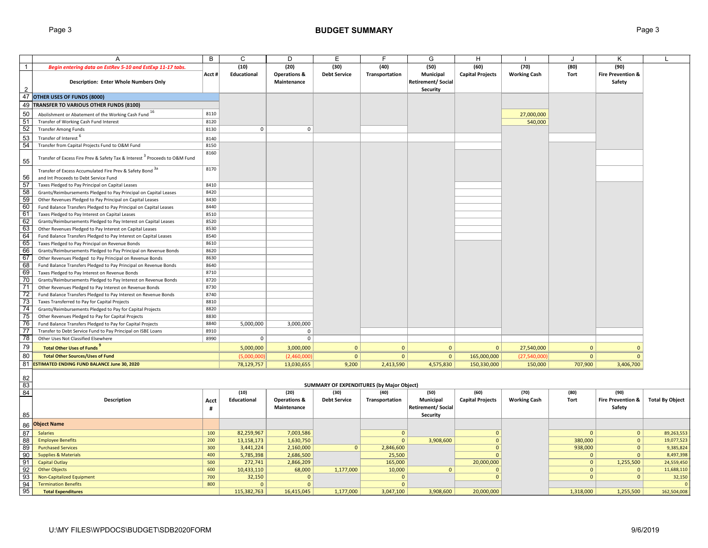|                                                                                                                                       | A                                                                                                                          | B            | C            | D                                      | Е                                                | F              | G                                          | H                       |                       | $\cdot$      | K                                      |                        |
|---------------------------------------------------------------------------------------------------------------------------------------|----------------------------------------------------------------------------------------------------------------------------|--------------|--------------|----------------------------------------|--------------------------------------------------|----------------|--------------------------------------------|-------------------------|-----------------------|--------------|----------------------------------------|------------------------|
| $\overline{1}$                                                                                                                        | Begin entering data on EstRev 5-10 and EstExp 11-17 tabs.                                                                  |              | (10)         | (20)                                   | (30)                                             | (40)           | (50)                                       | (60)                    | (70)                  | (80)         | (90)                                   |                        |
| 2                                                                                                                                     | Description: Enter Whole Numbers Only                                                                                      | Acct#        | Educational  | <b>Operations &amp;</b><br>Maintenance | <b>Debt Service</b>                              | Transportation | Municipal<br>Retirement/Social<br>Security | <b>Capital Projects</b> | <b>Working Cash</b>   | Tort         | <b>Fire Prevention &amp;</b><br>Safety |                        |
|                                                                                                                                       | 47 OTHER USES OF FUNDS (8000)                                                                                              |              |              |                                        |                                                  |                |                                            |                         |                       |              |                                        |                        |
|                                                                                                                                       | 49 TRANSFER TO VARIOUS OTHER FUNDS (8100)                                                                                  |              |              |                                        |                                                  |                |                                            |                         |                       |              |                                        |                        |
| 50                                                                                                                                    |                                                                                                                            | 8110         |              |                                        |                                                  |                |                                            |                         |                       |              |                                        |                        |
|                                                                                                                                       | Abolishment or Abatement of the Working Cash Fund 1b<br>Transfer of Working Cash Fund Interest                             | 8120         |              |                                        |                                                  |                |                                            |                         | 27,000,000<br>540,000 |              |                                        |                        |
| $\frac{51}{52}$                                                                                                                       | <b>Transfer Among Funds</b>                                                                                                | 8130         | $\mathsf 0$  | $\mathbf 0$                            |                                                  |                |                                            |                         |                       |              |                                        |                        |
|                                                                                                                                       |                                                                                                                            |              |              |                                        |                                                  |                |                                            |                         |                       |              |                                        |                        |
| 53                                                                                                                                    | Transfer of Interest <sup>o</sup>                                                                                          | 8140         |              |                                        |                                                  |                |                                            |                         |                       |              |                                        |                        |
| 54                                                                                                                                    | Transfer from Capital Projects Fund to O&M Fund                                                                            | 8150         |              |                                        |                                                  |                |                                            |                         |                       |              |                                        |                        |
| 55                                                                                                                                    | Transfer of Excess Fire Prev & Safety Tax & Interest <sup>3</sup> Proceeds to O&M Fund                                     | 8160         |              |                                        |                                                  |                |                                            |                         |                       |              |                                        |                        |
|                                                                                                                                       | Transfer of Excess Accumulated Fire Prev & Safety Bond 3a                                                                  | 8170         |              |                                        |                                                  |                |                                            |                         |                       |              |                                        |                        |
| 56                                                                                                                                    | and Int Proceeds to Debt Service Fund                                                                                      |              |              |                                        |                                                  |                |                                            |                         |                       |              |                                        |                        |
| 57                                                                                                                                    | Taxes Pledged to Pay Principal on Capital Leases                                                                           | 8410         |              |                                        |                                                  |                |                                            |                         |                       |              |                                        |                        |
| $\begin{array}{r}\n 58 \\  \hline\n 59 \\  \hline\n 60 \\  \hline\n 61 \\  \hline\n 62 \\  \hline\n 63 \\  \hline\n 64\n \end{array}$ | Grants/Reimbursements Pledged to Pay Principal on Capital Leases                                                           | 8420         |              |                                        |                                                  |                |                                            |                         |                       |              |                                        |                        |
|                                                                                                                                       | Other Revenues Pledged to Pay Principal on Capital Leases                                                                  | 8430         |              |                                        |                                                  |                |                                            |                         |                       |              |                                        |                        |
|                                                                                                                                       | Fund Balance Transfers Pledged to Pay Principal on Capital Leases                                                          | 8440         |              |                                        |                                                  |                |                                            |                         |                       |              |                                        |                        |
|                                                                                                                                       | Taxes Pledged to Pay Interest on Capital Leases                                                                            | 8510         |              |                                        |                                                  |                |                                            |                         |                       |              |                                        |                        |
|                                                                                                                                       | Grants/Reimbursements Pledged to Pay Interest on Capital Leases                                                            | 8520         |              |                                        |                                                  |                |                                            |                         |                       |              |                                        |                        |
|                                                                                                                                       | Other Revenues Pledged to Pay Interest on Capital Leases                                                                   | 8530         |              |                                        |                                                  |                |                                            |                         |                       |              |                                        |                        |
|                                                                                                                                       | Fund Balance Transfers Pledged to Pay Interest on Capital Leases                                                           | 8540         |              |                                        |                                                  |                |                                            |                         |                       |              |                                        |                        |
| 65                                                                                                                                    | Taxes Pledged to Pay Principal on Revenue Bonds                                                                            | 8610         |              |                                        |                                                  |                |                                            |                         |                       |              |                                        |                        |
| $\begin{array}{r}\n\overline{66} \\ \overline{67} \\ \overline{68}\n\end{array}$                                                      | Grants/Reimbursements Pledged to Pay Principal on Revenue Bonds                                                            | 8620         |              |                                        |                                                  |                |                                            |                         |                       |              |                                        |                        |
|                                                                                                                                       | Other Revenues Pledged to Pay Principal on Revenue Bonds                                                                   | 8630         |              |                                        |                                                  |                |                                            |                         |                       |              |                                        |                        |
|                                                                                                                                       | Fund Balance Transfers Pledged to Pay Principal on Revenue Bonds                                                           | 8640         |              |                                        |                                                  |                |                                            |                         |                       |              |                                        |                        |
| 69<br>70                                                                                                                              | Taxes Pledged to Pay Interest on Revenue Bonds                                                                             | 8710         |              |                                        |                                                  |                |                                            |                         |                       |              |                                        |                        |
|                                                                                                                                       | Grants/Reimbursements Pledged to Pay Interest on Revenue Bonds                                                             | 8720         |              |                                        |                                                  |                |                                            |                         |                       |              |                                        |                        |
| $\frac{71}{72}$                                                                                                                       | Other Revenues Pledged to Pay Interest on Revenue Bonds                                                                    | 8730         |              |                                        |                                                  |                |                                            |                         |                       |              |                                        |                        |
|                                                                                                                                       | Fund Balance Transfers Pledged to Pay Interest on Revenue Bonds                                                            | 8740         |              |                                        |                                                  |                |                                            |                         |                       |              |                                        |                        |
| 73<br>74                                                                                                                              | Taxes Transferred to Pay for Capital Projects                                                                              | 8810         |              |                                        |                                                  |                |                                            |                         |                       |              |                                        |                        |
| 75                                                                                                                                    | Grants/Reimbursements Pledged to Pay for Capital Projects                                                                  | 8820         |              |                                        |                                                  |                |                                            |                         |                       |              |                                        |                        |
| 76                                                                                                                                    | Other Revenues Pledged to Pay for Capital Projects                                                                         | 8830<br>8840 |              |                                        |                                                  |                |                                            |                         |                       |              |                                        |                        |
| 77                                                                                                                                    | Fund Balance Transfers Pledged to Pay for Capital Projects<br>Transfer to Debt Service Fund to Pay Principal on ISBE Loans | 8910         | 5,000,000    | 3,000,000<br>$\mathbf 0$               |                                                  |                |                                            |                         |                       |              |                                        |                        |
| 78                                                                                                                                    | Other Uses Not Classified Elsewhere                                                                                        | 8990         | $\mathbf 0$  | $\mathbf 0$                            |                                                  |                |                                            |                         |                       |              |                                        |                        |
|                                                                                                                                       |                                                                                                                            |              |              |                                        |                                                  |                |                                            |                         |                       |              |                                        |                        |
| 79                                                                                                                                    | Total Other Uses of Funds                                                                                                  |              | 5,000,000    | 3,000,000                              | $\overline{0}$                                   | $\mathbf{0}$   | $\overline{0}$                             | $\mathbf{0}$            | 27,540,000            | $\mathbf{0}$ | $\mathbf{0}$                           |                        |
| 80                                                                                                                                    | <b>Total Other Sources/Uses of Fund</b>                                                                                    |              | (5,000,000)  | (2,460,000)                            | $\mathbf{0}$                                     | $\mathbf{0}$   | 0                                          | 165,000,000             | (27,540,000)          | $\mathbf{0}$ | $\mathbf{0}$                           |                        |
|                                                                                                                                       | 81 ESTIMATED ENDING FUND BALANCE June 30, 2020                                                                             |              | 78,129,757   | 13,030,655                             | 9,200                                            | 2,413,590      | 4,575,830                                  | 150,330,000             | 150,000               | 707,900      | 3,406,700                              |                        |
| 82<br>83                                                                                                                              |                                                                                                                            |              |              |                                        | <b>SUMMARY OF EXPENDITURES (by Major Object)</b> |                |                                            |                         |                       |              |                                        |                        |
| 84                                                                                                                                    |                                                                                                                            |              | (10)         | (20)                                   | (30)                                             | (40)           | (50)                                       | (60)                    | (70)                  | (80)         | (90)                                   |                        |
|                                                                                                                                       | <b>Description</b>                                                                                                         | Acct         | Educational  | <b>Operations &amp;</b>                | <b>Debt Service</b>                              | Transportation | Municipal                                  | <b>Capital Projects</b> | <b>Working Cash</b>   | Tort         | <b>Fire Prevention &amp;</b>           | <b>Total By Object</b> |
|                                                                                                                                       |                                                                                                                            | #            |              | Maintenance                            |                                                  |                | <b>Retirement/Social</b>                   |                         |                       |              | Safety                                 |                        |
| 85                                                                                                                                    |                                                                                                                            |              |              |                                        |                                                  |                | Security                                   |                         |                       |              |                                        |                        |
| 86                                                                                                                                    | <b>Object Name</b>                                                                                                         |              |              |                                        |                                                  |                |                                            |                         |                       |              |                                        |                        |
| 87                                                                                                                                    | <b>Salaries</b>                                                                                                            | 100          | 82,259,967   | 7,003,586                              |                                                  | $\mathbf{0}$   |                                            | $\mathbf 0$             |                       | $\Omega$     | $\mathbf{0}$                           | 89,263,553             |
| 88                                                                                                                                    | <b>Employee Benefits</b>                                                                                                   | 200          | 13,158,173   | 1,630,750                              |                                                  | $\Omega$       | 3,908,600                                  | $\mathbf{0}$            |                       | 380,000      | $\mathbf{0}$                           | 19,077,523             |
| $\frac{89}{9}$                                                                                                                        | <b>Purchased Services</b>                                                                                                  | 300          | 3,441,224    | 2,160,000                              | $\mathbf{0}$                                     | 2,846,600      |                                            | $\mathbf 0$             |                       | 938,000      | $\mathbf{0}$                           | 9,385,824              |
| $\frac{90}{91}$                                                                                                                       | <b>Supplies &amp; Materials</b>                                                                                            | 400          | 5,785,398    | 2,686,500                              |                                                  | 25,500         |                                            | $\mathbf{0}$            |                       | $\mathbf 0$  | $\Omega$                               | 8,497,398              |
|                                                                                                                                       | <b>Capital Outlay</b>                                                                                                      | 500          | 272,741      | 2,866,209                              |                                                  | 165,000        |                                            | 20,000,000              |                       | $\mathbf 0$  | 1,255,500                              | 24,559,450             |
| $\frac{92}{93}$                                                                                                                       | <b>Other Objects</b>                                                                                                       | 600          | 10,433,110   | 68,000                                 | 1,177,000                                        | 10,000         | $\overline{0}$                             | $\Omega$                |                       | $\mathbf{0}$ | $\mathbf{0}$                           | 11,688,110             |
|                                                                                                                                       | Non-Capitalized Equipment                                                                                                  | 700          | 32,150       | $\mathbf{0}$                           |                                                  | $\Omega$       |                                            | $\Omega$                |                       | $\mathbf{0}$ | $\mathbf{0}$                           | 32,150                 |
|                                                                                                                                       | <b>Termination Benefits</b>                                                                                                | 800          | $\mathbf{0}$ | $\mathbf{0}$                           |                                                  | $\mathbf{0}$   |                                            |                         |                       |              |                                        | $\mathbf{C}$           |
| 95                                                                                                                                    | <b>Total Expenditures</b>                                                                                                  |              | 115,382,763  | 16,415,045                             | 1,177,000                                        | 3,047,100      | 3,908,600                                  | 20.000.000              |                       | 1,318,000    | 1,255,500                              | 162,504,008            |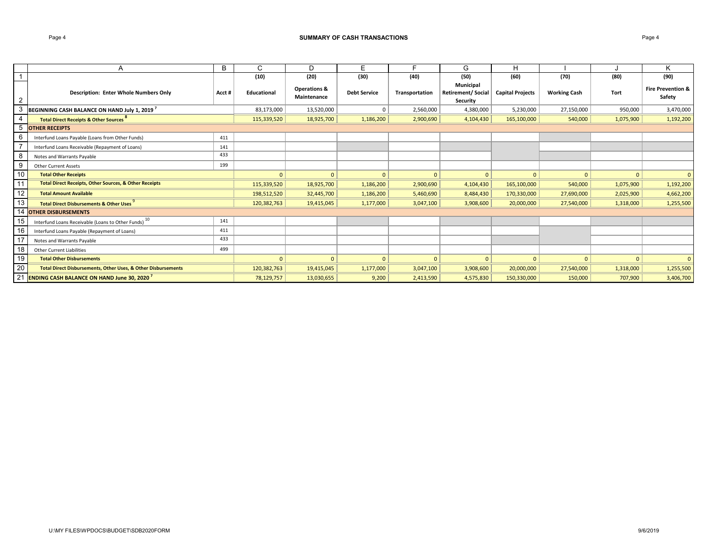#### Page 4 **SUMMARY OF CASH TRANSACTIONS**

|    | Α                                                                        | B      | C            | D                                      | E                   |                | G                                                 | н                       |                     |             | n.                                     |
|----|--------------------------------------------------------------------------|--------|--------------|----------------------------------------|---------------------|----------------|---------------------------------------------------|-------------------------|---------------------|-------------|----------------------------------------|
|    |                                                                          |        | (10)         | (20)                                   | (30)                | (40)           | (50)                                              | (60)                    | (70)                | (80)        | (90)                                   |
| 2  | <b>Description: Enter Whole Numbers Only</b>                             | Acct # | Educational  | <b>Operations &amp;</b><br>Maintenance | <b>Debt Service</b> | Transportation | Municipal<br><b>Retirement/Social</b><br>Security | <b>Capital Projects</b> | <b>Working Cash</b> | <b>Tort</b> | <b>Fire Prevention &amp;</b><br>Safety |
| 3  | BEGINNING CASH BALANCE ON HAND July 1, 2019 <sup>7</sup>                 |        | 83,173,000   | 13,520,000                             | $\mathbf{0}$        | 2,560,000      | 4,380,000                                         | 5,230,000               | 27,150,000          | 950,000     | 3,470,000                              |
| 4  | Total Direct Receipts & Other Sources                                    |        | 115,339,520  | 18,925,700                             | 1,186,200           | 2,900,690      | 4,104,430                                         | 165,100,000             | 540,000             | 1,075,900   | 1,192,200                              |
| 5  | <b>OTHER RECEIPTS</b>                                                    |        |              |                                        |                     |                |                                                   |                         |                     |             |                                        |
| 6  | Interfund Loans Payable (Loans from Other Funds)                         | 411    |              |                                        |                     |                |                                                   |                         |                     |             |                                        |
|    | Interfund Loans Receivable (Repayment of Loans)                          | 141    |              |                                        |                     |                |                                                   |                         |                     |             |                                        |
| 8  | Notes and Warrants Payable                                               | 433    |              |                                        |                     |                |                                                   |                         |                     |             |                                        |
| 9  | <b>Other Current Assets</b>                                              | 199    |              |                                        |                     |                |                                                   |                         |                     |             |                                        |
| 10 | <b>Total Other Receipts</b>                                              |        | $\mathbf{0}$ | $\Omega$                               | $\mathbf{0}$        | $\mathbf{0}$   | $\mathbf{0}$                                      | $\mathbf{0}$            | $\Omega$            | $\Omega$    | $\mathbf{0}$                           |
| 11 | <b>Total Direct Receipts, Other Sources, &amp; Other Receipts</b>        |        | 115,339,520  | 18,925,700                             | 1,186,200           | 2,900,690      | 4,104,430                                         | 165,100,000             | 540,000             | 1,075,900   | 1,192,200                              |
| 12 | <b>Total Amount Available</b>                                            |        | 198,512,520  | 32,445,700                             | 1,186,200           | 5,460,690      | 8,484,430                                         | 170,330,000             | 27,690,000          | 2,025,900   | 4,662,200                              |
| 13 | <b>Total Direct Disbursements &amp; Other Uses</b>                       |        | 120,382,763  | 19,415,045                             | 1,177,000           | 3,047,100      | 3,908,600                                         | 20,000,000              | 27,540,000          | 1,318,000   | 1,255,500                              |
| 14 | <b>OTHER DISBURSEMENTS</b>                                               |        |              |                                        |                     |                |                                                   |                         |                     |             |                                        |
| 15 | Interfund Loans Receivable (Loans to Other Funds) 10                     | 141    |              |                                        |                     |                |                                                   |                         |                     |             |                                        |
| 16 | Interfund Loans Payable (Repayment of Loans)                             | 411    |              |                                        |                     |                |                                                   |                         |                     |             |                                        |
| 17 | Notes and Warrants Payable                                               | 433    |              |                                        |                     |                |                                                   |                         |                     |             |                                        |
| 18 | <b>Other Current Liabilities</b>                                         | 499    |              |                                        |                     |                |                                                   |                         |                     |             |                                        |
| 19 | <b>Total Other Disbursements</b>                                         |        | $\Omega$     |                                        | - 0                 |                | $\Omega$                                          | $\mathbf{0}$            |                     | $\Omega$    |                                        |
| 20 | <b>Total Direct Disbursements, Other Uses, &amp; Other Disbursements</b> |        | 120,382,763  | 19,415,045                             | 1,177,000           | 3,047,100      | 3,908,600                                         | 20,000,000              | 27,540,000          | 1,318,000   | 1,255,500                              |
| 21 | <b>ENDING CASH BALANCE ON HAND June 30, 2020</b>                         |        | 78,129,757   | 13,030,655                             | 9,200               | 2,413,590      | 4,575,830                                         | 150,330,000             | 150,000             | 707,900     | 3,406,700                              |

U:\MY FILES\WPDOCS\BUDGET\SDB2020FORM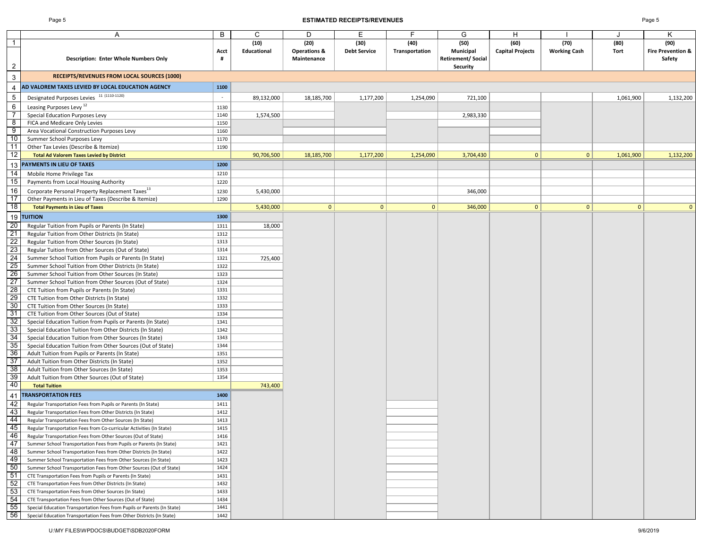#### Page 5 **ESTIMATED RECEIPTS/REVENUES** Page 5

|                 | Α                                                                       | B            | C           | D                       | Е                   | F              | G                        | Н                       |                     |              | Κ                            |
|-----------------|-------------------------------------------------------------------------|--------------|-------------|-------------------------|---------------------|----------------|--------------------------|-------------------------|---------------------|--------------|------------------------------|
| $\overline{1}$  |                                                                         |              | (10)        | (20)                    | (30)                | (40)           | (50)                     | (60)                    | (70)                | (80)         | (90)                         |
|                 |                                                                         | Acct         | Educational | <b>Operations &amp;</b> | <b>Debt Service</b> | Transportation | Municipal                | <b>Capital Projects</b> | <b>Working Cash</b> | Tort         | <b>Fire Prevention &amp;</b> |
|                 | Description: Enter Whole Numbers Only                                   | #            |             | Maintenance             |                     |                | <b>Retirement/Social</b> |                         |                     |              | Safety                       |
| $\overline{2}$  |                                                                         |              |             |                         |                     |                | Security                 |                         |                     |              |                              |
| 3               | <b>RECEIPTS/REVENUES FROM LOCAL SOURCES (1000)</b>                      |              |             |                         |                     |                |                          |                         |                     |              |                              |
| 4               | AD VALOREM TAXES LEVIED BY LOCAL EDUCATION AGENCY                       | 1100         |             |                         |                     |                |                          |                         |                     |              |                              |
| 5               | Designated Purposes Levies 11 (1110-1120)                               | $\sim$       | 89,132,000  | 18,185,700              | 1,177,200           | 1,254,090      | 721,100                  |                         |                     | 1,061,900    | 1,132,200                    |
| $\,6\,$         | Leasing Purposes Levy <sup>12</sup>                                     | 1130         |             |                         |                     |                |                          |                         |                     |              |                              |
| 7               | Special Education Purposes Levy                                         | 1140         | 1,574,500   |                         |                     |                | 2,983,330                |                         |                     |              |                              |
| 8               | FICA and Medicare Only Levies                                           | 1150         |             |                         |                     |                |                          |                         |                     |              |                              |
| 9               | Area Vocational Construction Purposes Levy                              | 1160         |             |                         |                     |                |                          |                         |                     |              |                              |
| 10              | Summer School Purposes Levy                                             | 1170         |             |                         |                     |                |                          |                         |                     |              |                              |
| 11              | Other Tax Levies (Describe & Itemize)                                   | 1190         |             |                         |                     |                |                          |                         |                     |              |                              |
| $\overline{12}$ | <b>Total Ad Valorem Taxes Levied by District</b>                        |              | 90,706,500  | 18,185,700              | 1,177,200           | 1,254,090      | 3,704,430                | $\mathbf{0}$            | 0                   | 1,061,900    | 1,132,200                    |
| 13              | PAYMENTS IN LIEU OF TAXES                                               | 1200         |             |                         |                     |                |                          |                         |                     |              |                              |
| $\overline{14}$ | Mobile Home Privilege Tax                                               | 1210         |             |                         |                     |                |                          |                         |                     |              |                              |
| 15              | Payments from Local Housing Authority                                   | 1220         |             |                         |                     |                |                          |                         |                     |              |                              |
| 16              | Corporate Personal Property Replacement Taxes <sup>13</sup>             |              |             |                         |                     |                |                          |                         |                     |              |                              |
| $\overline{17}$ | Other Payments in Lieu of Taxes (Describe & Itemize)                    | 1230<br>1290 | 5,430,000   |                         |                     |                | 346,000                  |                         |                     |              |                              |
| $\overline{18}$ | <b>Total Payments in Lieu of Taxes</b>                                  |              | 5,430,000   | $\mathbf{0}$            | $\mathbf{0}$        | 0              | 346,000                  | $\mathbf{0}$            | $\mathbf{0}$        | $\mathbf{0}$ |                              |
| 19              | <b>TUITION</b>                                                          | 1300         |             |                         |                     |                |                          |                         |                     |              |                              |
| 20              | Regular Tuition from Pupils or Parents (In State)                       | 1311         | 18,000      |                         |                     |                |                          |                         |                     |              |                              |
| 21              | Regular Tuition from Other Districts (In State)                         | 1312         |             |                         |                     |                |                          |                         |                     |              |                              |
| 22              | Regular Tuition from Other Sources (In State)                           | 1313         |             |                         |                     |                |                          |                         |                     |              |                              |
| 23              | Regular Tuition from Other Sources (Out of State)                       | 1314         |             |                         |                     |                |                          |                         |                     |              |                              |
| 24              | Summer School Tuition from Pupils or Parents (In State)                 | 1321         | 725,400     |                         |                     |                |                          |                         |                     |              |                              |
| 25              | Summer School Tuition from Other Districts (In State)                   | 1322         |             |                         |                     |                |                          |                         |                     |              |                              |
| 26              | Summer School Tuition from Other Sources (In State)                     | 1323         |             |                         |                     |                |                          |                         |                     |              |                              |
| 27              | Summer School Tuition from Other Sources (Out of State)                 | 1324         |             |                         |                     |                |                          |                         |                     |              |                              |
| 28              | CTE Tuition from Pupils or Parents (In State)                           | 1331         |             |                         |                     |                |                          |                         |                     |              |                              |
| 29              | CTE Tuition from Other Districts (In State)                             | 1332         |             |                         |                     |                |                          |                         |                     |              |                              |
| 30              | CTE Tuition from Other Sources (In State)                               | 1333         |             |                         |                     |                |                          |                         |                     |              |                              |
| 31              | CTE Tuition from Other Sources (Out of State)                           | 1334         |             |                         |                     |                |                          |                         |                     |              |                              |
| 32              | Special Education Tuition from Pupils or Parents (In State)             | 1341         |             |                         |                     |                |                          |                         |                     |              |                              |
| 33              | Special Education Tuition from Other Districts (In State)               | 1342         |             |                         |                     |                |                          |                         |                     |              |                              |
| 34              | Special Education Tuition from Other Sources (In State)                 | 1343         |             |                         |                     |                |                          |                         |                     |              |                              |
| 35              | Special Education Tuition from Other Sources (Out of State)             | 1344         |             |                         |                     |                |                          |                         |                     |              |                              |
| 36              | Adult Tuition from Pupils or Parents (In State)                         | 1351         |             |                         |                     |                |                          |                         |                     |              |                              |
| 37              | Adult Tuition from Other Districts (In State)                           | 1352         |             |                         |                     |                |                          |                         |                     |              |                              |
| 38              | Adult Tuition from Other Sources (In State)                             | 1353         |             |                         |                     |                |                          |                         |                     |              |                              |
| 39              | Adult Tuition from Other Sources (Out of State)                         | 1354         |             |                         |                     |                |                          |                         |                     |              |                              |
| 40              | <b>Total Tuition</b>                                                    |              | 743,400     |                         |                     |                |                          |                         |                     |              |                              |
| 41              | <b>TRANSPORTATION FEES</b>                                              | 1400         |             |                         |                     |                |                          |                         |                     |              |                              |
| 42              | Regular Transportation Fees from Pupils or Parents (In State)           | 1411         |             |                         |                     |                |                          |                         |                     |              |                              |
| 43              | Regular Transportation Fees from Other Districts (In State)             | 1412         |             |                         |                     |                |                          |                         |                     |              |                              |
| 44              | Regular Transportation Fees from Other Sources (In State)               | 1413         |             |                         |                     |                |                          |                         |                     |              |                              |
| 45              | Regular Transportation Fees from Co-curricular Activities (In State)    | 1415         |             |                         |                     |                |                          |                         |                     |              |                              |
| 46              | Regular Transportation Fees from Other Sources (Out of State)           | 1416         |             |                         |                     |                |                          |                         |                     |              |                              |
| 47              | Summer School Transportation Fees from Pupils or Parents (In State)     | 1421         |             |                         |                     |                |                          |                         |                     |              |                              |
| 48              | Summer School Transportation Fees from Other Districts (In State)       | 1422         |             |                         |                     |                |                          |                         |                     |              |                              |
| 49              | Summer School Transportation Fees from Other Sources (In State)         | 1423         |             |                         |                     |                |                          |                         |                     |              |                              |
| 50              | Summer School Transportation Fees from Other Sources (Out of State)     | 1424         |             |                         |                     |                |                          |                         |                     |              |                              |
| 51              | CTE Transportation Fees from Pupils or Parents (In State)               | 1431         |             |                         |                     |                |                          |                         |                     |              |                              |
| 52              | CTE Transportation Fees from Other Districts (In State)                 | 1432         |             |                         |                     |                |                          |                         |                     |              |                              |
| 53              | CTE Transportation Fees from Other Sources (In State)                   | 1433         |             |                         |                     |                |                          |                         |                     |              |                              |
| 54              | CTE Transportation Fees from Other Sources (Out of State)               | 1434         |             |                         |                     |                |                          |                         |                     |              |                              |
| 55              | Special Education Transportation Fees from Pupils or Parents (In State) | 1441         |             |                         |                     |                |                          |                         |                     |              |                              |
| 56              | Special Education Transportation Fees from Other Districts (In State)   | 1442         |             |                         |                     |                |                          |                         |                     |              |                              |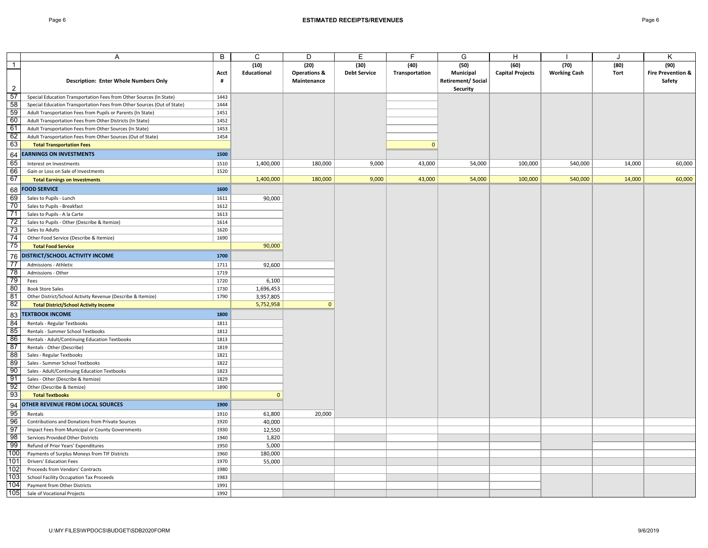|                                | Α                                                                       | B         | C                   | D                                              | Е                           | F                      | G                                                                | H                               |                             |              | Κ                                              |
|--------------------------------|-------------------------------------------------------------------------|-----------|---------------------|------------------------------------------------|-----------------------------|------------------------|------------------------------------------------------------------|---------------------------------|-----------------------------|--------------|------------------------------------------------|
| $\mathbf{1}$<br>$\overline{2}$ | Description: Enter Whole Numbers Only                                   | Acct<br># | (10)<br>Educational | (20)<br><b>Operations &amp;</b><br>Maintenance | (30)<br><b>Debt Service</b> | (40)<br>Transportation | (50)<br>Municipal<br><b>Retirement/Social</b><br><b>Security</b> | (60)<br><b>Capital Projects</b> | (70)<br><b>Working Cash</b> | (80)<br>Tort | (90)<br><b>Fire Prevention &amp;</b><br>Safety |
| 57                             | Special Education Transportation Fees from Other Sources (In State)     | 1443      |                     |                                                |                             |                        |                                                                  |                                 |                             |              |                                                |
| 58                             | Special Education Transportation Fees from Other Sources (Out of State) | 1444      |                     |                                                |                             |                        |                                                                  |                                 |                             |              |                                                |
| 59                             | Adult Transportation Fees from Pupils or Parents (In State)             | 1451      |                     |                                                |                             |                        |                                                                  |                                 |                             |              |                                                |
| 60                             | Adult Transportation Fees from Other Districts (In State)               | 1452      |                     |                                                |                             |                        |                                                                  |                                 |                             |              |                                                |
| 61                             | Adult Transportation Fees from Other Sources (In State)                 | 1453      |                     |                                                |                             |                        |                                                                  |                                 |                             |              |                                                |
| 62                             | Adult Transportation Fees from Other Sources (Out of State)             | 1454      |                     |                                                |                             |                        |                                                                  |                                 |                             |              |                                                |
| 63                             | <b>Total Transportation Fees</b>                                        |           |                     |                                                |                             | $\mathbf{0}$           |                                                                  |                                 |                             |              |                                                |
|                                | <b>EARNINGS ON INVESTMENTS</b>                                          | 1500      |                     |                                                |                             |                        |                                                                  |                                 |                             |              |                                                |
| 64<br>65                       |                                                                         |           |                     |                                                |                             |                        |                                                                  |                                 |                             |              |                                                |
|                                | Interest on Investments                                                 | 1510      | 1,400,000           | 180,000                                        | 9,000                       | 43,000                 | 54,000                                                           | 100,000                         | 540,000                     | 14,000       | 60,000                                         |
| 66<br>67                       | Gain or Loss on Sale of Investments                                     | 1520      |                     |                                                |                             |                        |                                                                  |                                 |                             |              |                                                |
|                                | <b>Total Earnings on Investments</b>                                    |           | 1,400,000           | 180,000                                        | 9,000                       | 43,000                 | 54,000                                                           | 100,000                         | 540,000                     | 14,000       | 60,000                                         |
| 68                             | <b>FOOD SERVICE</b>                                                     | 1600      |                     |                                                |                             |                        |                                                                  |                                 |                             |              |                                                |
| 69                             | Sales to Pupils - Lunch                                                 | 1611      | 90,000              |                                                |                             |                        |                                                                  |                                 |                             |              |                                                |
| 70                             | Sales to Pupils - Breakfast                                             | 1612      |                     |                                                |                             |                        |                                                                  |                                 |                             |              |                                                |
| 71                             | Sales to Pupils - A la Carte                                            | 1613      |                     |                                                |                             |                        |                                                                  |                                 |                             |              |                                                |
| 72                             | Sales to Pupils - Other (Describe & Itemize)                            | 1614      |                     |                                                |                             |                        |                                                                  |                                 |                             |              |                                                |
| 73                             | Sales to Adults                                                         | 1620      |                     |                                                |                             |                        |                                                                  |                                 |                             |              |                                                |
| 74                             | Other Food Service (Describe & Itemize)                                 | 1690      |                     |                                                |                             |                        |                                                                  |                                 |                             |              |                                                |
| 75                             | <b>Total Food Service</b>                                               |           | 90,000              |                                                |                             |                        |                                                                  |                                 |                             |              |                                                |
| 76                             | DISTRICT/SCHOOL ACTIVITY INCOME                                         | 1700      |                     |                                                |                             |                        |                                                                  |                                 |                             |              |                                                |
| 77                             | Admissions - Athletic                                                   | 1711      | 92,600              |                                                |                             |                        |                                                                  |                                 |                             |              |                                                |
| 78                             | Admissions - Other                                                      | 1719      |                     |                                                |                             |                        |                                                                  |                                 |                             |              |                                                |
| 79                             | Fees                                                                    | 1720      | 6,100               |                                                |                             |                        |                                                                  |                                 |                             |              |                                                |
| 80                             | <b>Book Store Sales</b>                                                 | 1730      | 1,696,453           |                                                |                             |                        |                                                                  |                                 |                             |              |                                                |
| 81                             | Other District/School Activity Revenue (Describe & Itemize)             | 1790      | 3,957,805           |                                                |                             |                        |                                                                  |                                 |                             |              |                                                |
| 82                             | <b>Total District/School Activity Income</b>                            |           | 5,752,958           | $\mathbf{0}$                                   |                             |                        |                                                                  |                                 |                             |              |                                                |
| 83                             | <b>TEXTBOOK INCOME</b>                                                  | 1800      |                     |                                                |                             |                        |                                                                  |                                 |                             |              |                                                |
| 84                             | Rentals - Regular Textbooks                                             | 1811      |                     |                                                |                             |                        |                                                                  |                                 |                             |              |                                                |
| 85                             | Rentals - Summer School Textbooks                                       | 1812      |                     |                                                |                             |                        |                                                                  |                                 |                             |              |                                                |
| 86                             | Rentals - Adult/Continuing Education Textbooks                          | 1813      |                     |                                                |                             |                        |                                                                  |                                 |                             |              |                                                |
| 87                             | Rentals - Other (Describe)                                              | 1819      |                     |                                                |                             |                        |                                                                  |                                 |                             |              |                                                |
| 88                             | Sales - Regular Textbooks                                               | 1821      |                     |                                                |                             |                        |                                                                  |                                 |                             |              |                                                |
| 89                             | Sales - Summer School Textbooks                                         | 1822      |                     |                                                |                             |                        |                                                                  |                                 |                             |              |                                                |
| 90                             | Sales - Adult/Continuing Education Textbooks                            | 1823      |                     |                                                |                             |                        |                                                                  |                                 |                             |              |                                                |
| 91                             | Sales - Other (Describe & Itemize)                                      | 1829      |                     |                                                |                             |                        |                                                                  |                                 |                             |              |                                                |
| 92                             | Other (Describe & Itemize)                                              | 1890      |                     |                                                |                             |                        |                                                                  |                                 |                             |              |                                                |
| 93                             | <b>Total Textbooks</b>                                                  |           | $\mathbf{0}$        |                                                |                             |                        |                                                                  |                                 |                             |              |                                                |
| 94                             | OTHER REVENUE FROM LOCAL SOURCES                                        | 1900      |                     |                                                |                             |                        |                                                                  |                                 |                             |              |                                                |
| 95                             | Rentals                                                                 | 1910      | 61,800              | 20,000                                         |                             |                        |                                                                  |                                 |                             |              |                                                |
| 96                             | Contributions and Donations from Private Sources                        | 1920      | 40,000              |                                                |                             |                        |                                                                  |                                 |                             |              |                                                |
| 97                             | Impact Fees from Municipal or County Governments                        | 1930      | 12,550              |                                                |                             |                        |                                                                  |                                 |                             |              |                                                |
| 98                             | Services Provided Other Districts                                       | 1940      | 1,820               |                                                |                             |                        |                                                                  |                                 |                             |              |                                                |
| 99                             | Refund of Prior Years' Expenditures                                     | 1950      | 5,000               |                                                |                             |                        |                                                                  |                                 |                             |              |                                                |
| 100                            | Payments of Surplus Moneys from TIF Districts                           | 1960      | 180,000             |                                                |                             |                        |                                                                  |                                 |                             |              |                                                |
| 101                            | <b>Drivers' Education Fees</b>                                          | 1970      | 55,000              |                                                |                             |                        |                                                                  |                                 |                             |              |                                                |
| 1021                           | Proceeds from Vendors' Contracts                                        | 1980      |                     |                                                |                             |                        |                                                                  |                                 |                             |              |                                                |
| 103                            | School Facility Occupation Tax Proceeds                                 | 1983      |                     |                                                |                             |                        |                                                                  |                                 |                             |              |                                                |
| 104                            | Payment from Other Districts                                            | 1991      |                     |                                                |                             |                        |                                                                  |                                 |                             |              |                                                |
| 105                            | Sale of Vocational Projects                                             | 1992      |                     |                                                |                             |                        |                                                                  |                                 |                             |              |                                                |
|                                |                                                                         |           |                     |                                                |                             |                        |                                                                  |                                 |                             |              |                                                |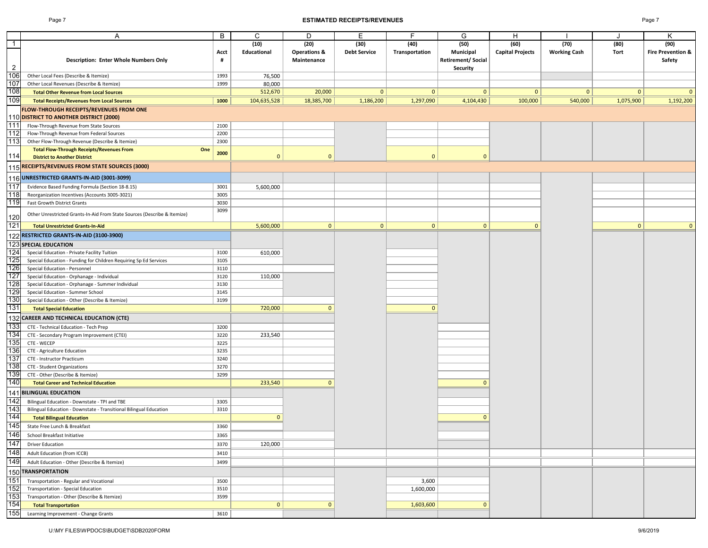#### Page 7 **ESTIMATED RECEIPTS/REVENUES** Page 7

|--|--|

|                | Α                                                                                              | B    | C            | D                       | Ε                   | F              | G                        | H                       |                     | J         | Κ                            |
|----------------|------------------------------------------------------------------------------------------------|------|--------------|-------------------------|---------------------|----------------|--------------------------|-------------------------|---------------------|-----------|------------------------------|
| $\mathbf{1}$   |                                                                                                |      | (10)         | (20)                    | (30)                | (40)           | (50)                     | (60)                    | (70)                | (80)      | (90)                         |
|                |                                                                                                | Acct | Educational  | <b>Operations &amp;</b> | <b>Debt Service</b> | Transportation | Municipal                | <b>Capital Projects</b> | <b>Working Cash</b> | Tort      | <b>Fire Prevention &amp;</b> |
|                | <b>Description: Enter Whole Numbers Only</b>                                                   | #    |              | Maintenance             |                     |                | <b>Retirement/Social</b> |                         |                     |           | Safety                       |
| $\overline{2}$ |                                                                                                |      |              |                         |                     |                | Security                 |                         |                     |           |                              |
| 106            | Other Local Fees (Describe & Itemize)                                                          | 1993 | 76,500       |                         |                     |                |                          |                         |                     |           |                              |
| 107            | Other Local Revenues (Describe & Itemize)                                                      | 1999 | 80,000       |                         |                     |                |                          |                         |                     |           |                              |
| 108            | <b>Total Other Revenue from Local Sources</b>                                                  |      | 512,670      | 20,000                  | $\mathbf{0}$        | $\mathbf{0}$   | $\mathbf{0}$             | $\mathbf{0}$            | 0                   | 0         | $\mathbf{0}$                 |
| 109            | <b>Total Receipts/Revenues from Local Sources</b>                                              | 1000 | 104,635,528  | 18,385,700              | 1,186,200           | 1,297,090      | 4,104,430                | 100,000                 | 540,000             | 1,075,900 | 1,192,200                    |
|                |                                                                                                |      |              |                         |                     |                |                          |                         |                     |           |                              |
|                | FLOW-THROUGH RECEIPTS/REVENUES FROM ONE                                                        |      |              |                         |                     |                |                          |                         |                     |           |                              |
|                | 110 DISTRICT TO ANOTHER DISTRICT (2000)                                                        |      |              |                         |                     |                |                          |                         |                     |           |                              |
| 111<br>112     | Flow-Through Revenue from State Sources                                                        | 2100 |              |                         |                     |                |                          |                         |                     |           |                              |
|                | Flow-Through Revenue from Federal Sources                                                      | 2200 |              |                         |                     |                |                          |                         |                     |           |                              |
| 113            | Other Flow-Through Revenue (Describe & Itemize)                                                | 2300 |              |                         |                     |                |                          |                         |                     |           |                              |
| 114            | <b>Total Flow-Through Receipts/Revenues From</b><br>One<br><b>District to Another District</b> | 2000 | $\mathbf{0}$ | $\mathbf{0}$            |                     | $\mathbf{0}$   | $\mathbf{0}$             |                         |                     |           |                              |
|                |                                                                                                |      |              |                         |                     |                |                          |                         |                     |           |                              |
|                | 115 RECEIPTS/REVENUES FROM STATE SOURCES (3000)                                                |      |              |                         |                     |                |                          |                         |                     |           |                              |
|                | 116 <mark>UNRESTRICTED GRANTS-IN-AID (3001-3099)</mark>                                        |      |              |                         |                     |                |                          |                         |                     |           |                              |
| 117            | Evidence Based Funding Formula (Section 18-8.15)                                               | 3001 | 5,600,000    |                         |                     |                |                          |                         |                     |           |                              |
| 118            | Reorganization Incentives (Accounts 3005-3021)                                                 | 3005 |              |                         |                     |                |                          |                         |                     |           |                              |
| 119            | Fast Growth District Grants                                                                    | 3030 |              |                         |                     |                |                          |                         |                     |           |                              |
|                |                                                                                                | 3099 |              |                         |                     |                |                          |                         |                     |           |                              |
| 120            | Other Unrestricted Grants-In-Aid From State Sources (Describe & Itemize)                       |      |              |                         |                     |                |                          |                         |                     |           |                              |
| 121            | <b>Total Unrestricted Grants-In-Aid</b>                                                        |      | 5,600,000    | 0                       | 0                   | $\mathbf{0}$   | $\mathbf{0}$             | $\mathbf{0}$            |                     | 0         | $\mathbf{0}$                 |
|                |                                                                                                |      |              |                         |                     |                |                          |                         |                     |           |                              |
|                | 122 RESTRICTED GRANTS-IN-AID (3100-3900)                                                       |      |              |                         |                     |                |                          |                         |                     |           |                              |
|                | <b>123 SPECIAL EDUCATION</b>                                                                   |      |              |                         |                     |                |                          |                         |                     |           |                              |
| 124            | Special Education - Private Facility Tuition                                                   | 3100 | 610,000      |                         |                     |                |                          |                         |                     |           |                              |
| 125            | Special Education - Funding for Children Requiring Sp Ed Services                              | 3105 |              |                         |                     |                |                          |                         |                     |           |                              |
| 126            | Special Education - Personnel                                                                  | 3110 |              |                         |                     |                |                          |                         |                     |           |                              |
| 127            | Special Education - Orphanage - Individual                                                     | 3120 | 110,000      |                         |                     |                |                          |                         |                     |           |                              |
| 128            | Special Education - Orphanage - Summer Individual                                              | 3130 |              |                         |                     |                |                          |                         |                     |           |                              |
| 129            | Special Education - Summer School                                                              | 3145 |              |                         |                     |                |                          |                         |                     |           |                              |
| 130            | Special Education - Other (Describe & Itemize)                                                 | 3199 |              |                         |                     |                |                          |                         |                     |           |                              |
| 131            | <b>Total Special Education</b>                                                                 |      | 720,000      | $\Omega$                |                     | $\mathbf{0}$   |                          |                         |                     |           |                              |
|                | 132 CAREER AND TECHNICAL EDUCATION (CTE)                                                       |      |              |                         |                     |                |                          |                         |                     |           |                              |
| 133            | CTE - Technical Education - Tech Prep                                                          | 3200 |              |                         |                     |                |                          |                         |                     |           |                              |
| 134            | CTE - Secondary Program Improvement (CTEI)                                                     | 3220 | 233,540      |                         |                     |                |                          |                         |                     |           |                              |
| 135            | CTE - WECEP                                                                                    | 3225 |              |                         |                     |                |                          |                         |                     |           |                              |
| 136            | CTE - Agriculture Education                                                                    | 3235 |              |                         |                     |                |                          |                         |                     |           |                              |
| 137            | CTE - Instructor Practicum                                                                     | 3240 |              |                         |                     |                |                          |                         |                     |           |                              |
| 138            | CTE - Student Organizations                                                                    | 3270 |              |                         |                     |                |                          |                         |                     |           |                              |
| 139            | CTE - Other (Describe & Itemize)                                                               | 3299 |              |                         |                     |                |                          |                         |                     |           |                              |
| 140            | <b>Total Career and Technical Education</b>                                                    |      | 233,540      | $\Omega$                |                     |                | $\Omega$                 |                         |                     |           |                              |
| 141            | <b>BILINGUAL EDUCATION</b>                                                                     |      |              |                         |                     |                |                          |                         |                     |           |                              |
| 142            | Bilingual Education - Downstate - TPI and TBE                                                  | 3305 |              |                         |                     |                |                          |                         |                     |           |                              |
| 143            | Bilingual Education - Downstate - Transitional Bilingual Education                             | 3310 |              |                         |                     |                |                          |                         |                     |           |                              |
| 144            | <b>Total Bilingual Education</b>                                                               |      | $\mathbf{0}$ |                         |                     |                | $\Omega$                 |                         |                     |           |                              |
| 145            | State Free Lunch & Breakfast                                                                   | 3360 |              |                         |                     |                |                          |                         |                     |           |                              |
|                |                                                                                                |      |              |                         |                     |                |                          |                         |                     |           |                              |
| 146            | School Breakfast Initiative                                                                    | 3365 |              |                         |                     |                |                          |                         |                     |           |                              |
| 147            | <b>Driver Education</b>                                                                        | 3370 | 120,000      |                         |                     |                |                          |                         |                     |           |                              |
| 148            | Adult Education (from ICCB)                                                                    | 3410 |              |                         |                     |                |                          |                         |                     |           |                              |
| 149            | Adult Education - Other (Describe & Itemize)                                                   | 3499 |              |                         |                     |                |                          |                         |                     |           |                              |
|                | 150 TRANSPORTATION                                                                             |      |              |                         |                     |                |                          |                         |                     |           |                              |
| 151            | Transportation - Regular and Vocational                                                        | 3500 |              |                         |                     | 3,600          |                          |                         |                     |           |                              |
| 152            | Transportation - Special Education                                                             | 3510 |              |                         |                     | 1,600,000      |                          |                         |                     |           |                              |
| 153            | Transportation - Other (Describe & Itemize)                                                    | 3599 |              |                         |                     |                |                          |                         |                     |           |                              |
| 154            | <b>Total Transportation</b>                                                                    |      | $\mathbf{0}$ | $\mathbf{0}$            |                     | 1,603,600      | $\mathbf{0}$             |                         |                     |           |                              |
| 155            | Learning Improvement - Change Grants                                                           | 3610 |              |                         |                     |                |                          |                         |                     |           |                              |
|                |                                                                                                |      |              |                         |                     |                |                          |                         |                     |           |                              |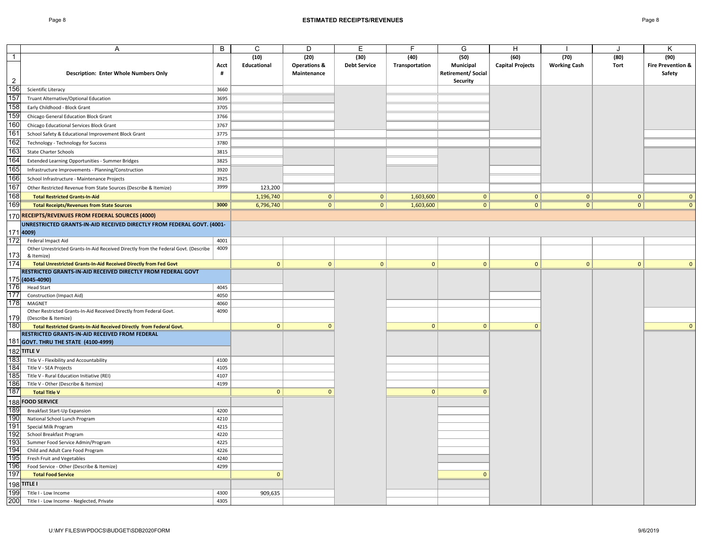|                  | Α                                                                                                                     | B            | C            | D                       | Е                   | F              | G                        | н                       |                     | J            | Κ                            |
|------------------|-----------------------------------------------------------------------------------------------------------------------|--------------|--------------|-------------------------|---------------------|----------------|--------------------------|-------------------------|---------------------|--------------|------------------------------|
| $\overline{1}$   |                                                                                                                       |              | (10)         | (20)                    | (30)                | (40)           | (50)                     | (60)                    | (70)                | (80)         | (90)                         |
|                  |                                                                                                                       | Acct         | Educational  | <b>Operations &amp;</b> | <b>Debt Service</b> | Transportation | Municipal                | <b>Capital Projects</b> | <b>Working Cash</b> | Tort         | <b>Fire Prevention &amp;</b> |
|                  | <b>Description: Enter Whole Numbers Only</b>                                                                          | #            |              | Maintenance             |                     |                | <b>Retirement/Social</b> |                         |                     |              | Safety                       |
| $\overline{2}$   |                                                                                                                       |              |              |                         |                     |                | Security                 |                         |                     |              |                              |
| 156              | Scientific Literacy                                                                                                   | 3660         |              |                         |                     |                |                          |                         |                     |              |                              |
| 157              | Truant Alternative/Optional Education                                                                                 | 3695         |              |                         |                     |                |                          |                         |                     |              |                              |
| 158              | Early Childhood - Block Grant                                                                                         | 3705         |              |                         |                     |                |                          |                         |                     |              |                              |
| 159              | Chicago General Education Block Grant                                                                                 | 3766         |              |                         |                     |                |                          |                         |                     |              |                              |
| 160              | Chicago Educational Services Block Grant                                                                              | 3767         |              |                         |                     |                |                          |                         |                     |              |                              |
| 161              | School Safety & Educational Improvement Block Grant                                                                   | 3775         |              |                         |                     |                |                          |                         |                     |              |                              |
| 162              | Technology - Technology for Success                                                                                   | 3780         |              |                         |                     |                |                          |                         |                     |              |                              |
| 163              | <b>State Charter Schools</b>                                                                                          | 3815         |              |                         |                     |                |                          |                         |                     |              |                              |
| 164              | Extended Learning Opportunities - Summer Bridges                                                                      | 3825         |              |                         |                     |                |                          |                         |                     |              |                              |
| 165              | Infrastructure Improvements - Planning/Construction                                                                   | 3920         |              |                         |                     |                |                          |                         |                     |              |                              |
| 166              | School Infrastructure - Maintenance Projects                                                                          | 3925         |              |                         |                     |                |                          |                         |                     |              |                              |
| 167              | Other Restricted Revenue from State Sources (Describe & Itemize)                                                      | 3999         | 123,200      |                         |                     |                |                          |                         |                     |              |                              |
| 168              | <b>Total Restricted Grants-In-Aid</b>                                                                                 |              | 1,196,740    | 0                       | 0                   | 1,603,600      | 0                        | 0                       | 0                   | 0            | $\Omega$                     |
| 169              | <b>Total Receipts/Revenues from State Sources</b>                                                                     | 3000         | 6,796,740    | 0                       | 0                   | 1,603,600      | 0                        | 0                       | 0                   | 0            | $\Omega$                     |
|                  | 170 <mark>RECEIPTS/REVENUES FROM FEDERAL SOURCES (4000)</mark>                                                        |              |              |                         |                     |                |                          |                         |                     |              |                              |
|                  |                                                                                                                       |              |              |                         |                     |                |                          |                         |                     |              |                              |
|                  | UNRESTRICTED GRANTS-IN-AID RECEIVED DIRECTLY FROM FEDERAL GOVT. (4001-<br>1714009)                                    |              |              |                         |                     |                |                          |                         |                     |              |                              |
| 172              | Federal Impact Aid                                                                                                    | 4001         |              |                         |                     |                |                          |                         |                     |              |                              |
|                  | Other Unrestricted Grants-In-Aid Received Directly from the Federal Govt. (Describe                                   | 4009         |              |                         |                     |                |                          |                         |                     |              |                              |
| 173              | & Itemize)                                                                                                            |              |              |                         |                     |                |                          |                         |                     |              |                              |
| 174              | Total Unrestricted Grants-In-Aid Received Directly from Fed Govt                                                      |              | $\mathbf{0}$ | $\mathbf{0}$            | $\mathbf{0}$        | $\mathbf{0}$   | $\mathbf{0}$             | $\mathbf{0}$            | $\mathbf{0}$        | $\mathbf{0}$ |                              |
|                  | RESTRICTED GRANTS-IN-AID RECEIVED DIRECTLY FROM FEDERAL GOVT                                                          |              |              |                         |                     |                |                          |                         |                     |              |                              |
|                  | 175 (4045-4090)                                                                                                       |              |              |                         |                     |                |                          |                         |                     |              |                              |
| 176              | <b>Head Start</b>                                                                                                     | 4045         |              |                         |                     |                |                          |                         |                     |              |                              |
| $\overline{177}$ | <b>Construction (Impact Aid)</b>                                                                                      | 4050         |              |                         |                     |                |                          |                         |                     |              |                              |
| 178              | MAGNET                                                                                                                | 4060         |              |                         |                     |                |                          |                         |                     |              |                              |
|                  | Other Restricted Grants-In-Aid Received Directly from Federal Govt.                                                   | 4090         |              |                         |                     |                |                          |                         |                     |              |                              |
| 179<br>180       | (Describe & Itemize)                                                                                                  |              | 0            | $\mathbf{0}$            |                     |                |                          | $\mathbf{0}$            |                     |              | $\Omega$                     |
|                  | Total Restricted Grants-In-Aid Received Directly from Federal Govt.<br>RESTRICTED GRANTS-IN-AID RECEIVED FROM FEDERAL |              |              |                         |                     | 0              | $\mathbf{0}$             |                         |                     |              |                              |
|                  | 181 GOVT. THRU THE STATE (4100-4999)                                                                                  |              |              |                         |                     |                |                          |                         |                     |              |                              |
|                  |                                                                                                                       |              |              |                         |                     |                |                          |                         |                     |              |                              |
|                  | 182 TITLE V                                                                                                           |              |              |                         |                     |                |                          |                         |                     |              |                              |
| 183<br>184       | Title V - Flexibility and Accountability<br>Title V - SEA Projects                                                    | 4100<br>4105 |              |                         |                     |                |                          |                         |                     |              |                              |
| 185              | Title V - Rural Education Initiative (REI)                                                                            | 4107         |              |                         |                     |                |                          |                         |                     |              |                              |
| 186              | Title V - Other (Describe & Itemize)                                                                                  | 4199         |              |                         |                     |                |                          |                         |                     |              |                              |
| 187              | <b>Total Title V</b>                                                                                                  |              | $\mathbf{0}$ | $\mathbf{0}$            |                     | $\mathbf{0}$   | $\mathbf{0}$             |                         |                     |              |                              |
| 188              | <b>FOOD SERVICE</b>                                                                                                   |              |              |                         |                     |                |                          |                         |                     |              |                              |
| 189              | Breakfast Start-Up Expansion                                                                                          | 4200         |              |                         |                     |                |                          |                         |                     |              |                              |
| 190              | National School Lunch Program                                                                                         | 4210         |              |                         |                     |                |                          |                         |                     |              |                              |
| 191              | Special Milk Program                                                                                                  | 4215         |              |                         |                     |                |                          |                         |                     |              |                              |
| 192              | School Breakfast Program                                                                                              | 4220         |              |                         |                     |                |                          |                         |                     |              |                              |
| 193              | Summer Food Service Admin/Program                                                                                     | 4225         |              |                         |                     |                |                          |                         |                     |              |                              |
| 194              | Child and Adult Care Food Program                                                                                     | 4226         |              |                         |                     |                |                          |                         |                     |              |                              |
| 195              | Fresh Fruit and Vegetables                                                                                            | 4240         |              |                         |                     |                |                          |                         |                     |              |                              |
| 196              | Food Service - Other (Describe & Itemize)                                                                             | 4299         |              |                         |                     |                |                          |                         |                     |              |                              |
| 197              | <b>Total Food Service</b>                                                                                             |              | $\mathbf{0}$ |                         |                     |                | $\mathbf{0}$             |                         |                     |              |                              |
|                  | 198 TITLE I                                                                                                           |              |              |                         |                     |                |                          |                         |                     |              |                              |
| 199              | Title I - Low Income                                                                                                  | 4300         | 909,635      |                         |                     |                |                          |                         |                     |              |                              |
| 200              | Title I - Low Income - Neglected, Private                                                                             | 4305         |              |                         |                     |                |                          |                         |                     |              |                              |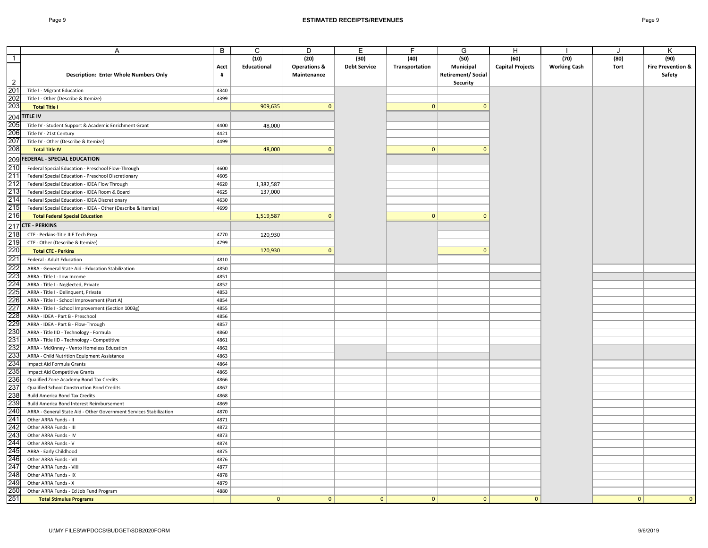|                | A                                                                                         | B            | C              | D                       | E                   | F              | G                        | H                       |                     | J           | Κ                            |
|----------------|-------------------------------------------------------------------------------------------|--------------|----------------|-------------------------|---------------------|----------------|--------------------------|-------------------------|---------------------|-------------|------------------------------|
| $\overline{1}$ |                                                                                           |              | (10)           | (20)                    | (30)                | (40)           | (50)                     | (60)                    | (70)                | (80)        | (90)                         |
|                |                                                                                           | Acct         | Educational    | <b>Operations &amp;</b> | <b>Debt Service</b> | Transportation | Municipal                | <b>Capital Projects</b> | <b>Working Cash</b> | <b>Tort</b> | <b>Fire Prevention &amp;</b> |
|                | <b>Description: Enter Whole Numbers Only</b>                                              | #            |                | Maintenance             |                     |                | <b>Retirement/Social</b> |                         |                     |             | Safety                       |
| 2              |                                                                                           |              |                |                         |                     |                | Security                 |                         |                     |             |                              |
| 201            | Title I - Migrant Education                                                               | 4340         |                |                         |                     |                |                          |                         |                     |             |                              |
| 202            | Title I - Other (Describe & Itemize)                                                      | 4399         |                |                         |                     |                |                          |                         |                     |             |                              |
| 203            | <b>Total Title I</b>                                                                      |              | 909,635        | $\mathbf{0}$            |                     | 0              | $\mathbf{0}$             |                         |                     |             |                              |
|                |                                                                                           |              |                |                         |                     |                |                          |                         |                     |             |                              |
|                | 204 TITLE IV                                                                              |              |                |                         |                     |                |                          |                         |                     |             |                              |
| 205            | Title IV - Student Support & Academic Enrichment Grant                                    | 4400         | 48,000         |                         |                     |                |                          |                         |                     |             |                              |
| 206            | Title IV - 21st Century                                                                   | 4421         |                |                         |                     |                |                          |                         |                     |             |                              |
| 207            | Title IV - Other (Describe & Itemize)                                                     | 4499         |                |                         |                     |                |                          |                         |                     |             |                              |
| 208            | <b>Total Title IV</b>                                                                     |              | 48,000         | $\Omega$                |                     | 0              | $\mathbf{0}$             |                         |                     |             |                              |
|                | 209 FEDERAL - SPECIAL EDUCATION                                                           |              |                |                         |                     |                |                          |                         |                     |             |                              |
| 210            | Federal Special Education - Preschool Flow-Through                                        | 4600         |                |                         |                     |                |                          |                         |                     |             |                              |
| 211            | Federal Special Education - Preschool Discretionary                                       | 4605         |                |                         |                     |                |                          |                         |                     |             |                              |
| 212            | Federal Special Education - IDEA Flow Through                                             | 4620         | 1,382,587      |                         |                     |                |                          |                         |                     |             |                              |
| 213            | Federal Special Education - IDEA Room & Board                                             | 4625         | 137,000        |                         |                     |                |                          |                         |                     |             |                              |
| 214            | Federal Special Education - IDEA Discretionary                                            | 4630         |                |                         |                     |                |                          |                         |                     |             |                              |
| 215            | Federal Special Education - IDEA - Other (Describe & Itemize)                             | 4699         |                |                         |                     |                |                          |                         |                     |             |                              |
| 216            | <b>Total Federal Special Education</b>                                                    |              | 1,519,587      | $\Omega$                |                     | $\overline{0}$ | $\mathbf{0}$             |                         |                     |             |                              |
|                | 217 CTE - PERKINS                                                                         |              |                |                         |                     |                |                          |                         |                     |             |                              |
| 218            |                                                                                           | 4770         |                |                         |                     |                |                          |                         |                     |             |                              |
| 219            | CTE - Perkins-Title IIIE Tech Prep                                                        | 4799         | 120,930        |                         |                     |                |                          |                         |                     |             |                              |
| 220            | CTE - Other (Describe & Itemize)                                                          |              |                | $\mathbf{0}$            |                     |                | $\mathbf{0}$             |                         |                     |             |                              |
|                | <b>Total CTE - Perkins</b>                                                                |              | 120,930        |                         |                     |                |                          |                         |                     |             |                              |
| 221            | Federal - Adult Education                                                                 | 4810         |                |                         |                     |                |                          |                         |                     |             |                              |
| 222            | ARRA - General State Aid - Education Stabilization                                        | 4850         |                |                         |                     |                |                          |                         |                     |             |                              |
| 223            | ARRA - Title I - Low Income                                                               | 4851         |                |                         |                     |                |                          |                         |                     |             |                              |
| 224            | ARRA - Title I - Neglected, Private                                                       | 4852         |                |                         |                     |                |                          |                         |                     |             |                              |
| 225            | ARRA - Title I - Delinquent, Private                                                      | 4853         |                |                         |                     |                |                          |                         |                     |             |                              |
| 226            | ARRA - Title I - School Improvement (Part A)                                              | 4854         |                |                         |                     |                |                          |                         |                     |             |                              |
| 227            | ARRA - Title I - School Improvement (Section 1003g)                                       | 4855         |                |                         |                     |                |                          |                         |                     |             |                              |
| 228            | ARRA - IDEA - Part B - Preschool                                                          | 4856         |                |                         |                     |                |                          |                         |                     |             |                              |
| 229            | ARRA - IDEA - Part B - Flow-Through                                                       | 4857         |                |                         |                     |                |                          |                         |                     |             |                              |
| 230<br>231     | ARRA - Title IID - Technology - Formula                                                   | 4860<br>4861 |                |                         |                     |                |                          |                         |                     |             |                              |
| 232            | ARRA - Title IID - Technology - Competitive                                               | 4862         |                |                         |                     |                |                          |                         |                     |             |                              |
| 233            | ARRA - McKinney - Vento Homeless Education<br>ARRA - Child Nutrition Equipment Assistance | 4863         |                |                         |                     |                |                          |                         |                     |             |                              |
| 234            | Impact Aid Formula Grants                                                                 | 4864         |                |                         |                     |                |                          |                         |                     |             |                              |
| 235            | <b>Impact Aid Competitive Grants</b>                                                      | 4865         |                |                         |                     |                |                          |                         |                     |             |                              |
| 236            | Qualified Zone Academy Bond Tax Credits                                                   | 4866         |                |                         |                     |                |                          |                         |                     |             |                              |
| 237            | Qualified School Construction Bond Credits                                                | 4867         |                |                         |                     |                |                          |                         |                     |             |                              |
| 238            | <b>Build America Bond Tax Credits</b>                                                     | 4868         |                |                         |                     |                |                          |                         |                     |             |                              |
| 239            | Build America Bond Interest Reimbursement                                                 | 4869         |                |                         |                     |                |                          |                         |                     |             |                              |
| 240            | ARRA - General State Aid - Other Government Services Stabilization                        | 4870         |                |                         |                     |                |                          |                         |                     |             |                              |
| 241            | Other ARRA Funds - II                                                                     | 4871         |                |                         |                     |                |                          |                         |                     |             |                              |
| 242            | Other ARRA Funds - III                                                                    | 4872         |                |                         |                     |                |                          |                         |                     |             |                              |
| 243            | Other ARRA Funds - IV                                                                     | 4873         |                |                         |                     |                |                          |                         |                     |             |                              |
| 244            | Other ARRA Funds - V                                                                      | 4874         |                |                         |                     |                |                          |                         |                     |             |                              |
| 245            | ARRA - Early Childhood                                                                    | 4875         |                |                         |                     |                |                          |                         |                     |             |                              |
| 246            | Other ARRA Funds - VII                                                                    | 4876         |                |                         |                     |                |                          |                         |                     |             |                              |
| 247            | Other ARRA Funds - VIII                                                                   | 4877         |                |                         |                     |                |                          |                         |                     |             |                              |
| 248            | Other ARRA Funds - IX                                                                     | 4878         |                |                         |                     |                |                          |                         |                     |             |                              |
| 249            | Other ARRA Funds - X                                                                      | 4879         |                |                         |                     |                |                          |                         |                     |             |                              |
| 250            | Other ARRA Funds - Ed Job Fund Program                                                    | 4880         |                |                         |                     |                |                          |                         |                     |             |                              |
| 251            | <b>Total Stimulus Programs</b>                                                            |              | $\overline{0}$ | $\mathbf{0}$            | $\mathbf{0}$        | $\overline{0}$ | $\overline{0}$           | $\mathbf{0}$            |                     | 0           | $\mathbf{0}$                 |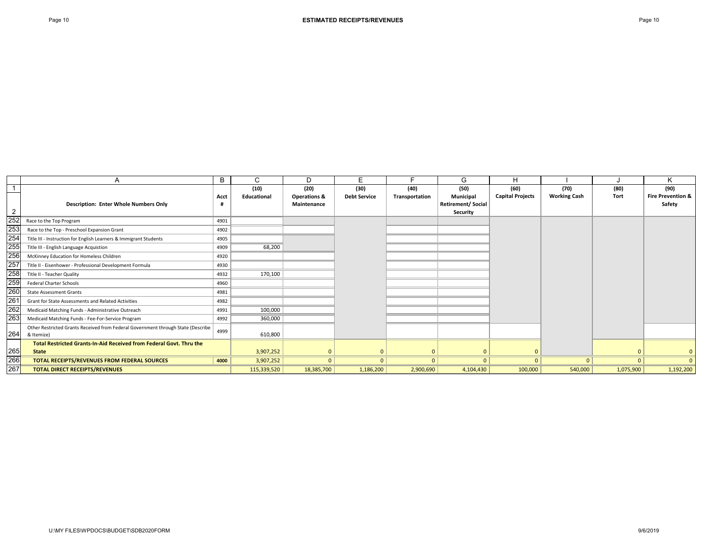|                |                                                                                  | B    | C                  | D.                      | E                   | Е              | G                 | H                       |                     |           | K                            |
|----------------|----------------------------------------------------------------------------------|------|--------------------|-------------------------|---------------------|----------------|-------------------|-------------------------|---------------------|-----------|------------------------------|
|                |                                                                                  |      | (10)               | (20)                    | (30)                | (40)           | (50)              | (60)                    | (70)                | (80)      | (90)                         |
|                |                                                                                  | Acct | <b>Educational</b> | <b>Operations &amp;</b> | <b>Debt Service</b> | Transportation | Municipal         | <b>Capital Projects</b> | <b>Working Cash</b> | Tort      | <b>Fire Prevention &amp;</b> |
|                | <b>Description: Enter Whole Numbers Only</b>                                     |      |                    | Maintenance             |                     |                | Retirement/Social |                         |                     |           | Safety                       |
| $\overline{2}$ |                                                                                  |      |                    |                         |                     |                | Security          |                         |                     |           |                              |
| 252            | Race to the Top Program                                                          | 4901 |                    |                         |                     |                |                   |                         |                     |           |                              |
| 253            | Race to the Top - Preschool Expansion Grant                                      | 4902 |                    |                         |                     |                |                   |                         |                     |           |                              |
| 254            | Title III - Instruction for English Learners & Immigrant Students                | 4905 |                    |                         |                     |                |                   |                         |                     |           |                              |
| 255            | Title III - English Language Acquistion                                          | 4909 | 68,200             |                         |                     |                |                   |                         |                     |           |                              |
| 256            | McKinney Education for Homeless Children                                         | 4920 |                    |                         |                     |                |                   |                         |                     |           |                              |
| 257            | Title II - Eisenhower - Professional Development Formula                         | 4930 |                    |                         |                     |                |                   |                         |                     |           |                              |
| 258            | Title II - Teacher Quality                                                       | 4932 | 170,100            |                         |                     |                |                   |                         |                     |           |                              |
| 259            | <b>Federal Charter Schools</b>                                                   | 4960 |                    |                         |                     |                |                   |                         |                     |           |                              |
| 260            | <b>State Assessment Grants</b>                                                   | 4981 |                    |                         |                     |                |                   |                         |                     |           |                              |
| 261            | Grant for State Assessments and Related Activities                               | 4982 |                    |                         |                     |                |                   |                         |                     |           |                              |
| 262            | Medicaid Matching Funds - Administrative Outreach                                | 4991 | 100,000            |                         |                     |                |                   |                         |                     |           |                              |
| 263            | Medicaid Matching Funds - Fee-For-Service Program                                | 4992 | 360,000            |                         |                     |                |                   |                         |                     |           |                              |
|                | Other Restricted Grants Received from Federal Government through State (Describe | 4999 |                    |                         |                     |                |                   |                         |                     |           |                              |
| 264            | & Itemize)                                                                       |      | 610,800            |                         |                     |                |                   |                         |                     |           |                              |
|                | Total Restricted Grants-In-Aid Received from Federal Govt. Thru the              |      |                    |                         |                     |                |                   |                         |                     |           |                              |
| 265            | State                                                                            |      | 3,907,252          |                         |                     | 0              | $\Omega$          |                         |                     |           | $\mathbf{0}$                 |
| 266            | TOTAL RECEIPTS/REVENUES FROM FEDERAL SOURCES                                     | 4000 | 3,907,252          | $\Omega$                | $\Omega$            | $\Omega$       | $\Omega$          |                         | $\Omega$            |           | $\Omega$                     |
| 267            | <b>TOTAL DIRECT RECEIPTS/REVENUES</b>                                            |      | 115,339,520        | 18,385,700              | 1,186,200           | 2,900,690      | 4,104,430         | 100,000                 | 540,000             | 1,075,900 | 1,192,200                    |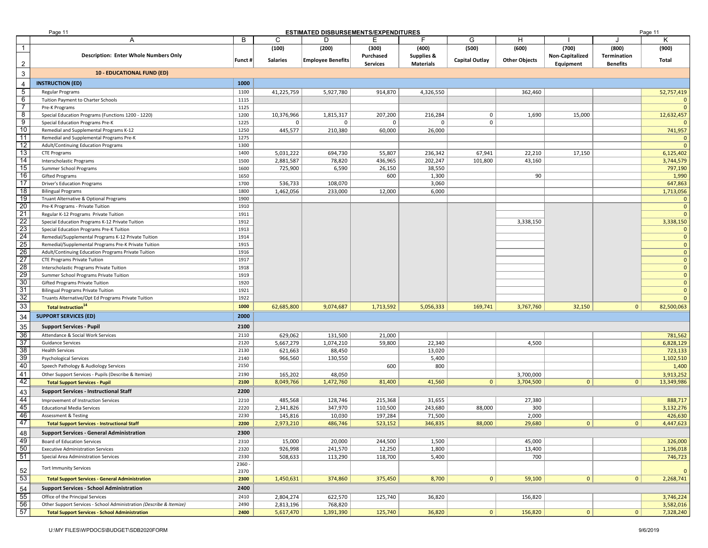|                 | Page 11                                                                                          |              |                        | <b>ESTIMATED DISBURSEMENTS/EXPENDITURES</b> |                   |                    |                   |                      |                 |                 | Page 11                      |
|-----------------|--------------------------------------------------------------------------------------------------|--------------|------------------------|---------------------------------------------|-------------------|--------------------|-------------------|----------------------|-----------------|-----------------|------------------------------|
|                 | A                                                                                                | В            | С                      | D                                           | Е                 | F                  | G                 | H                    |                 |                 | Κ                            |
| $\overline{1}$  |                                                                                                  |              | (100)                  | (200)                                       | (300)             | (400)              | (500)             | (600)                | (700)           | (800)           | (900)                        |
|                 | <b>Description: Enter Whole Numbers Only</b>                                                     | Funct #      | <b>Salaries</b>        | <b>Employee Benefits</b>                    | Purchased         | Supplies &         | Capital Outlay    | <b>Other Objects</b> | Non-Capitalized | Termination     | Total                        |
| $\overline{c}$  |                                                                                                  |              |                        |                                             | <b>Services</b>   | <b>Materials</b>   |                   |                      | Equipment       | <b>Benefits</b> |                              |
| 3               | <b>10 - EDUCATIONAL FUND (ED)</b>                                                                |              |                        |                                             |                   |                    |                   |                      |                 |                 |                              |
| $\overline{4}$  | <b>INSTRUCTION (ED)</b>                                                                          | 1000         |                        |                                             |                   |                    |                   |                      |                 |                 |                              |
| 5               | Regular Programs                                                                                 | 1100         | 41,225,759             | 5,927,780                                   | 914,870           | 4,326,550          |                   | 362,460              |                 |                 | 52,757,419                   |
| 6               | Tuition Payment to Charter Schools                                                               | 1115         |                        |                                             |                   |                    |                   |                      |                 |                 | $\mathbf 0$                  |
| 7               | Pre-K Programs                                                                                   | 1125         |                        |                                             |                   |                    |                   |                      |                 |                 | $\mathbf{0}$                 |
| 8               | Special Education Programs (Functions 1200 - 1220)                                               | 1200         | 10,376,966             | 1,815,317                                   | 207,200           | 216,284            | $\mathbf 0$       | 1,690                | 15,000          |                 | 12,632,457                   |
| 9               | Special Education Programs Pre-K                                                                 | 1225         | $\mathbf{0}$           | $\Omega$                                    | $\mathbf 0$       | 0                  | $\mathsf 0$       |                      |                 |                 | $\Omega$                     |
| 10              | Remedial and Supplemental Programs K-12                                                          | 1250         | 445,577                | 210,380                                     | 60,000            | 26,000             |                   |                      |                 |                 | 741,957                      |
| 11              | Remedial and Supplemental Programs Pre-K                                                         | 1275         |                        |                                             |                   |                    |                   |                      |                 |                 | $\mathbf{0}$                 |
| 12              | Adult/Continuing Education Programs                                                              | 1300         |                        |                                             |                   |                    |                   |                      |                 |                 | $\mathbf{0}$                 |
| 13<br>14        | <b>CTE Programs</b><br>Interscholastic Programs                                                  | 1400<br>1500 | 5,031,222<br>2,881,587 | 694,730<br>78,820                           | 55,807<br>436,965 | 236,342<br>202,247 | 67,941<br>101,800 | 22,210<br>43,160     | 17,150          |                 | 6,125,402<br>3,744,579       |
| 15              | Summer School Programs                                                                           | 1600         | 725,900                | 6,590                                       | 26,150            | 38,550             |                   |                      |                 |                 | 797,190                      |
| 16              | <b>Gifted Programs</b>                                                                           | 1650         |                        |                                             | 600               | 1,300              |                   | 90                   |                 |                 | 1,990                        |
| 17              | <b>Driver's Education Programs</b>                                                               | 1700         | 536,733                | 108,070                                     |                   | 3,060              |                   |                      |                 |                 | 647,863                      |
| 18              | <b>Bilingual Programs</b>                                                                        | 1800         | 1,462,056              | 233,000                                     | 12,000            | 6,000              |                   |                      |                 |                 | 1,713,056                    |
| 19              | Truant Alternative & Optional Programs                                                           | 1900         |                        |                                             |                   |                    |                   |                      |                 |                 | $\mathbf 0$                  |
| 20              | Pre-K Programs - Private Tuition                                                                 | 1910         |                        |                                             |                   |                    |                   |                      |                 |                 | $\mathbf 0$                  |
| 21              | Regular K-12 Programs Private Tuition                                                            | 1911         |                        |                                             |                   |                    |                   |                      |                 |                 | $\mathbf{0}$                 |
| 22              | Special Education Programs K-12 Private Tuition                                                  | 1912         |                        |                                             |                   |                    |                   | 3,338,150            |                 |                 | 3,338,150                    |
| 23              | Special Education Programs Pre-K Tuition                                                         | 1913         |                        |                                             |                   |                    |                   |                      |                 |                 | $\mathbf{0}$                 |
| $\overline{24}$ | Remedial/Supplemental Programs K-12 Private Tuition                                              | 1914         |                        |                                             |                   |                    |                   |                      |                 |                 | $\mathbf{0}$                 |
| 25              | Remedial/Supplemental Programs Pre-K Private Tuition                                             | 1915         |                        |                                             |                   |                    |                   |                      |                 |                 | $\mathbf{0}$                 |
| 26              | Adult/Continuing Education Programs Private Tuition                                              | 1916         |                        |                                             |                   |                    |                   |                      |                 |                 | $\mathbf{0}$                 |
| 27              | <b>CTE Programs Private Tuition</b>                                                              | 1917         |                        |                                             |                   |                    |                   |                      |                 |                 | $\mathbf{0}$                 |
| 28              | Interscholastic Programs Private Tuition                                                         | 1918         |                        |                                             |                   |                    |                   |                      |                 |                 | $\mathbf{0}$                 |
| 29              | Summer School Programs Private Tuition                                                           | 1919         |                        |                                             |                   |                    |                   |                      |                 |                 | $\mathbf{0}$                 |
| 30<br>31        | Gifted Programs Private Tuition                                                                  | 1920         |                        |                                             |                   |                    |                   |                      |                 |                 | $\mathbf{0}$<br>$\mathbf{0}$ |
| 32              | <b>Bilingual Programs Private Tuition</b><br>Truants Alternative/Opt Ed Programs Private Tuition | 1921<br>1922 |                        |                                             |                   |                    |                   |                      |                 |                 | $\mathbf{0}$                 |
| 33              | Total Instruction <sup>14</sup>                                                                  | 1000         |                        |                                             |                   |                    |                   |                      |                 |                 |                              |
|                 |                                                                                                  |              | 62,685,800             | 9,074,687                                   | 1,713,592         | 5,056,333          | 169,741           | 3,767,760            | 32,150          | $\mathbf{0}$    | 82,500,063                   |
| 34              | <b>SUPPORT SERVICES (ED)</b>                                                                     | 2000         |                        |                                             |                   |                    |                   |                      |                 |                 |                              |
| 35              | <b>Support Services - Pupil</b>                                                                  | 2100         |                        |                                             |                   |                    |                   |                      |                 |                 |                              |
| 36              | Attendance & Social Work Services                                                                | 2110         | 629,062                | 131,500                                     | 21,000            |                    |                   |                      |                 |                 | 781,562                      |
| 37              | <b>Guidance Services</b>                                                                         | 2120         | 5,667,279              | 1,074,210                                   | 59,800            | 22,340             |                   | 4,500                |                 |                 | 6,828,129                    |
| 38              | <b>Health Services</b>                                                                           | 2130         | 621,663                | 88,450                                      |                   | 13,020             |                   |                      |                 |                 | 723,133                      |
| 39              | Psychological Services                                                                           | 2140         | 966,560                | 130,550                                     |                   | 5,400              |                   |                      |                 |                 | 1,102,510                    |
| 40              | Speech Pathology & Audiology Services                                                            | 2150         |                        |                                             | 600               | 800                |                   |                      |                 |                 | 1,400                        |
| 41              | Other Support Services - Pupils (Describe & Itemize)                                             | 2190         | 165,202                | 48,050                                      |                   |                    |                   | 3,700,000            |                 |                 | 3,913,252                    |
| 42              | <b>Total Support Services - Pupil</b>                                                            | 2100         | 8,049,766              | 1,472,760                                   | 81,400            | 41,560             | 0                 | 3,704,500            | $\mathbf{0}$    | $\mathbf{0}$    | 13,349,986                   |
| 43              | <b>Support Services - Instructional Staff</b>                                                    | 2200         |                        |                                             |                   |                    |                   |                      |                 |                 |                              |
| 44              | Improvement of Instruction Services                                                              | 2210         | 485,568                | 128,746                                     | 215,368           | 31,655             |                   | 27,380               |                 |                 | 888,717                      |
| 45              | <b>Educational Media Services</b>                                                                | 2220         | 2,341,826              | 347,970                                     | 110,500           | 243,680            | 88,000            | 300                  |                 |                 | 3,132,276                    |
| 46              | <b>Assessment &amp; Testing</b>                                                                  | 2230         | 145,816                | 10,030                                      | 197,284           | 71,500             |                   | 2,000                |                 |                 | 426,630                      |
| 47              | <b>Total Support Services - Instructional Staff</b>                                              | 2200         | 2,973,210              | 486,746                                     | 523,152           | 346,835            | 88,000            | 29,680               | $\mathbf{0}$    | $\mathbf{0}$    | 4,447,623                    |
| 48              | <b>Support Services - General Administration</b>                                                 | 2300         |                        |                                             |                   |                    |                   |                      |                 |                 |                              |
| 49              | Board of Education Services                                                                      | 2310         | 15,000                 | 20,000                                      | 244,500           | 1,500              |                   | 45,000               |                 |                 | 326,000                      |
| 50              | <b>Executive Administration Services</b>                                                         | 2320         | 926,998                | 241,570                                     | 12,250            | 1,800              |                   | 13,400               |                 |                 | 1,196,018                    |
| 51              | Special Area Administration Services                                                             | 2330         | 508,633                | 113,290                                     | 118,700           | 5,400              |                   | 700                  |                 |                 | 746,723                      |
|                 | <b>Tort Immunity Services</b>                                                                    | 2360 -       |                        |                                             |                   |                    |                   |                      |                 |                 |                              |
| 52              |                                                                                                  | 2370         |                        |                                             |                   |                    |                   |                      |                 |                 | $\mathbf{0}$                 |
| 53              | <b>Total Support Services - General Administration</b>                                           | 2300         | 1,450,631              | 374,860                                     | 375,450           | 8,700              | 0                 | 59,100               | $\mathbf{0}$    | 0               | 2,268,741                    |
| 54              | <b>Support Services - School Administration</b>                                                  | 2400         |                        |                                             |                   |                    |                   |                      |                 |                 |                              |
| 55              | Office of the Principal Services                                                                 | 2410         | 2,804,274              | 622,570                                     | 125,740           | 36,820             |                   | 156,820              |                 |                 | 3,746,224                    |
| 56              | Other Support Services - School Administration (Describe & Itemize)                              | 2490         | 2,813,196              | 768,820                                     |                   |                    |                   |                      |                 |                 | 3,582,016                    |
| 57              | <b>Total Support Services - School Administration</b>                                            | 2400         | 5,617,470              | 1,391,390                                   | 125,740           | 36,820             | 0                 | 156,820              | $\mathbf{0}$    | $\mathbf{0}$    | 7,328,240                    |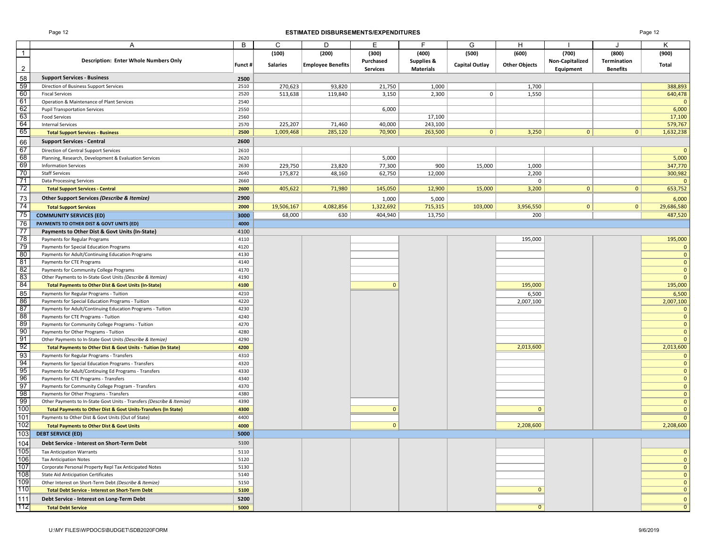#### Page 12 **ESTIMATED DISBURSEMENTS/EXPENDITURES** Page 12

|                 | Α                                                                      | B       | C               | D                 | Е               | F                | G                     | H                    |                 | J               | K              |
|-----------------|------------------------------------------------------------------------|---------|-----------------|-------------------|-----------------|------------------|-----------------------|----------------------|-----------------|-----------------|----------------|
| $\overline{1}$  |                                                                        |         | (100)           | (200)             | (300)           | (400)            | (500)                 | (600)                | (700)           | (800)           | (900)          |
|                 | <b>Description: Enter Whole Numbers Only</b>                           | Funct # | <b>Salaries</b> | Employee Benefits | Purchased       | Supplies &       | <b>Capital Outlay</b> | <b>Other Objects</b> | Non-Capitalized | Termination     | Total          |
| $\overline{2}$  |                                                                        |         |                 |                   | <b>Services</b> | <b>Materials</b> |                       |                      | Equipment       | <b>Benefits</b> |                |
| 58              | <b>Support Services - Business</b>                                     | 2500    |                 |                   |                 |                  |                       |                      |                 |                 |                |
| 59              | Direction of Business Support Services                                 | 2510    | 270,623         | 93,820            | 21,750          | 1,000            |                       | 1,700                |                 |                 | 388,893        |
| 60              | <b>Fiscal Services</b>                                                 | 2520    | 513,638         | 119,840           | 3,150           | 2,300            | 0                     | 1,550                |                 |                 | 640,478        |
| 61              | Operation & Maintenance of Plant Services                              | 2540    |                 |                   |                 |                  |                       |                      |                 |                 | $\overline{0}$ |
| 62              | <b>Pupil Transportation Services</b>                                   | 2550    |                 |                   | 6,000           |                  |                       |                      |                 |                 | 6,000          |
| 63              | <b>Food Services</b>                                                   | 2560    |                 |                   |                 | 17,100           |                       |                      |                 |                 | 17,100         |
| 64              | <b>Internal Services</b>                                               | 2570    | 225,207         | 71,460            | 40,000          | 243,100          |                       |                      |                 |                 | 579,767        |
| 65              | <b>Total Support Services - Business</b>                               | 2500    | 1,009,468       | 285,120           | 70,900          | 263,500          | 0 <sup>1</sup>        | 3,250                | 0               | 0               | 1,632,238      |
| 66              | <b>Support Services - Central</b>                                      | 2600    |                 |                   |                 |                  |                       |                      |                 |                 |                |
| 67              | Direction of Central Support Services                                  | 2610    |                 |                   |                 |                  |                       |                      |                 |                 | $\overline{0}$ |
| 68              | Planning, Research, Development & Evaluation Services                  | 2620    |                 |                   | 5,000           |                  |                       |                      |                 |                 | 5,000          |
| 69              | <b>Information Services</b>                                            | 2630    | 229,750         | 23,820            | 77,300          | 900              | 15,000                | 1,000                |                 |                 | 347,770        |
| 70              | <b>Staff Services</b>                                                  | 2640    | 175,872         | 48,160            | 62,750          | 12,000           |                       | 2,200                |                 |                 | 300,982        |
| $\overline{71}$ | <b>Data Processing Services</b>                                        | 2660    |                 |                   |                 |                  |                       | 0                    |                 |                 | $\mathbf{0}$   |
| 72              | <b>Total Support Services - Central</b>                                | 2600    | 405,622         | 71,980            | 145,050         | 12,900           | 15,000                | 3,200                | $\overline{0}$  | $\mathbf{0}$    | 653,752        |
| 73              | Other Support Services (Describe & Itemize)                            | 2900    |                 |                   |                 |                  |                       |                      |                 |                 |                |
| 74              |                                                                        |         |                 |                   | 1,000           | 5,000            |                       |                      |                 |                 | 6,000          |
|                 | <b>Total Support Services</b>                                          | 2000    | 19,506,167      | 4,082,856         | 1,322,692       | 715,315          | 103,000               | 3,956,550            | $\mathbf{0}$    | $\mathbf{0}$    | 29,686,580     |
| 75              | <b>COMMUNITY SERVICES (ED)</b>                                         | 3000    | 68,000          | 630               | 404,940         | 13,750           |                       | 200                  |                 |                 | 487,520        |
| 76              | PAYMENTS TO OTHER DIST & GOVT UNITS (ED)                               | 4000    |                 |                   |                 |                  |                       |                      |                 |                 |                |
| 77              | Payments to Other Dist & Govt Units (In-State)                         | 4100    |                 |                   |                 |                  |                       |                      |                 |                 |                |
| 78              | Payments for Regular Programs                                          | 4110    |                 |                   |                 |                  |                       | 195,000              |                 |                 | 195,000        |
| 79              | Payments for Special Education Programs                                | 4120    |                 |                   |                 |                  |                       |                      |                 |                 | $\mathbf{0}$   |
| 80              | Payments for Adult/Continuing Education Programs                       | 4130    |                 |                   |                 |                  |                       |                      |                 |                 | $\overline{0}$ |
| 81              | Payments for CTE Programs                                              | 4140    |                 |                   |                 |                  |                       |                      |                 |                 | $\mathbf{0}$   |
| 82              | Payments for Community College Programs                                | 4170    |                 |                   |                 |                  |                       |                      |                 |                 | $\Omega$       |
| 83              | Other Payments to In-State Govt Units (Describe & Itemize)             | 4190    |                 |                   |                 |                  |                       |                      |                 |                 | $\mathbf{0}$   |
| 84              | <b>Total Payments to Other Dist &amp; Govt Units (In-State)</b>        | 4100    |                 |                   | $\mathbf{0}$    |                  |                       | 195,000              |                 |                 | 195,000        |
| 85              | Payments for Regular Programs - Tuition                                | 4210    |                 |                   |                 |                  |                       | 6,500                |                 |                 | 6,500          |
| 86              | Payments for Special Education Programs - Tuition                      | 4220    |                 |                   |                 |                  |                       | 2,007,100            |                 |                 | 2,007,100      |
| 87              | Payments for Adult/Continuing Education Programs - Tuition             | 4230    |                 |                   |                 |                  |                       |                      |                 |                 | $\mathbf 0$    |
| 88              | Payments for CTE Programs - Tuition                                    | 4240    |                 |                   |                 |                  |                       |                      |                 |                 | $\mathbf{0}$   |
| 89              | Payments for Community College Programs - Tuition                      | 4270    |                 |                   |                 |                  |                       |                      |                 |                 | $\overline{0}$ |
| 90              | Payments for Other Programs - Tuition                                  | 4280    |                 |                   |                 |                  |                       |                      |                 |                 | $\overline{0}$ |
| 91              | Other Payments to In-State Govt Units (Describe & Itemize)             | 4290    |                 |                   |                 |                  |                       |                      |                 |                 | $\Omega$       |
| 92              | Total Payments to Other Dist & Govt Units - Tuition (In State)         | 4200    |                 |                   |                 |                  |                       | 2,013,600            |                 |                 | 2,013,600      |
| 93              | Payments for Regular Programs - Transfers                              | 4310    |                 |                   |                 |                  |                       |                      |                 |                 | $\Omega$       |
| 94              | Payments for Special Education Programs - Transfers                    | 4320    |                 |                   |                 |                  |                       |                      |                 |                 | $\mathbf{0}$   |
| 95              | Payments for Adult/Continuing Ed Programs - Transfers                  | 4330    |                 |                   |                 |                  |                       |                      |                 |                 | $\mathbf{0}$   |
| 96              | Payments for CTE Programs - Transfers                                  | 4340    |                 |                   |                 |                  |                       |                      |                 |                 | $\mathbf{0}$   |
| 97              | Payments for Community College Program - Transfers                     | 4370    |                 |                   |                 |                  |                       |                      |                 |                 | $\mathbf{0}$   |
| 98              | Payments for Other Programs - Transfers                                | 4380    |                 |                   |                 |                  |                       |                      |                 |                 | $\overline{0}$ |
| 99              | Other Payments to In-State Govt Units - Transfers (Describe & Itemize) | 4390    |                 |                   |                 |                  |                       |                      |                 |                 | $\overline{0}$ |
| 100             | Total Payments to Other Dist & Govt Units-Transfers (In State)         | 4300    |                 |                   | $\mathbf{0}$    |                  |                       | $\mathbf{0}$         |                 |                 | $\mathbf{0}$   |
| 101             | Payments to Other Dist & Govt Units (Out of State)                     | 4400    |                 |                   |                 |                  |                       |                      |                 |                 | $\Omega$       |
| 102             | <b>Total Payments to Other Dist &amp; Govt Units</b>                   | 4000    |                 |                   | $\mathbf{0}$    |                  |                       | 2,208,600            |                 |                 | 2,208,600      |
| 103             | <b>DEBT SERVICE (ED)</b>                                               | 5000    |                 |                   |                 |                  |                       |                      |                 |                 |                |
| 104             | Debt Service - Interest on Short-Term Debt                             | 5100    |                 |                   |                 |                  |                       |                      |                 |                 |                |
| 105             | <b>Tax Anticipation Warrants</b>                                       | 5110    |                 |                   |                 |                  |                       |                      |                 |                 | $\mathbf 0$    |
| 106             | <b>Tax Anticipation Notes</b>                                          | 5120    |                 |                   |                 |                  |                       |                      |                 |                 | $\mathbf{0}$   |
| 107             | Corporate Personal Property Repl Tax Anticipated Notes                 | 5130    |                 |                   |                 |                  |                       |                      |                 |                 | $\mathbf{0}$   |
| 108             | <b>State Aid Anticipation Certificates</b>                             | 5140    |                 |                   |                 |                  |                       |                      |                 |                 | $\Omega$       |
| 109             | Other Interest on Short-Term Debt (Describe & Itemize)                 | 5150    |                 |                   |                 |                  |                       |                      |                 |                 | $\Omega$       |
| 110             | <b>Total Debt Service - Interest on Short-Term Debt</b>                | 5100    |                 |                   |                 |                  |                       | $\mathbf{0}$         |                 |                 | $\mathbf{0}$   |
| 111             | Debt Service - Interest on Long-Term Debt                              | 5200    |                 |                   |                 |                  |                       |                      |                 |                 | $\mathbf{0}$   |
| 112             | <b>Total Debt Service</b>                                              | 5000    |                 |                   |                 |                  |                       | $\Omega$             |                 |                 | $\overline{0}$ |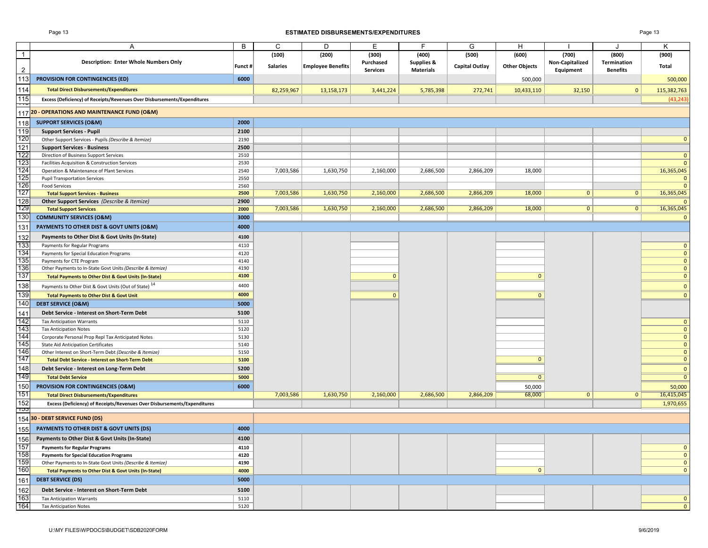#### Page 13 **ESTIMATED DISBURSEMENTS/EXPENDITURES** Page 13

|                 | Α                                                                        | В       | С               | D                        | Е               | F.               | G                     | H                    |                 | $\cdot$         | K                           |
|-----------------|--------------------------------------------------------------------------|---------|-----------------|--------------------------|-----------------|------------------|-----------------------|----------------------|-----------------|-----------------|-----------------------------|
| $\overline{1}$  |                                                                          |         | (100)           | (200)                    | (300)           | (400)            | (500)                 | (600)                | (700)           | (800)           | (900)                       |
|                 | <b>Description: Enter Whole Numbers Only</b>                             |         |                 |                          | Purchased       | Supplies &       |                       |                      | Non-Capitalized | Termination     |                             |
| $\overline{2}$  |                                                                          | Funct # | <b>Salaries</b> | <b>Employee Benefits</b> | <b>Services</b> | <b>Materials</b> | <b>Capital Outlay</b> | <b>Other Objects</b> | Equipment       | <b>Benefits</b> | Total                       |
| 113             | <b>PROVISION FOR CONTINGENCIES (ED)</b>                                  | 6000    |                 |                          |                 |                  |                       | 500,000              |                 |                 | 500,000                     |
|                 |                                                                          |         |                 |                          |                 |                  |                       |                      |                 |                 |                             |
| 114             | <b>Total Direct Disbursements/Expenditures</b>                           |         | 82,259,967      | 13,158,173               | 3,441,224       | 5,785,398        | 272,741               | 10,433,110           | 32,150          | $\mathbf{0}$    | 115,382,763                 |
| 115<br>Ŧ        | Excess (Deficiency) of Receipts/Revenues Over Disbursements/Expenditures |         |                 |                          |                 |                  |                       |                      |                 |                 | (43, 243)                   |
|                 | 117 20 - OPERATIONS AND MAINTENANCE FUND (O&M)                           |         |                 |                          |                 |                  |                       |                      |                 |                 |                             |
|                 |                                                                          |         |                 |                          |                 |                  |                       |                      |                 |                 |                             |
| 118             | <b>SUPPORT SERVICES (O&amp;M)</b>                                        | 2000    |                 |                          |                 |                  |                       |                      |                 |                 |                             |
| 119             | <b>Support Services - Pupil</b>                                          | 2100    |                 |                          |                 |                  |                       |                      |                 |                 |                             |
| 120             | Other Support Services - Pupils (Describe & Itemize)                     | 2190    |                 |                          |                 |                  |                       |                      |                 |                 | $\mathbf 0$                 |
| 121             | <b>Support Services - Business</b>                                       | 2500    |                 |                          |                 |                  |                       |                      |                 |                 |                             |
| 122             | Direction of Business Support Services                                   | 2510    |                 |                          |                 |                  |                       |                      |                 |                 | $\mathbf 0$                 |
| 123             | Facilities Acquisition & Construction Services                           | 2530    |                 |                          |                 |                  |                       |                      |                 |                 | $\mathbf{0}$                |
| 124             | Operation & Maintenance of Plant Services                                | 2540    | 7,003,586       | 1,630,750                | 2,160,000       | 2,686,500        | 2,866,209             | 18,000               |                 |                 | 16,365,045                  |
| 125             | <b>Pupil Transportation Services</b>                                     | 2550    |                 |                          |                 |                  |                       |                      |                 |                 | $\mathbf 0$                 |
| 126             | <b>Food Services</b>                                                     | 2560    |                 |                          |                 |                  |                       |                      |                 |                 | $\mathbf{0}$                |
| 127             | <b>Total Support Services - Business</b>                                 | 2500    | 7,003,586       | 1,630,750                | 2,160,000       | 2,686,500        | 2,866,209             | 18,000               | $\mathbf{0}$    | 0               | 16,365,045                  |
| 128             | Other Support Services (Describe & Itemize)                              | 2900    |                 |                          |                 |                  |                       |                      |                 |                 | $\Omega$                    |
| 129             | <b>Total Support Services</b>                                            | 2000    | 7,003,586       | 1,630,750                | 2,160,000       | 2,686,500        | 2,866,209             | 18,000               | $\mathbf{0}$    | 0               | 16,365,045                  |
| 13 <sub>0</sub> | <b>COMMUNITY SERVICES (O&amp;M)</b>                                      | 3000    |                 |                          |                 |                  |                       |                      |                 |                 | $\mathbf 0$                 |
| 131             | PAYMENTS TO OTHER DIST & GOVT UNITS (O&M)                                | 4000    |                 |                          |                 |                  |                       |                      |                 |                 |                             |
| 132             | Payments to Other Dist & Govt Units (In-State)                           | 4100    |                 |                          |                 |                  |                       |                      |                 |                 |                             |
| 133             | Payments for Regular Programs                                            | 4110    |                 |                          |                 |                  |                       |                      |                 |                 | $\mathbf{0}$                |
| 134             | Payments for Special Education Programs                                  | 4120    |                 |                          |                 |                  |                       |                      |                 |                 | $\mathbf{0}$                |
| 135             | Payments for CTE Program                                                 | 4140    |                 |                          |                 |                  |                       |                      |                 |                 | $\mathbf{0}$                |
| 136             | Other Payments to In-State Govt Units (Describe & Itemize)               | 4190    |                 |                          |                 |                  |                       |                      |                 |                 | $\mathbf{0}$                |
| 137             | <b>Total Payments to Other Dist &amp; Govt Units (In-State)</b>          | 4100    |                 |                          | $\mathbf{0}$    |                  |                       | $\mathbf{0}$         |                 |                 | $\mathbf 0$                 |
| 138             | Payments to Other Dist & Govt Units (Out of State) <sup>14</sup>         | 4400    |                 |                          |                 |                  |                       |                      |                 |                 | $\mathbf{0}$                |
| 139             | <b>Total Payments to Other Dist &amp; Govt Unit</b>                      | 4000    |                 |                          | $\mathbf{0}$    |                  |                       | $\mathbf{0}$         |                 |                 | $\mathbf{0}$                |
| 140             | <b>DEBT SERVICE (O&amp;M)</b>                                            | 5000    |                 |                          |                 |                  |                       |                      |                 |                 |                             |
|                 |                                                                          |         |                 |                          |                 |                  |                       |                      |                 |                 |                             |
| 141             | Debt Service - Interest on Short-Term Debt                               | 5100    |                 |                          |                 |                  |                       |                      |                 |                 |                             |
| 142             | <b>Tax Anticipation Warrants</b>                                         | 5110    |                 |                          |                 |                  |                       |                      |                 |                 | $\mathbf{0}$                |
| 143<br>144      | <b>Tax Anticipation Notes</b>                                            | 5120    |                 |                          |                 |                  |                       |                      |                 |                 | $\mathbf{0}$                |
|                 | Corporate Personal Prop Repl Tax Anticipated Notes                       | 5130    |                 |                          |                 |                  |                       |                      |                 |                 | $\mathbf{0}$                |
| 145<br>146      | <b>State Aid Anticipation Certificates</b>                               | 5140    |                 |                          |                 |                  |                       |                      |                 |                 | $\mathbf{0}$                |
| 147             | Other Interest on Short-Term Debt (Describe & Itemize)                   | 5150    |                 |                          |                 |                  |                       | $\mathbf{0}$         |                 |                 | $\mathbf{0}$<br>$\mathbf 0$ |
|                 | <b>Total Debt Service - Interest on Short-Term Debt</b>                  | 5100    |                 |                          |                 |                  |                       |                      |                 |                 |                             |
| 148             | Debt Service - Interest on Long-Term Debt                                | 5200    |                 |                          |                 |                  |                       |                      |                 |                 | $\mathbf{0}$                |
| 149             | <b>Total Debt Service</b>                                                | 5000    |                 |                          |                 |                  |                       | $\overline{0}$       |                 |                 | $\overline{0}$              |
| 150             | PROVISION FOR CONTINGENCIES (O&M)                                        | 6000    |                 |                          |                 |                  |                       | 50,000               |                 |                 | 50,000                      |
| 151             | <b>Total Direct Disbursements/Expenditures</b>                           |         | 7,003,586       | 1,630,750                | 2,160,000       | 2,686,500        | 2,866,209             | 68,000               | $\mathbf{0}$    | $\mathbf{0}$    | 16,415,045                  |
| 152             | Excess (Deficiency) of Receipts/Revenues Over Disbursements/Expenditures |         |                 |                          |                 |                  |                       |                      |                 |                 | 1,970,655                   |
| ာသ              | 154 30 - DEBT SERVICE FUND (DS)                                          |         |                 |                          |                 |                  |                       |                      |                 |                 |                             |
|                 |                                                                          |         |                 |                          |                 |                  |                       |                      |                 |                 |                             |
| 155             | PAYMENTS TO OTHER DIST & GOVT UNITS (DS)                                 | 4000    |                 |                          |                 |                  |                       |                      |                 |                 |                             |
| 156             | Payments to Other Dist & Govt Units (In-State)                           | 4100    |                 |                          |                 |                  |                       |                      |                 |                 |                             |
| $\frac{1}{157}$ | <b>Payments for Regular Programs</b>                                     | 4110    |                 |                          |                 |                  |                       |                      |                 |                 | $\mathbf{0}$                |
| 158             | <b>Payments for Special Education Programs</b>                           | 4120    |                 |                          |                 |                  |                       |                      |                 |                 | $\mathbf{0}$                |
| 159             | Other Payments to In-State Govt Units (Describe & Itemize)               | 4190    |                 |                          |                 |                  |                       |                      |                 |                 | $\mathbf{0}$                |
| 160             | Total Payments to Other Dist & Govt Units (In-State)                     | 4000    |                 |                          |                 |                  |                       | $\mathbf{0}$         |                 |                 | $\mathbf{0}$                |
| 161             | <b>DEBT SERVICE (DS)</b>                                                 | 5000    |                 |                          |                 |                  |                       |                      |                 |                 |                             |
| 162             | Debt Service - Interest on Short-Term Debt                               | 5100    |                 |                          |                 |                  |                       |                      |                 |                 |                             |
| 163             | <b>Tax Anticipation Warrants</b>                                         | 5110    |                 |                          |                 |                  |                       |                      |                 |                 | $\mathbf 0$                 |
| 164             | <b>Tax Anticipation Notes</b>                                            | 5120    |                 |                          |                 |                  |                       |                      |                 |                 | $\mathbf{0}$                |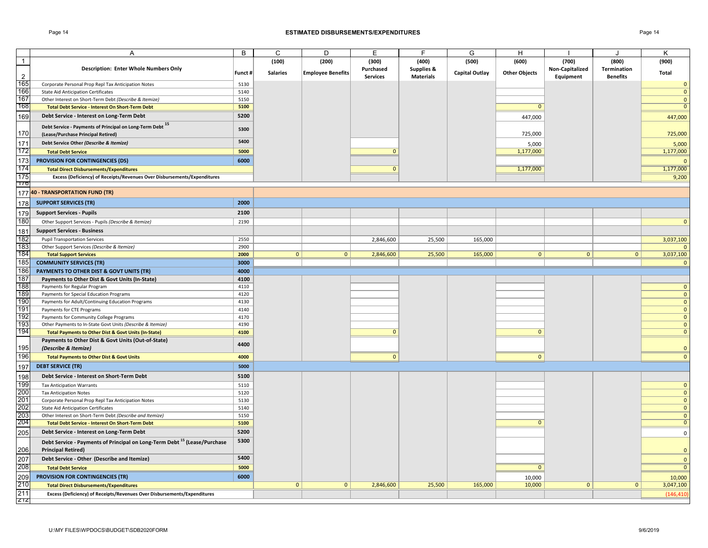#### Page 14 **ESTIMATED DISBURSEMENTS/EXPENDITURES** Page 14

|                  | Α                                                                                    | B       | C               | D                        | Е               | F                | G                     | н                    |                 |                    | Κ              |
|------------------|--------------------------------------------------------------------------------------|---------|-----------------|--------------------------|-----------------|------------------|-----------------------|----------------------|-----------------|--------------------|----------------|
| $\overline{1}$   |                                                                                      |         | (100)           | (200)                    | (300)           | (400)            | (500)                 | (600)                | (700)           | (800)              | (900)          |
|                  | <b>Description: Enter Whole Numbers Only</b>                                         |         |                 |                          | Purchased       | Supplies &       |                       |                      | Non-Capitalized | <b>Termination</b> |                |
| $\overline{2}$   |                                                                                      | Funct # | <b>Salaries</b> | <b>Employee Benefits</b> | <b>Services</b> | <b>Materials</b> | <b>Capital Outlay</b> | <b>Other Objects</b> | Equipment       | <b>Benefits</b>    | Total          |
| 165              | Corporate Personal Prop Repl Tax Anticipation Notes                                  | 5130    |                 |                          |                 |                  |                       |                      |                 |                    | $\mathbf{0}$   |
| 166              | <b>State Aid Anticipation Certificates</b>                                           | 5140    |                 |                          |                 |                  |                       |                      |                 |                    | $\mathbf{0}$   |
| 167              | Other Interest on Short-Term Debt (Describe & Itemize)                               | 5150    |                 |                          |                 |                  |                       |                      |                 |                    | $\mathbf{0}$   |
| 168              | <b>Total Debt Service - Interest On Short-Term Debt</b>                              | 5100    |                 |                          |                 |                  |                       | $\mathbf{0}$         |                 |                    | $\mathbf{0}$   |
|                  |                                                                                      | 5200    |                 |                          |                 |                  |                       |                      |                 |                    |                |
| 169              | Debt Service - Interest on Long-Term Debt                                            |         |                 |                          |                 |                  |                       | 447,000              |                 |                    | 447,000        |
|                  | Debt Service - Payments of Principal on Long-Term Debt 15                            | 5300    |                 |                          |                 |                  |                       |                      |                 |                    |                |
| 170              | (Lease/Purchase Principal Retired)                                                   |         |                 |                          |                 |                  |                       | 725,000              |                 |                    | 725,000        |
| 171              | Debt Service Other (Describe & Itemize)                                              | 5400    |                 |                          |                 |                  |                       | 5,000                |                 |                    | 5,000          |
| 172              | <b>Total Debt Service</b>                                                            | 5000    |                 |                          | $\Omega$        |                  |                       | 1,177,000            |                 |                    | 1,177,000      |
| 173              | PROVISION FOR CONTINGENCIES (DS)                                                     | 6000    |                 |                          |                 |                  |                       |                      |                 |                    | $\mathbf{0}$   |
| 174              | <b>Total Direct Disbursements/Expenditures</b>                                       |         |                 |                          | $\mathbf{0}$    |                  |                       | 1,177,000            |                 |                    | 1,177,000      |
| 175              | Excess (Deficiency) of Receipts/Revenues Over Disbursements/Expenditures             |         |                 |                          |                 |                  |                       |                      |                 |                    | 9,200          |
| $\overline{170}$ |                                                                                      |         |                 |                          |                 |                  |                       |                      |                 |                    |                |
|                  | 177 40 - TRANSPORTATION FUND (TR)                                                    |         |                 |                          |                 |                  |                       |                      |                 |                    |                |
|                  |                                                                                      |         |                 |                          |                 |                  |                       |                      |                 |                    |                |
| 178              | <b>SUPPORT SERVICES (TR)</b>                                                         | 2000    |                 |                          |                 |                  |                       |                      |                 |                    |                |
| 179              | <b>Support Services - Pupils</b>                                                     | 2100    |                 |                          |                 |                  |                       |                      |                 |                    |                |
| 180              | Other Support Services - Pupils (Describe & Itemize)                                 | 2190    |                 |                          |                 |                  |                       |                      |                 |                    | $\mathbf{0}$   |
| 181              | <b>Support Services - Business</b>                                                   |         |                 |                          |                 |                  |                       |                      |                 |                    |                |
| 182              | <b>Pupil Transportation Services</b>                                                 | 2550    |                 |                          | 2,846,600       | 25,500           | 165,000               |                      |                 |                    | 3,037,100      |
| 183              | Other Support Services (Describe & Itemize)                                          | 2900    |                 |                          |                 |                  |                       |                      |                 |                    |                |
| 184              | <b>Total Support Services</b>                                                        | 2000    | $\mathbf{0}$    | $\mathbf{0}$             | 2,846,600       | 25,500           | 165,000               | $\mathbf{0}$         | $\mathbf{0}$    | $\mathbf{0}$       | 3,037,100      |
| 185              | <b>COMMUNITY SERVICES (TR)</b>                                                       | 3000    |                 |                          |                 |                  |                       |                      |                 |                    | $\mathbf{0}$   |
| 186              | PAYMENTS TO OTHER DIST & GOVT UNITS (TR)                                             | 4000    |                 |                          |                 |                  |                       |                      |                 |                    |                |
| 187              | Payments to Other Dist & Govt Units (In-State)                                       | 4100    |                 |                          |                 |                  |                       |                      |                 |                    |                |
| 188              | Payments for Regular Program                                                         | 4110    |                 |                          |                 |                  |                       |                      |                 |                    | $\mathbf{0}$   |
| 189              | Payments for Special Education Programs                                              | 4120    |                 |                          |                 |                  |                       |                      |                 |                    | $\Omega$       |
| 190              | Payments for Adult/Continuing Education Programs                                     | 4130    |                 |                          |                 |                  |                       |                      |                 |                    | $\mathbf{0}$   |
| 191              | Payments for CTE Programs                                                            | 4140    |                 |                          |                 |                  |                       |                      |                 |                    | $\mathbf{0}$   |
| 192              | Payments for Community College Programs                                              | 4170    |                 |                          |                 |                  |                       |                      |                 |                    | $\mathbf{0}$   |
| 193              | Other Payments to In-State Govt Units (Describe & Itemize)                           | 4190    |                 |                          |                 |                  |                       |                      |                 |                    | $\mathbf{0}$   |
| 194              | <b>Total Payments to Other Dist &amp; Govt Units (In-State)</b>                      | 4100    |                 |                          | $\Omega$        |                  |                       | $\mathbf{0}$         |                 |                    | $\mathbf{0}$   |
|                  | Payments to Other Dist & Govt Units (Out-of-State)                                   |         |                 |                          |                 |                  |                       |                      |                 |                    |                |
| 195              | (Describe & Itemize)                                                                 | 4400    |                 |                          |                 |                  |                       |                      |                 |                    | $\mathbf{0}$   |
| 196              | <b>Total Payments to Other Dist &amp; Govt Units</b>                                 | 4000    |                 |                          | $\overline{0}$  |                  |                       | $\mathbf{0}$         |                 |                    | $\mathbf{0}$   |
|                  |                                                                                      |         |                 |                          |                 |                  |                       |                      |                 |                    |                |
| 197              | <b>DEBT SERVICE (TR)</b>                                                             | 5000    |                 |                          |                 |                  |                       |                      |                 |                    |                |
| 198              | Debt Service - Interest on Short-Term Debt                                           | 5100    |                 |                          |                 |                  |                       |                      |                 |                    |                |
| 199              | <b>Tax Anticipation Warrants</b>                                                     | 5110    |                 |                          |                 |                  |                       |                      |                 |                    | $\mathbf{0}$   |
| 200              | <b>Tax Anticipation Notes</b>                                                        | 5120    |                 |                          |                 |                  |                       |                      |                 |                    | $\mathbf{0}$   |
| 201              | Corporate Personal Prop Repl Tax Anticipation Notes                                  | 5130    |                 |                          |                 |                  |                       |                      |                 |                    | $\mathbf{0}$   |
| 202              | <b>State Aid Anticipation Certificates</b>                                           | 5140    |                 |                          |                 |                  |                       |                      |                 |                    | $\mathbf{0}$   |
| 203<br>204       | Other Interest on Short-Term Debt (Describe and Itemize)                             | 5150    |                 |                          |                 |                  |                       |                      |                 |                    | $\Omega$       |
|                  | <b>Total Debt Service - Interest On Short-Term Debt</b>                              | 5100    |                 |                          |                 |                  |                       | $\mathbf{0}$         |                 |                    | $\mathbf{0}$   |
| 205              | Debt Service - Interest on Long-Term Debt                                            | 5200    |                 |                          |                 |                  |                       |                      |                 |                    | $\mathbf 0$    |
|                  | Debt Service - Payments of Principal on Long-Term Debt <sup>15</sup> (Lease/Purchase | 5300    |                 |                          |                 |                  |                       |                      |                 |                    |                |
| 206              | <b>Principal Retired)</b>                                                            | 5400    |                 |                          |                 |                  |                       |                      |                 |                    | $\mathbf{0}$   |
| 207<br>208       | Debt Service - Other (Describe and Itemize)                                          |         |                 |                          |                 |                  |                       |                      |                 |                    | $\mathbf{0}$   |
|                  | <b>Total Debt Service</b>                                                            | 5000    |                 |                          |                 |                  |                       | $\Omega$             |                 |                    | $\overline{0}$ |
| 209              | <b>PROVISION FOR CONTINGENCIES (TR)</b>                                              | 6000    |                 |                          |                 |                  |                       | 10,000               |                 |                    | 10,000         |
| 210              | <b>Total Direct Disbursements/Expenditures</b>                                       |         | $\mathbf{0}$    | $\mathbf{0}$             | 2,846,600       | 25,500           | 165,000               | 10,000               | $\mathbf{0}$    | $\mathbf{0}$       | 3,047,100      |
| 211              | Excess (Deficiency) of Receipts/Revenues Over Disbursements/Expenditures             |         |                 |                          |                 |                  |                       |                      |                 |                    | (146, 410)     |
| 717              |                                                                                      |         |                 |                          |                 |                  |                       |                      |                 |                    |                |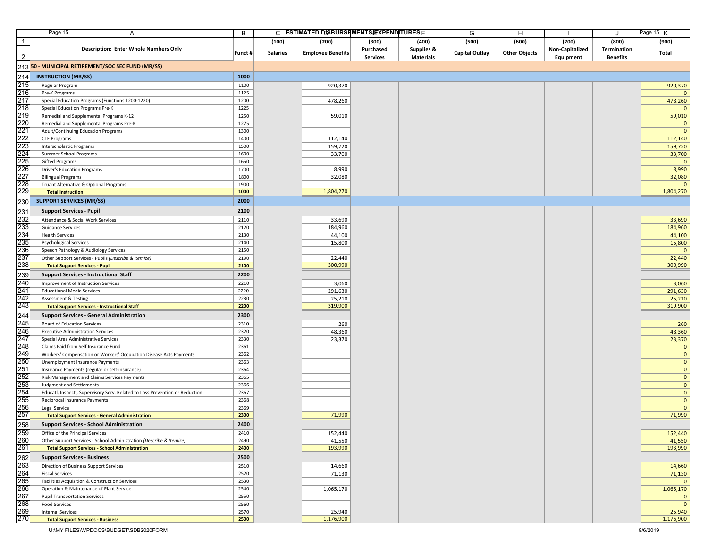|                   | Page 15<br>A                                                                 | В       |                 | C ESTIMATED DISBURSEMENTS/EXPENDITURES F |                 |                       | G              | H                    |                 |                 | age 15 K       |
|-------------------|------------------------------------------------------------------------------|---------|-----------------|------------------------------------------|-----------------|-----------------------|----------------|----------------------|-----------------|-----------------|----------------|
| $\mathbf{1}$      |                                                                              |         | (100)           | (200)                                    | (300)           | (400)                 | (500)          | (600)                | (700)           | (800)           | (900)          |
|                   | <b>Description: Enter Whole Numbers Only</b>                                 |         |                 |                                          | Purchased       | <b>Supplies &amp;</b> |                |                      | Non-Capitalized | Termination     |                |
| $\overline{2}$    |                                                                              | Funct # | <b>Salaries</b> | <b>Employee Benefits</b>                 | <b>Services</b> | <b>Materials</b>      | Capital Outlay | <b>Other Objects</b> | Equipment       | <b>Benefits</b> | Total          |
|                   |                                                                              |         |                 |                                          |                 |                       |                |                      |                 |                 |                |
|                   | 213 50 - MUNICIPAL RETIREMENT/SOC SEC FUND (MR/SS)                           |         |                 |                                          |                 |                       |                |                      |                 |                 |                |
| 214               | <b>INSTRUCTION (MR/SS)</b>                                                   | 1000    |                 |                                          |                 |                       |                |                      |                 |                 |                |
| 215               | Regular Program                                                              | 1100    |                 | 920,370                                  |                 |                       |                |                      |                 |                 | 920,370        |
| 216               | Pre-K Programs                                                               | 1125    |                 |                                          |                 |                       |                |                      |                 |                 | $\mathbf 0$    |
| 217               | Special Education Programs (Functions 1200-1220)                             | 1200    |                 | 478,260                                  |                 |                       |                |                      |                 |                 | 478,260        |
| 218               | Special Education Programs Pre-K                                             | 1225    |                 |                                          |                 |                       |                |                      |                 |                 | $\mathbf{0}$   |
| 219               | Remedial and Supplemental Programs K-12                                      | 1250    |                 | 59,010                                   |                 |                       |                |                      |                 |                 | 59,010         |
| 220               | Remedial and Supplemental Programs Pre-K                                     | 1275    |                 |                                          |                 |                       |                |                      |                 |                 | $\mathbf{0}$   |
| 221               | Adult/Continuing Education Programs                                          | 1300    |                 |                                          |                 |                       |                |                      |                 |                 | $\mathbf{0}$   |
|                   | <b>CTE Programs</b>                                                          | 1400    |                 | 112,140                                  |                 |                       |                |                      |                 |                 | 112,140        |
| 222<br>223        | Interscholastic Programs                                                     | 1500    |                 | 159,720                                  |                 |                       |                |                      |                 |                 | 159,720        |
| 224               | Summer School Programs                                                       | 1600    |                 | 33,700                                   |                 |                       |                |                      |                 |                 | 33,700         |
|                   | <b>Gifted Programs</b>                                                       | 1650    |                 |                                          |                 |                       |                |                      |                 |                 | $\mathbf{0}$   |
| 225<br>226        | <b>Driver's Education Programs</b>                                           | 1700    |                 | 8,990                                    |                 |                       |                |                      |                 |                 | 8,990          |
| 227               | <b>Bilingual Programs</b>                                                    | 1800    |                 | 32,080                                   |                 |                       |                |                      |                 |                 | 32,080         |
|                   | Truant Alternative & Optional Programs                                       | 1900    |                 |                                          |                 |                       |                |                      |                 |                 | $\mathbf{0}$   |
| 228<br>229        | <b>Total Instruction</b>                                                     | 1000    |                 | 1,804,270                                |                 |                       |                |                      |                 |                 | 1,804,270      |
|                   |                                                                              |         |                 |                                          |                 |                       |                |                      |                 |                 |                |
| 230               | <b>SUPPORT SERVICES (MR/SS)</b>                                              | 2000    |                 |                                          |                 |                       |                |                      |                 |                 |                |
| 231               | <b>Support Services - Pupil</b>                                              | 2100    |                 |                                          |                 |                       |                |                      |                 |                 |                |
| 232               | Attendance & Social Work Services                                            | 2110    |                 | 33,690                                   |                 |                       |                |                      |                 |                 | 33,690         |
| 233               | <b>Guidance Services</b>                                                     | 2120    |                 | 184,960                                  |                 |                       |                |                      |                 |                 | 184,960        |
| 234               | <b>Health Services</b>                                                       | 2130    |                 | 44,100                                   |                 |                       |                |                      |                 |                 | 44,100         |
| 235               | <b>Psychological Services</b>                                                | 2140    |                 | 15,800                                   |                 |                       |                |                      |                 |                 | 15,800         |
| 236               | Speech Pathology & Audiology Services                                        | 2150    |                 |                                          |                 |                       |                |                      |                 |                 | $\mathbf 0$    |
| 237               | Other Support Services - Pupils (Describe & Itemize)                         | 2190    |                 | 22,440                                   |                 |                       |                |                      |                 |                 | 22,440         |
| 238               | <b>Total Support Services - Pupil</b>                                        | 2100    |                 | 300,990                                  |                 |                       |                |                      |                 |                 | 300,990        |
| 239               | <b>Support Services - Instructional Staff</b>                                | 2200    |                 |                                          |                 |                       |                |                      |                 |                 |                |
| 240               | Improvement of Instruction Services                                          | 2210    |                 | 3,060                                    |                 |                       |                |                      |                 |                 | 3,060          |
| 241               | <b>Educational Media Services</b>                                            | 2220    |                 | 291,630                                  |                 |                       |                |                      |                 |                 | 291,630        |
| 242               | Assessment & Testing                                                         | 2230    |                 | 25,210                                   |                 |                       |                |                      |                 |                 | 25,210         |
| 243               | <b>Total Support Services - Instructional Staff</b>                          | 2200    |                 | 319,900                                  |                 |                       |                |                      |                 |                 | 319,900        |
|                   |                                                                              |         |                 |                                          |                 |                       |                |                      |                 |                 |                |
| 244               | <b>Support Services - General Administration</b>                             | 2300    |                 |                                          |                 |                       |                |                      |                 |                 |                |
| 245               | Board of Education Services                                                  | 2310    |                 | 260                                      |                 |                       |                |                      |                 |                 | 260            |
| 246               | <b>Executive Administration Services</b>                                     | 2320    |                 | 48,360                                   |                 |                       |                |                      |                 |                 | 48,360         |
| 247               | Special Area Administrative Services                                         | 2330    |                 | 23,370                                   |                 |                       |                |                      |                 |                 | 23,370         |
| 248               | Claims Paid from Self Insurance Fund                                         | 2361    |                 |                                          |                 |                       |                |                      |                 |                 | $\mathbf 0$    |
| 249               | Workers' Compensation or Workers' Occupation Disease Acts Payments           | 2362    |                 |                                          |                 |                       |                |                      |                 |                 | $\mathbf{0}$   |
| 250               | Unemployment Insurance Payments                                              | 2363    |                 |                                          |                 |                       |                |                      |                 |                 | $\mathbf{0}$   |
| 251               | Insurance Payments (regular or self-insurance)                               | 2364    |                 |                                          |                 |                       |                |                      |                 |                 | $\mathbf{0}$   |
| 252               | Risk Management and Claims Services Payments                                 | 2365    |                 |                                          |                 |                       |                |                      |                 |                 | $\mathbf 0$    |
| 253               | Judgment and Settlements                                                     | 2366    |                 |                                          |                 |                       |                |                      |                 |                 | $\mathbf 0$    |
| 254               | Educatl, Inspectl, Supervisory Serv. Related to Loss Prevention or Reduction | 2367    |                 |                                          |                 |                       |                |                      |                 |                 | $\overline{0}$ |
| $\frac{255}{256}$ | Reciprocal Insurance Payments                                                | 2368    |                 |                                          |                 |                       |                |                      |                 |                 | $\mathbf{0}$   |
| 257               | Legal Service                                                                | 2369    |                 |                                          |                 |                       |                |                      |                 |                 | $\Omega$       |
|                   | <b>Total Support Services - General Administration</b>                       | 2300    |                 | 71,990                                   |                 |                       |                |                      |                 |                 | 71,990         |
| 258               | <b>Support Services - School Administration</b>                              | 2400    |                 |                                          |                 |                       |                |                      |                 |                 |                |
| 259               | Office of the Principal Services                                             | 2410    |                 | 152,440                                  |                 |                       |                |                      |                 |                 | 152,440        |
| 260<br>261        | Other Support Services - School Administration (Describe & Itemize)          | 2490    |                 | 41,550                                   |                 |                       |                |                      |                 |                 | 41,550         |
|                   | <b>Total Support Services - School Administration</b>                        | 2400    |                 | 193,990                                  |                 |                       |                |                      |                 |                 | 193,990        |
| 262               | <b>Support Services - Business</b>                                           | 2500    |                 |                                          |                 |                       |                |                      |                 |                 |                |
| 263               | Direction of Business Support Services                                       | 2510    |                 | 14,660                                   |                 |                       |                |                      |                 |                 | 14,660         |
| 264               | <b>Fiscal Services</b>                                                       | 2520    |                 | 71,130                                   |                 |                       |                |                      |                 |                 | 71,130         |
| 265               | Facilities Acquisition & Construction Services                               | 2530    |                 |                                          |                 |                       |                |                      |                 |                 | $\mathbf{0}$   |
| 266               | Operation & Maintenance of Plant Service                                     | 2540    |                 | 1,065,170                                |                 |                       |                |                      |                 |                 | 1,065,170      |
| 267               | <b>Pupil Transportation Services</b>                                         | 2550    |                 |                                          |                 |                       |                |                      |                 |                 | $\mathbf 0$    |
| 268               | Food Services                                                                | 2560    |                 |                                          |                 |                       |                |                      |                 |                 | $\mathbf{0}$   |
| 269               | <b>Internal Services</b>                                                     | 2570    |                 | 25,940                                   |                 |                       |                |                      |                 |                 | 25,940         |
| 270               | <b>Total Support Services - Business</b>                                     | 2500    |                 | 1,176,900                                |                 |                       |                |                      |                 |                 | 1,176,900      |
|                   |                                                                              |         |                 |                                          |                 |                       |                |                      |                 |                 |                |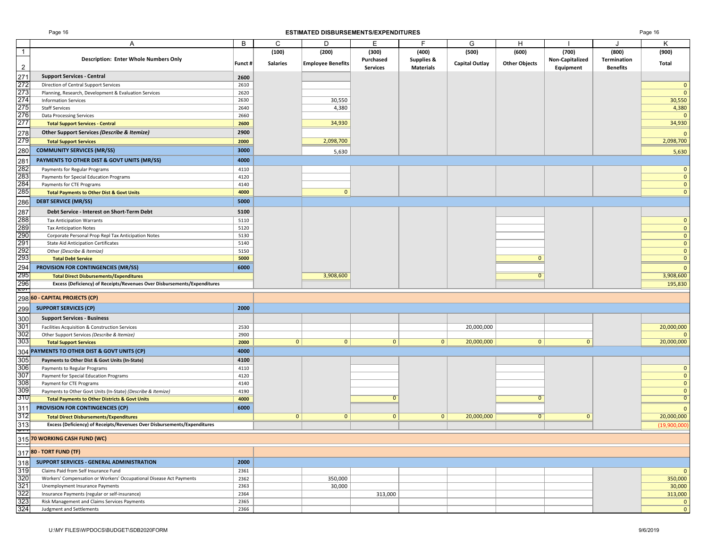### Page 16 **ESTIMATED DISBURSEMENTS/EXPENDITURES** Page 16

|                                        | A                                                                        | В       | C               | D                        | E               |                       | G                     | H                    |                 |                 | K            |
|----------------------------------------|--------------------------------------------------------------------------|---------|-----------------|--------------------------|-----------------|-----------------------|-----------------------|----------------------|-----------------|-----------------|--------------|
| $\overline{1}$                         |                                                                          |         | (100)           | (200)                    | (300)           | (400)                 | (500)                 | (600)                | (700)           | (800)           | (900)        |
|                                        | Description: Enter Whole Numbers Only                                    | Funct # | <b>Salaries</b> | <b>Employee Benefits</b> | Purchased       | <b>Supplies &amp;</b> | <b>Capital Outlay</b> | <b>Other Objects</b> | Non-Capitalized | Termination     | Total        |
| $\overline{2}$                         |                                                                          |         |                 |                          | <b>Services</b> | <b>Materials</b>      |                       |                      | Equipment       | <b>Benefits</b> |              |
| 271                                    | <b>Support Services - Central</b>                                        | 2600    |                 |                          |                 |                       |                       |                      |                 |                 |              |
| 272                                    | Direction of Central Support Services                                    | 2610    |                 |                          |                 |                       |                       |                      |                 |                 |              |
| 273                                    | Planning, Research, Development & Evaluation Services                    | 2620    |                 |                          |                 |                       |                       |                      |                 |                 | $\Omega$     |
| 274                                    | <b>Information Services</b>                                              | 2630    |                 | 30,550                   |                 |                       |                       |                      |                 |                 | 30,550       |
| 275                                    | <b>Staff Services</b>                                                    | 2640    |                 | 4,380                    |                 |                       |                       |                      |                 |                 | 4,380        |
| 276                                    | <b>Data Processing Services</b>                                          | 2660    |                 |                          |                 |                       |                       |                      |                 |                 |              |
| 277                                    | <b>Total Support Services - Central</b>                                  | 2600    |                 | 34,930                   |                 |                       |                       |                      |                 |                 | 34,930       |
| 278                                    | Other Support Services (Describe & Itemize)                              | 2900    |                 |                          |                 |                       |                       |                      |                 |                 |              |
| $\frac{1}{279}$                        |                                                                          |         |                 | 2,098,700                |                 |                       |                       |                      |                 |                 | 2,098,700    |
|                                        | <b>Total Support Services</b>                                            | 2000    |                 |                          |                 |                       |                       |                      |                 |                 |              |
| 280                                    | <b>COMMUNITY SERVICES (MR/SS)</b>                                        | 3000    |                 | 5,630                    |                 |                       |                       |                      |                 |                 | 5,630        |
| 281                                    | PAYMENTS TO OTHER DIST & GOVT UNITS (MR/SS)                              | 4000    |                 |                          |                 |                       |                       |                      |                 |                 |              |
| 282                                    | Payments for Regular Programs                                            | 4110    |                 |                          |                 |                       |                       |                      |                 |                 |              |
| 283                                    | Payments for Special Education Programs                                  | 4120    |                 |                          |                 |                       |                       |                      |                 |                 | $\mathbf{0}$ |
| 284                                    | Payments for CTE Programs                                                | 4140    |                 |                          |                 |                       |                       |                      |                 |                 | $\mathbf{0}$ |
| 285                                    | <b>Total Payments to Other Dist &amp; Govt Units</b>                     | 4000    |                 | $\mathbf{0}$             |                 |                       |                       |                      |                 |                 | $\mathbf{0}$ |
| 286                                    | <b>DEBT SERVICE (MR/SS)</b>                                              | 5000    |                 |                          |                 |                       |                       |                      |                 |                 |              |
| 287                                    | Debt Service - Interest on Short-Term Debt                               | 5100    |                 |                          |                 |                       |                       |                      |                 |                 |              |
|                                        |                                                                          |         |                 |                          |                 |                       |                       |                      |                 |                 |              |
| 288                                    | <b>Tax Anticipation Warrants</b>                                         | 5110    |                 |                          |                 |                       |                       |                      |                 |                 | $\Omega$     |
| 289<br>290                             | <b>Tax Anticipation Notes</b>                                            | 5120    |                 |                          |                 |                       |                       |                      |                 |                 | $\mathbf{0}$ |
|                                        | Corporate Personal Prop Repl Tax Anticipation Notes                      | 5130    |                 |                          |                 |                       |                       |                      |                 |                 | $\mathbf{0}$ |
| 291                                    | <b>State Aid Anticipation Certificates</b>                               | 5140    |                 |                          |                 |                       |                       |                      |                 |                 | $\mathbf{0}$ |
| 292<br>293                             | Other (Describe & Itemize)                                               | 5150    |                 |                          |                 |                       |                       |                      |                 |                 | $\mathbf{0}$ |
|                                        | <b>Total Debt Service</b>                                                | 5000    |                 |                          |                 |                       |                       | $\Omega$             |                 |                 | $\mathbf{0}$ |
| 294                                    | PROVISION FOR CONTINGENCIES (MR/SS)                                      | 6000    |                 |                          |                 |                       |                       |                      |                 |                 |              |
| 295                                    | <b>Total Direct Disbursements/Expenditures</b>                           |         |                 | 3,908,600                |                 |                       |                       | $\Omega$             |                 |                 | 3,908,600    |
| 296                                    | Excess (Deficiency) of Receipts/Revenues Over Disbursements/Expenditures |         |                 |                          |                 |                       |                       |                      |                 |                 | 195,830      |
| 201                                    |                                                                          |         |                 |                          |                 |                       |                       |                      |                 |                 |              |
|                                        | 298 60 - CAPITAL PROJECTS (CP)                                           |         |                 |                          |                 |                       |                       |                      |                 |                 |              |
| 299                                    | <b>SUPPORT SERVICES (CP)</b>                                             | 2000    |                 |                          |                 |                       |                       |                      |                 |                 |              |
| 300                                    | <b>Support Services - Business</b>                                       |         |                 |                          |                 |                       |                       |                      |                 |                 |              |
| 301                                    | Facilities Acquisition & Construction Services                           | 2530    |                 |                          |                 |                       | 20,000,000            |                      |                 |                 | 20,000,000   |
| 302                                    | Other Support Services (Describe & Itemize)                              | 2900    |                 |                          |                 |                       |                       |                      |                 |                 |              |
| 303                                    | <b>Total Support Services</b>                                            | 2000    | 0               | $\mathbf{0}$             | $\mathbf{0}$    | $\mathbf{0}$          | 20,000,000            | $\mathbf{0}$         | $\mathbf{0}$    |                 | 20,000,000   |
| 304                                    | PAYMENTS TO OTHER DIST & GOVT UNITS (CP)                                 | 4000    |                 |                          |                 |                       |                       |                      |                 |                 |              |
|                                        |                                                                          |         |                 |                          |                 |                       |                       |                      |                 |                 |              |
| 305                                    | Payments to Other Dist & Govt Units (In-State)                           | 4100    |                 |                          |                 |                       |                       |                      |                 |                 |              |
| 306                                    | Payments to Regular Programs                                             | 4110    |                 |                          |                 |                       |                       |                      |                 |                 |              |
| 307                                    | Payment for Special Education Programs                                   | 4120    |                 |                          |                 |                       |                       |                      |                 |                 | $\mathbf{0}$ |
| 308                                    | Payment for CTE Programs                                                 | 4140    |                 |                          |                 |                       |                       |                      |                 |                 | $\mathbf{0}$ |
| 309<br>310                             | Payments to Other Govt Units (In-State) (Describe & Itemize)             | 4190    |                 |                          |                 |                       |                       |                      |                 |                 | $\mathbf{0}$ |
|                                        | <b>Total Payments to Other Districts &amp; Govt Units</b>                | 4000    |                 |                          |                 |                       |                       |                      |                 |                 |              |
| 311                                    | <b>PROVISION FOR CONTINGENCIES (CP)</b>                                  | 6000    |                 |                          |                 |                       |                       |                      |                 |                 |              |
| 312                                    | <b>Total Direct Disbursements/Expenditures</b>                           |         | $\mathbf{0}$    | $\mathbf{0}$             | $\mathbf{0}$    | $\mathbf{0}$          | 20,000,000            | $\overline{0}$       | $\mathbf{0}$    |                 | 20,000,000   |
| $\frac{313}{911}$                      | Excess (Deficiency) of Receipts/Revenues Over Disbursements/Expenditures |         |                 |                          |                 |                       |                       |                      |                 |                 | (19,900,000) |
|                                        | 315 70 WORKING CASH FUND (WC)                                            |         |                 |                          |                 |                       |                       |                      |                 |                 |              |
|                                        |                                                                          |         |                 |                          |                 |                       |                       |                      |                 |                 |              |
|                                        | 317 80 - TORT FUND (TF)                                                  |         |                 |                          |                 |                       |                       |                      |                 |                 |              |
| 318                                    | SUPPORT SERVICES - GENERAL ADMINISTRATION                                | 2000    |                 |                          |                 |                       |                       |                      |                 |                 |              |
| 319                                    | Claims Paid from Self Insurance Fund                                     | 2361    |                 |                          |                 |                       |                       |                      |                 |                 |              |
| 320                                    | Workers' Compensation or Workers' Occupational Disease Act Payments      | 2362    |                 | 350,000                  |                 |                       |                       |                      |                 |                 | 350,000      |
| 321                                    | Unemployment Insurance Payments                                          | 2363    |                 | 30,000                   |                 |                       |                       |                      |                 |                 | 30,000       |
| $\frac{322}{323}$<br>$\frac{323}{324}$ | Insurance Payments (regular or self-insurance)                           | 2364    |                 |                          | 313,000         |                       |                       |                      |                 |                 | 313,000      |
|                                        | Risk Management and Claims Services Payments                             | 2365    |                 |                          |                 |                       |                       |                      |                 |                 | $\mathbf 0$  |
|                                        | Judgment and Settlements                                                 | 2366    |                 |                          |                 |                       |                       |                      |                 |                 | $\mathbf{0}$ |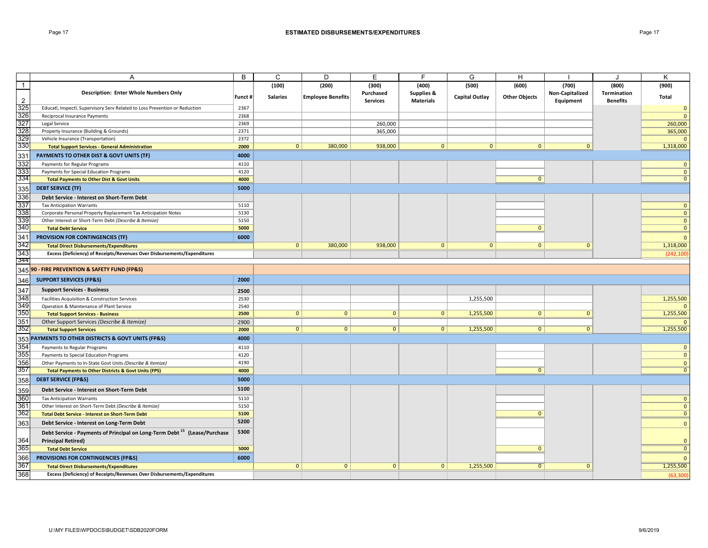### Page 17 **ESTIMATED DISBURSEMENTS/EXPENDITURES** Page 17

|                   | A                                                                                          | B      | С               | D                        | Е               | F.               | G                     | H                    |                 | $\cdot$            | K              |
|-------------------|--------------------------------------------------------------------------------------------|--------|-----------------|--------------------------|-----------------|------------------|-----------------------|----------------------|-----------------|--------------------|----------------|
| $\overline{1}$    |                                                                                            |        | (100)           | (200)                    | (300)           | (400)            | (500)                 | (600)                | (700)           | (800)              | (900)          |
|                   | <b>Description: Enter Whole Numbers Only</b>                                               | Funct# | <b>Salaries</b> |                          | Purchased       | Supplies &       | <b>Capital Outlay</b> |                      | Non-Capitalized | <b>Termination</b> | Total          |
| $\overline{2}$    |                                                                                            |        |                 | <b>Employee Benefits</b> | <b>Services</b> | <b>Materials</b> |                       | <b>Other Objects</b> | Equipment       | <b>Benefits</b>    |                |
| 325               | Educatl, Inspectl, Supervisory Serv Related to Loss Prevention or Reduction                | 2367   |                 |                          |                 |                  |                       |                      |                 |                    | $\mathbf 0$    |
| 326               | Reciprocal Insurance Payments                                                              | 2368   |                 |                          |                 |                  |                       |                      |                 |                    | $\mathbf{0}$   |
| 327               | Legal Service                                                                              | 2369   |                 |                          | 260,000         |                  |                       |                      |                 |                    | 260,000        |
| 328               | Property Insurance (Building & Grounds)                                                    | 2371   |                 |                          | 365,000         |                  |                       |                      |                 |                    | 365,000        |
| 329               | Vehicle Insurance (Transportation)                                                         | 2372   |                 |                          |                 |                  |                       |                      |                 |                    | $\Omega$       |
| 330               | <b>Total Support Services - General Administration</b>                                     | 2000   | 0 <sup>1</sup>  | 380,000                  | 938,000         | $\overline{0}$   | 0                     | $\mathbf{0}$         | $\mathbf{0}$    |                    | 1,318,000      |
| 331               | PAYMENTS TO OTHER DIST & GOVT UNITS (TF)                                                   | 4000   |                 |                          |                 |                  |                       |                      |                 |                    |                |
| 332               | Payments for Regular Programs                                                              | 4110   |                 |                          |                 |                  |                       |                      |                 |                    | $\mathbf{0}$   |
| 333               | Payments for Special Education Programs                                                    | 4120   |                 |                          |                 |                  |                       |                      |                 |                    | $\Omega$       |
| 334               | <b>Total Payments to Other Dist &amp; Govt Units</b>                                       | 4000   |                 |                          |                 |                  |                       | $\mathbf{0}$         |                 |                    | $\Omega$       |
| 335               | <b>DEBT SERVICE (TF)</b>                                                                   | 5000   |                 |                          |                 |                  |                       |                      |                 |                    |                |
| 336               | Debt Service - Interest on Short-Term Debt                                                 |        |                 |                          |                 |                  |                       |                      |                 |                    |                |
| 337               | <b>Tax Anticipation Warrants</b>                                                           | 5110   |                 |                          |                 |                  |                       |                      |                 |                    | $\Omega$       |
| 338               | Corporate Personal Property Replacement Tax Anticipation Notes                             | 5130   |                 |                          |                 |                  |                       |                      |                 |                    | $\mathbf{0}$   |
| 339               | Other Interest or Short-Term Debt (Describe & Itemize)                                     | 5150   |                 |                          |                 |                  |                       |                      |                 |                    | $\mathbf{0}$   |
| 340               | <b>Total Debt Service</b>                                                                  | 5000   |                 |                          |                 |                  |                       | $\mathbf{0}$         |                 |                    | $\mathbf{0}$   |
| 341               | PROVISION FOR CONTINGENCIES (TF)                                                           | 6000   |                 |                          |                 |                  |                       |                      |                 |                    | $\mathbf{0}$   |
| 342               | <b>Total Direct Disbursements/Expenditures</b>                                             |        | 0 <sup>1</sup>  | 380,000                  | 938,000         | $\mathbf{0}$     | $\mathbf{0}$          | $\overline{0}$       | $\mathbf{0}$    |                    | 1,318,000      |
| 343               | Excess (Deficiency) of Receipts/Revenues Over Disbursements/Expenditures                   |        |                 |                          |                 |                  |                       |                      |                 |                    | (242, 100)     |
| 344               |                                                                                            |        |                 |                          |                 |                  |                       |                      |                 |                    |                |
|                   | 345 90 - FIRE PREVENTION & SAFETY FUND (FP&S)                                              |        |                 |                          |                 |                  |                       |                      |                 |                    |                |
| 346               | <b>SUPPORT SERVICES (FP&amp;S)</b>                                                         | 2000   |                 |                          |                 |                  |                       |                      |                 |                    |                |
|                   | <b>Support Services - Business</b>                                                         | 2500   |                 |                          |                 |                  |                       |                      |                 |                    |                |
| $\frac{347}{348}$ | Facilities Acquisition & Construction Services                                             | 2530   |                 |                          |                 |                  | 1,255,500             |                      |                 |                    | 1,255,500      |
| 349               | Operation & Maintenance of Plant Service                                                   | 2540   |                 |                          |                 |                  |                       |                      |                 |                    | $\Omega$       |
| 350               | <b>Total Support Services - Business</b>                                                   | 2500   | 0 <sup>1</sup>  | $\mathbf{0}$             | $\mathbf{0}$    | $\mathbf{0}$     | 1,255,500             | $\mathbf{0}$         | $\mathbf{0}$    |                    | 1,255,500      |
| 351               | Other Support Services (Describe & Itemize)                                                | 2900   |                 |                          |                 |                  |                       |                      |                 |                    |                |
| 352               | <b>Total Support Services</b>                                                              | 2000   | 0 <sup>1</sup>  | $\mathbf{0}$             | $\circ$         | 0                | 1,255,500             | 0                    | $\mathbf{0}$    |                    | 1,255,500      |
|                   | 353 PAYMENTS TO OTHER DISTRICTS & GOVT UNITS (FP&S)                                        | 4000   |                 |                          |                 |                  |                       |                      |                 |                    |                |
| 354               | Payments to Regular Programs                                                               | 4110   |                 |                          |                 |                  |                       |                      |                 |                    | $\mathbf{0}$   |
| 355               | Payments to Special Education Programs                                                     | 4120   |                 |                          |                 |                  |                       |                      |                 |                    | $\mathbf{0}$   |
| 356               | Other Payments to In-State Govt Units (Describe & Itemize)                                 | 4190   |                 |                          |                 |                  |                       |                      |                 |                    | $\mathbf{0}$   |
| 357               | <b>Total Payments to Other Districts &amp; Govt Units (FPS)</b>                            | 4000   |                 |                          |                 |                  |                       | $\mathbf{0}$         |                 |                    | $\mathbf{0}$   |
| 358               | <b>DEBT SERVICE (FP&amp;S)</b>                                                             | 5000   |                 |                          |                 |                  |                       |                      |                 |                    |                |
|                   | Debt Service - Interest on Short-Term Debt                                                 | 5100   |                 |                          |                 |                  |                       |                      |                 |                    |                |
| 359<br>360        |                                                                                            | 5110   |                 |                          |                 |                  |                       |                      |                 |                    | $\mathbf 0$    |
| 361               | <b>Tax Anticipation Warrants</b><br>Other Interest on Short-Term Debt (Describe & Itemize) | 5150   |                 |                          |                 |                  |                       |                      |                 |                    | $\mathbf{0}$   |
| 362               | <b>Total Debt Service - Interest on Short-Term Debt</b>                                    | 5100   |                 |                          |                 |                  |                       | $\mathbf{0}$         |                 |                    | $\mathbf{0}$   |
|                   |                                                                                            | 5200   |                 |                          |                 |                  |                       |                      |                 |                    |                |
| 363               | Debt Service - Interest on Long-Term Debt                                                  |        |                 |                          |                 |                  |                       |                      |                 |                    | $\mathbf{0}$   |
|                   | Debt Service - Payments of Principal on Long-Term Debt <sup>15</sup> (Lease/Purchase       | 5300   |                 |                          |                 |                  |                       |                      |                 |                    |                |
| 364<br>365        | <b>Principal Retired)</b>                                                                  |        |                 |                          |                 |                  |                       |                      |                 |                    | $\mathbf{0}$   |
|                   | <b>Total Debt Service</b>                                                                  | 5000   |                 |                          |                 |                  |                       | $\Omega$             |                 |                    | $\overline{0}$ |
| 366               | PROVISIONS FOR CONTINGENCIES (FP&S)                                                        | 6000   |                 |                          |                 |                  |                       |                      |                 |                    | $\mathbf{0}$   |
| 367               | <b>Total Direct Disbursements/Expenditures</b>                                             |        | $\mathbf{0}$    | $\mathbf{0}$             | $\mathbf{0}$    | $\overline{0}$   | 1,255,500             | $\overline{0}$       | $\mathbf{0}$    |                    | 1,255,500      |
| 368               | Excess (Deficiency) of Receipts/Revenues Over Disbursements/Expenditures                   |        |                 |                          |                 |                  |                       |                      |                 |                    | (63, 300)      |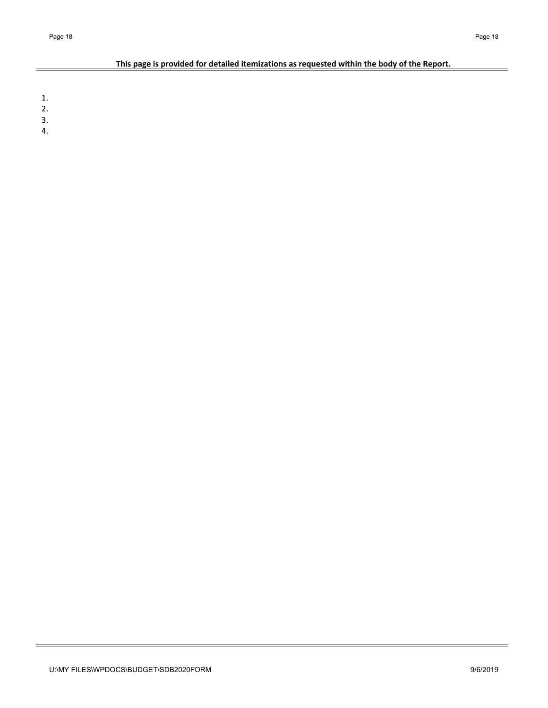## **This page is provided for detailed itemizations as requested within the body of the Report.**

1.

- 2.
- 3.
- 4.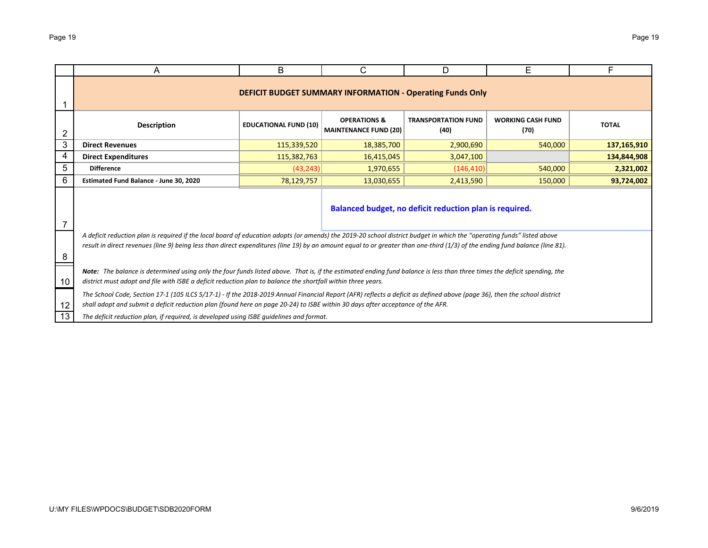|    | A                                                                                                                                                                                                                                                                                                                                                      | В                            | C                                                       | D                                                                | Е                                | F            |  |  |  |  |  |  |  |
|----|--------------------------------------------------------------------------------------------------------------------------------------------------------------------------------------------------------------------------------------------------------------------------------------------------------------------------------------------------------|------------------------------|---------------------------------------------------------|------------------------------------------------------------------|----------------------------------|--------------|--|--|--|--|--|--|--|
|    |                                                                                                                                                                                                                                                                                                                                                        |                              |                                                         | <b>DEFICIT BUDGET SUMMARY INFORMATION - Operating Funds Only</b> |                                  |              |  |  |  |  |  |  |  |
| 2  | <b>Description</b>                                                                                                                                                                                                                                                                                                                                     | <b>EDUCATIONAL FUND (10)</b> | <b>OPERATIONS &amp;</b><br><b>MAINTENANCE FUND (20)</b> | <b>TRANSPORTATION FUND</b><br>(40)                               | <b>WORKING CASH FUND</b><br>(70) | <b>TOTAL</b> |  |  |  |  |  |  |  |
| 3  | <b>Direct Revenues</b>                                                                                                                                                                                                                                                                                                                                 | 115,339,520                  | 18,385,700                                              | 2,900,690                                                        | 540,000                          | 137,165,910  |  |  |  |  |  |  |  |
| 4  | 115,382,763<br>134,844,908<br><b>Direct Expenditures</b><br>16,415,045<br>3,047,100                                                                                                                                                                                                                                                                    |                              |                                                         |                                                                  |                                  |              |  |  |  |  |  |  |  |
| 5  | <b>Difference</b><br>(43, 243)<br>540,000<br>2,321,002<br>1,970,655<br>(146, 410)                                                                                                                                                                                                                                                                      |                              |                                                         |                                                                  |                                  |              |  |  |  |  |  |  |  |
| 6  | Estimated Fund Balance - June 30, 2020<br>78,129,757<br>2,413,590<br>150,000<br>93,724,002<br>13,030,655                                                                                                                                                                                                                                               |                              |                                                         |                                                                  |                                  |              |  |  |  |  |  |  |  |
|    | Balanced budget, no deficit reduction plan is required.                                                                                                                                                                                                                                                                                                |                              |                                                         |                                                                  |                                  |              |  |  |  |  |  |  |  |
| 8  | A deficit reduction plan is required if the local board of education adopts (or amends) the 2019-20 school district budget in which the "operating funds" listed above<br>result in direct revenues (line 9) being less than direct expenditures (line 19) by an amount equal to or greater than one-third (1/3) of the ending fund balance (line 81). |                              |                                                         |                                                                  |                                  |              |  |  |  |  |  |  |  |
| 10 | Note: The balance is determined using only the four funds listed above. That is, if the estimated ending fund balance is less than three times the deficit spending, the<br>district must adopt and file with ISBE a deficit reduction plan to balance the shortfall within three years.                                                               |                              |                                                         |                                                                  |                                  |              |  |  |  |  |  |  |  |
| 12 | The School Code, Section 17-1 (105 ILCS 5/17-1) - If the 2018-2019 Annual Financial Report (AFR) reflects a deficit as defined above (page 36), then the school district<br>shall adopt and submit a deficit reduction plan (found here on page 20-24) to ISBE within 30 days after acceptance of the AFR.                                             |                              |                                                         |                                                                  |                                  |              |  |  |  |  |  |  |  |
| 13 | The deficit reduction plan, if required, is developed using ISBE quidelines and format.                                                                                                                                                                                                                                                                |                              |                                                         |                                                                  |                                  |              |  |  |  |  |  |  |  |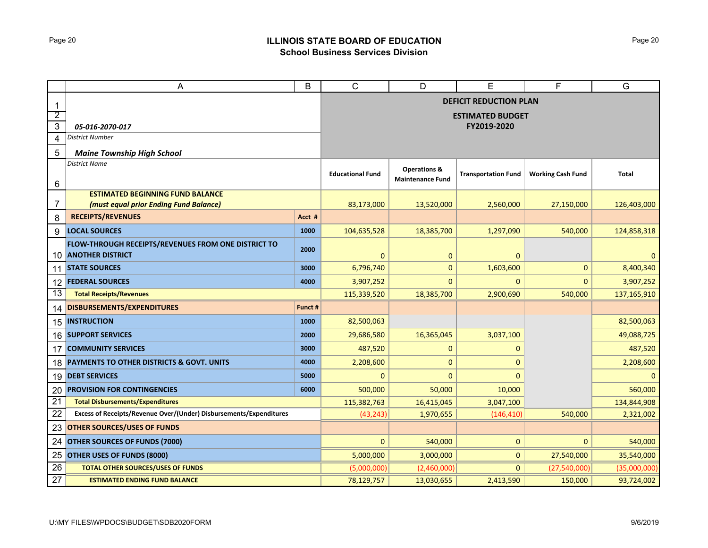# Page 20 **ILLINOIS STATE BOARD OF EDUCATION School Business Services Division**

|                 | A                                                                          | B       | $\mathsf{C}$            | D                                                  | Е                             | F                        | G            |
|-----------------|----------------------------------------------------------------------------|---------|-------------------------|----------------------------------------------------|-------------------------------|--------------------------|--------------|
| $\mathbf{1}$    |                                                                            |         |                         |                                                    | <b>DEFICIT REDUCTION PLAN</b> |                          |              |
| $\overline{2}$  |                                                                            |         |                         |                                                    | <b>ESTIMATED BUDGET</b>       |                          |              |
| 3               | 05-016-2070-017                                                            |         |                         |                                                    | FY2019-2020                   |                          |              |
| 4               | District Number                                                            |         |                         |                                                    |                               |                          |              |
| 5               | <b>Maine Township High School</b>                                          |         |                         |                                                    |                               |                          |              |
| 6               | <b>District Name</b>                                                       |         | <b>Educational Fund</b> | <b>Operations &amp;</b><br><b>Maintenance Fund</b> | <b>Transportation Fund</b>    | <b>Working Cash Fund</b> | <b>Total</b> |
|                 | <b>ESTIMATED BEGINNING FUND BALANCE</b>                                    |         |                         |                                                    |                               |                          |              |
| 7               | (must equal prior Ending Fund Balance)                                     |         | 83,173,000              | 13,520,000                                         | 2,560,000                     | 27,150,000               | 126,403,000  |
| 8               | <b>RECEIPTS/REVENUES</b>                                                   | Acct #  |                         |                                                    |                               |                          |              |
| 9               | <b>LOCAL SOURCES</b>                                                       | 1000    | 104,635,528             | 18,385,700                                         | 1,297,090                     | 540,000                  | 124,858,318  |
|                 | FLOW-THROUGH RECEIPTS/REVENUES FROM ONE DISTRICT TO<br>10 ANOTHER DISTRICT | 2000    | $\mathbf{0}$            | $\mathbf 0$                                        | 0                             |                          | $\mathbf 0$  |
|                 | 11 STATE SOURCES                                                           | 3000    | 6,796,740               | 0                                                  | 1,603,600                     | $\mathbf 0$              | 8,400,340    |
| 12              | <b>FEDERAL SOURCES</b>                                                     | 4000    | 3,907,252               | $\mathbf{0}$                                       | 0                             | $\mathbf{0}$             | 3,907,252    |
| 13              | <b>Total Receipts/Revenues</b>                                             |         | 115,339,520             | 18,385,700                                         | 2,900,690                     | 540,000                  | 137,165,910  |
| 14              | DISBURSEMENTS/EXPENDITURES                                                 | Funct # |                         |                                                    |                               |                          |              |
| 15              | <b>INSTRUCTION</b>                                                         | 1000    | 82,500,063              |                                                    |                               |                          | 82,500,063   |
|                 | 16 SUPPORT SERVICES                                                        | 2000    | 29,686,580              | 16,365,045                                         | 3,037,100                     |                          | 49,088,725   |
| 17              | <b>COMMUNITY SERVICES</b>                                                  | 3000    | 487,520                 | $\mathbf 0$                                        | 0                             |                          | 487,520      |
| 18              | <b>PAYMENTS TO OTHER DISTRICTS &amp; GOVT. UNITS</b>                       | 4000    | 2,208,600               | 0                                                  | $\Omega$                      |                          | 2,208,600    |
| 19              | <b>DEBT SERVICES</b>                                                       | 5000    | 0                       | $\overline{0}$                                     | $\Omega$                      |                          | $\mathbf{0}$ |
| 20              | <b>PROVISION FOR CONTINGENCIES</b>                                         | 6000    | 500,000                 | 50,000                                             | 10,000                        |                          | 560,000      |
| $\overline{21}$ | <b>Total Disbursements/Expenditures</b>                                    |         | 115,382,763             | 16,415,045                                         | 3,047,100                     |                          | 134,844,908  |
| 22              | Excess of Receipts/Revenue Over/(Under) Disbursements/Expenditures         |         | (43, 243)               | 1,970,655                                          | (146, 410)                    | 540,000                  | 2,321,002    |
| 23              | <b>OTHER SOURCES/USES OF FUNDS</b>                                         |         |                         |                                                    |                               |                          |              |
| 24              | <b>OTHER SOURCES OF FUNDS (7000)</b>                                       |         | $\mathbf{0}$            | 540,000                                            | 0                             | $\mathbf{0}$             | 540,000      |
| 25              | <b>OTHER USES OF FUNDS (8000)</b>                                          |         | 5,000,000               | 3,000,000                                          | 0                             | 27,540,000               | 35,540,000   |
| 26              | <b>TOTAL OTHER SOURCES/USES OF FUNDS</b>                                   |         | (5,000,000)             | (2,460,000)                                        | $\mathbf{0}$                  | (27,540,000)             | (35,000,000) |
| 27              | <b>ESTIMATED ENDING FUND BALANCE</b>                                       |         | 78,129,757              | 13,030,655                                         | 2,413,590                     | 150,000                  | 93,724,002   |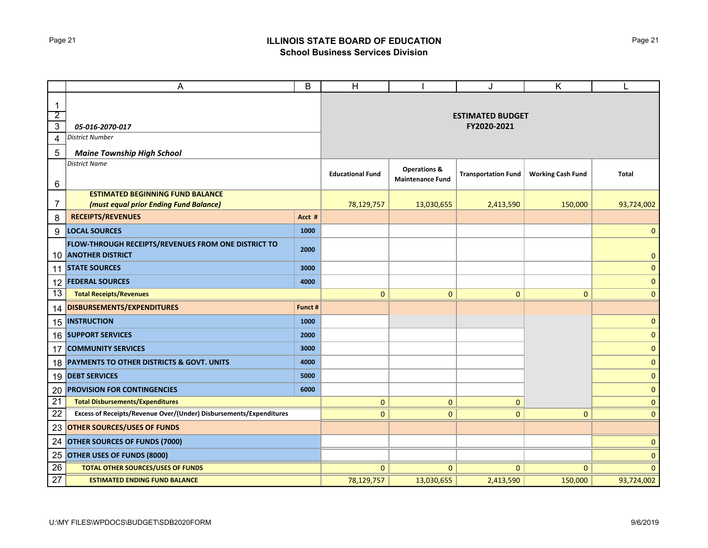# Page 21 **ILLINOIS STATE BOARD OF EDUCATION School Business Services Division**

|                               | A                                                                              | B       | H                       |                                                    | J                          | Κ                        |              |
|-------------------------------|--------------------------------------------------------------------------------|---------|-------------------------|----------------------------------------------------|----------------------------|--------------------------|--------------|
| $\mathbf 1$<br>$\overline{2}$ |                                                                                |         |                         |                                                    | <b>ESTIMATED BUDGET</b>    |                          |              |
| $\overline{3}$                | 05-016-2070-017                                                                |         |                         |                                                    | FY2020-2021                |                          |              |
| 4                             | <b>District Number</b>                                                         |         |                         |                                                    |                            |                          |              |
| 5                             | <b>Maine Township High School</b>                                              |         |                         |                                                    |                            |                          |              |
|                               | <b>District Name</b>                                                           |         |                         |                                                    |                            |                          |              |
| 6                             |                                                                                |         | <b>Educational Fund</b> | <b>Operations &amp;</b><br><b>Maintenance Fund</b> | <b>Transportation Fund</b> | <b>Working Cash Fund</b> | <b>Total</b> |
|                               | <b>ESTIMATED BEGINNING FUND BALANCE</b>                                        |         |                         |                                                    |                            |                          |              |
| 7                             | (must equal prior Ending Fund Balance)                                         |         | 78,129,757              | 13,030,655                                         | 2,413,590                  | 150,000                  | 93,724,002   |
| 8                             | <b>RECEIPTS/REVENUES</b>                                                       | Acct #  |                         |                                                    |                            |                          |              |
| 9                             | <b>LOCAL SOURCES</b>                                                           | 1000    |                         |                                                    |                            |                          | $\mathbf{0}$ |
| 10                            | FLOW-THROUGH RECEIPTS/REVENUES FROM ONE DISTRICT TO<br><b>ANOTHER DISTRICT</b> | 2000    |                         |                                                    |                            |                          | $\mathbf{0}$ |
| 11                            | <b>STATE SOURCES</b>                                                           | 3000    |                         |                                                    |                            |                          | $\mathbf{0}$ |
| 12                            | <b>FEDERAL SOURCES</b>                                                         | 4000    |                         |                                                    |                            |                          | $\mathbf{0}$ |
| 13                            | <b>Total Receipts/Revenues</b>                                                 |         | $\mathbf{0}$            | $\mathbf{0}$                                       | $\mathbf 0$                | $\mathbf{0}$             | $\mathbf{0}$ |
| 14                            | DISBURSEMENTS/EXPENDITURES                                                     | Funct # |                         |                                                    |                            |                          |              |
| 15                            | <b>INSTRUCTION</b>                                                             | 1000    |                         |                                                    |                            |                          | $\mathbf{0}$ |
| 16                            | <b>SUPPORT SERVICES</b>                                                        | 2000    |                         |                                                    |                            |                          | $\mathbf{0}$ |
| 17                            | <b>COMMUNITY SERVICES</b>                                                      | 3000    |                         |                                                    |                            |                          | $\mathbf{0}$ |
| 18                            | PAYMENTS TO OTHER DISTRICTS & GOVT. UNITS                                      | 4000    |                         |                                                    |                            |                          | $\mathbf{0}$ |
| 19                            | <b>DEBT SERVICES</b>                                                           | 5000    |                         |                                                    |                            |                          | $\mathbf 0$  |
| 20                            | <b>PROVISION FOR CONTINGENCIES</b>                                             | 6000    |                         |                                                    |                            |                          | $\mathbf{0}$ |
| $\overline{21}$               | <b>Total Disbursements/Expenditures</b>                                        |         | $\mathbf{0}$            | $\mathbf{0}$                                       | $\mathbf 0$                |                          | $\mathbf{0}$ |
| 22                            | Excess of Receipts/Revenue Over/(Under) Disbursements/Expenditures             |         | $\mathbf{0}$            | $\mathbf{0}$                                       | $\mathbf{0}$               | $\mathbf{0}$             | $\mathbf{0}$ |
| 23                            | <b>OTHER SOURCES/USES OF FUNDS</b>                                             |         |                         |                                                    |                            |                          |              |
| 24                            | <b>OTHER SOURCES OF FUNDS (7000)</b>                                           |         |                         |                                                    |                            |                          | $\mathbf{0}$ |
| 25                            | <b>OTHER USES OF FUNDS (8000)</b>                                              |         |                         |                                                    |                            |                          | $\mathbf{0}$ |
| 26                            | <b>TOTAL OTHER SOURCES/USES OF FUNDS</b>                                       |         | $\mathbf{0}$            | $\mathbf{0}$                                       | $\mathbf{0}$               | $\Omega$                 | $\mathbf{0}$ |
| $\overline{27}$               | <b>ESTIMATED ENDING FUND BALANCE</b>                                           |         | 78,129,757              | 13,030,655                                         | 2,413,590                  | 150,000                  | 93,724,002   |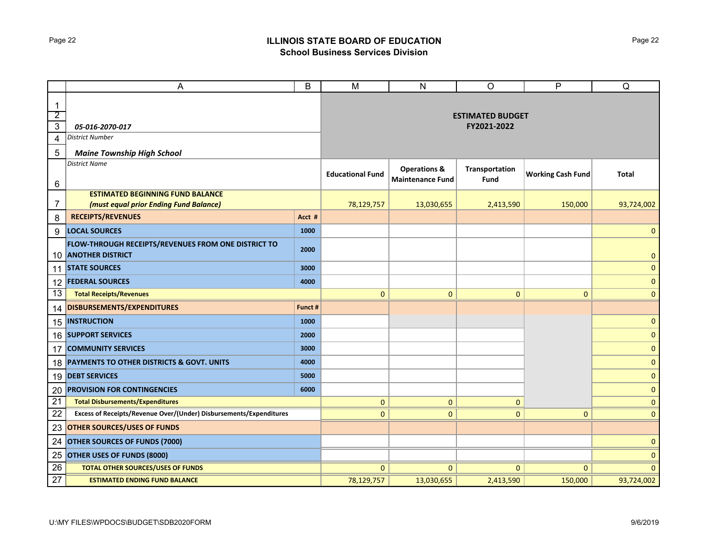### Page 22 **ILLINOIS STATE BOARD OF EDUCATION School Business Services Division**

|                                                 | A                                                                              | B       | M                                      | $\mathsf{N}$                                       | $\circ$                | $\mathsf{P}$             | Q              |  |  |  |  |
|-------------------------------------------------|--------------------------------------------------------------------------------|---------|----------------------------------------|----------------------------------------------------|------------------------|--------------------------|----------------|--|--|--|--|
| $\mathbf 1$<br>$\overline{2}$<br>$\overline{3}$ |                                                                                |         | <b>ESTIMATED BUDGET</b><br>FY2021-2022 |                                                    |                        |                          |                |  |  |  |  |
| 4                                               | 05-016-2070-017<br><b>District Number</b>                                      |         |                                        |                                                    |                        |                          |                |  |  |  |  |
|                                                 |                                                                                |         |                                        |                                                    |                        |                          |                |  |  |  |  |
| 5                                               | <b>Maine Township High School</b><br><b>District Name</b>                      |         |                                        |                                                    |                        |                          |                |  |  |  |  |
| 6                                               |                                                                                |         | <b>Educational Fund</b>                | <b>Operations &amp;</b><br><b>Maintenance Fund</b> | Transportation<br>Fund | <b>Working Cash Fund</b> | <b>Total</b>   |  |  |  |  |
|                                                 | <b>ESTIMATED BEGINNING FUND BALANCE</b>                                        |         |                                        |                                                    |                        |                          |                |  |  |  |  |
| 7                                               | (must equal prior Ending Fund Balance)                                         |         | 78,129,757                             | 13,030,655                                         | 2,413,590              | 150,000                  | 93,724,002     |  |  |  |  |
| 8                                               | <b>RECEIPTS/REVENUES</b>                                                       | Acct #  |                                        |                                                    |                        |                          |                |  |  |  |  |
| 9                                               | <b>LOCAL SOURCES</b>                                                           | 1000    |                                        |                                                    |                        |                          | $\mathbf{0}$   |  |  |  |  |
| 10                                              | FLOW-THROUGH RECEIPTS/REVENUES FROM ONE DISTRICT TO<br><b>ANOTHER DISTRICT</b> | 2000    |                                        |                                                    |                        |                          | $\overline{0}$ |  |  |  |  |
| 11                                              | <b>STATE SOURCES</b>                                                           | 3000    |                                        |                                                    |                        |                          | $\mathbf{0}$   |  |  |  |  |
|                                                 | 12 <b>FEDERAL SOURCES</b>                                                      | 4000    |                                        |                                                    |                        |                          | $\overline{0}$ |  |  |  |  |
| 13                                              | <b>Total Receipts/Revenues</b>                                                 |         | $\mathbf{0}$                           | $\mathbf{0}$                                       | $\mathbf{0}$           | $\mathbf{0}$             | $\mathbf{0}$   |  |  |  |  |
| 14                                              | DISBURSEMENTS/EXPENDITURES                                                     | Funct # |                                        |                                                    |                        |                          |                |  |  |  |  |
| 15                                              | <b>INSTRUCTION</b>                                                             | 1000    |                                        |                                                    |                        |                          | $\mathbf{0}$   |  |  |  |  |
|                                                 | 16 SUPPORT SERVICES                                                            | 2000    |                                        |                                                    |                        |                          | $\mathbf 0$    |  |  |  |  |
| 17                                              | <b>COMMUNITY SERVICES</b>                                                      | 3000    |                                        |                                                    |                        |                          | $\mathbf 0$    |  |  |  |  |
| 18                                              | PAYMENTS TO OTHER DISTRICTS & GOVT. UNITS                                      | 4000    |                                        |                                                    |                        |                          | $\mathbf{0}$   |  |  |  |  |
|                                                 | 19 DEBT SERVICES                                                               | 5000    |                                        |                                                    |                        |                          | $\mathbf{0}$   |  |  |  |  |
| 20                                              | <b>PROVISION FOR CONTINGENCIES</b>                                             | 6000    |                                        |                                                    |                        |                          | $\mathbf{0}$   |  |  |  |  |
| $\overline{21}$                                 | <b>Total Disbursements/Expenditures</b>                                        |         | $\mathbf{0}$                           | $\mathbf{0}$                                       | $\mathbf{0}$           |                          | $\mathbf{0}$   |  |  |  |  |
| 22                                              | Excess of Receipts/Revenue Over/(Under) Disbursements/Expenditures             |         | $\mathbf{0}$                           | $\mathbf{0}$                                       | $\mathbf 0$            | $\mathbf 0$              | $\mathbf{0}$   |  |  |  |  |
| 23                                              | <b>OTHER SOURCES/USES OF FUNDS</b>                                             |         |                                        |                                                    |                        |                          |                |  |  |  |  |
| 24                                              | OTHER SOURCES OF FUNDS (7000)                                                  |         |                                        |                                                    |                        |                          | $\mathbf{0}$   |  |  |  |  |
| 25                                              | <b>OTHER USES OF FUNDS (8000)</b>                                              |         |                                        |                                                    |                        |                          | $\mathbf 0$    |  |  |  |  |
| 26                                              | <b>TOTAL OTHER SOURCES/USES OF FUNDS</b>                                       |         | $\mathbf{0}$                           | $\mathbf{0}$                                       | $\mathbf{0}$           | $\Omega$                 | $\mathbf{0}$   |  |  |  |  |
| 27                                              | <b>ESTIMATED ENDING FUND BALANCE</b>                                           |         | 78,129,757                             | 13,030,655                                         | 2,413,590              | 150,000                  | 93,724,002     |  |  |  |  |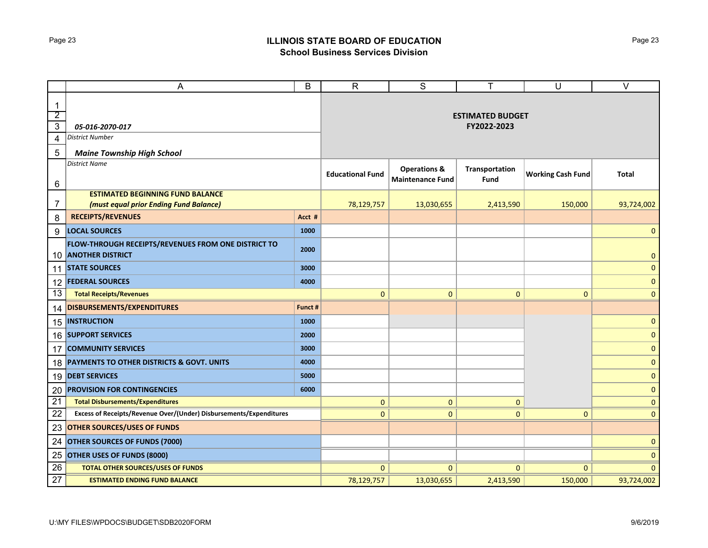## Page 23 **ILLINOIS STATE BOARD OF EDUCATION School Business Services Division**

|                                                 | Α                                                                              | B       | $\overline{R}$                         | $\overline{s}$                                     | т                      | U                        | $\overline{\vee}$ |  |  |  |  |
|-------------------------------------------------|--------------------------------------------------------------------------------|---------|----------------------------------------|----------------------------------------------------|------------------------|--------------------------|-------------------|--|--|--|--|
| $\mathbf 1$<br>$\overline{2}$<br>$\overline{3}$ | 05-016-2070-017                                                                |         | <b>ESTIMATED BUDGET</b><br>FY2022-2023 |                                                    |                        |                          |                   |  |  |  |  |
| 4                                               | <b>District Number</b>                                                         |         |                                        |                                                    |                        |                          |                   |  |  |  |  |
| 5                                               | <b>Maine Township High School</b>                                              |         |                                        |                                                    |                        |                          |                   |  |  |  |  |
|                                                 | <b>District Name</b>                                                           |         |                                        |                                                    |                        |                          |                   |  |  |  |  |
| 6                                               |                                                                                |         | <b>Educational Fund</b>                | <b>Operations &amp;</b><br><b>Maintenance Fund</b> | Transportation<br>Fund | <b>Working Cash Fund</b> | <b>Total</b>      |  |  |  |  |
|                                                 | <b>ESTIMATED BEGINNING FUND BALANCE</b>                                        |         |                                        |                                                    |                        |                          |                   |  |  |  |  |
| 7                                               | (must equal prior Ending Fund Balance)                                         |         | 78,129,757                             | 13,030,655                                         | 2,413,590              | 150,000                  | 93,724,002        |  |  |  |  |
| 8                                               | <b>RECEIPTS/REVENUES</b>                                                       | Acct #  |                                        |                                                    |                        |                          |                   |  |  |  |  |
| 9                                               | <b>LOCAL SOURCES</b>                                                           | 1000    |                                        |                                                    |                        |                          | $\mathbf{0}$      |  |  |  |  |
| 10                                              | FLOW-THROUGH RECEIPTS/REVENUES FROM ONE DISTRICT TO<br><b>ANOTHER DISTRICT</b> | 2000    |                                        |                                                    |                        |                          | $\mathbf{0}$      |  |  |  |  |
| 11                                              | <b>STATE SOURCES</b>                                                           | 3000    |                                        |                                                    |                        |                          | $\mathbf{0}$      |  |  |  |  |
| 12                                              | <b>FEDERAL SOURCES</b>                                                         | 4000    |                                        |                                                    |                        |                          | $\mathbf{0}$      |  |  |  |  |
| 13                                              | <b>Total Receipts/Revenues</b>                                                 |         | $\mathbf{0}$                           | $\mathbf{0}$                                       | $\mathbf{0}$           | $\mathbf{0}$             | $\mathbf{0}$      |  |  |  |  |
| 14                                              | DISBURSEMENTS/EXPENDITURES                                                     | Funct # |                                        |                                                    |                        |                          |                   |  |  |  |  |
|                                                 | 15 INSTRUCTION                                                                 | 1000    |                                        |                                                    |                        |                          | $\mathbf{0}$      |  |  |  |  |
|                                                 | 16 SUPPORT SERVICES                                                            | 2000    |                                        |                                                    |                        |                          | $\mathbf{0}$      |  |  |  |  |
| 17                                              | <b>COMMUNITY SERVICES</b>                                                      | 3000    |                                        |                                                    |                        |                          | $\mathbf{0}$      |  |  |  |  |
| 18                                              | PAYMENTS TO OTHER DISTRICTS & GOVT. UNITS                                      | 4000    |                                        |                                                    |                        |                          | $\mathbf{0}$      |  |  |  |  |
|                                                 | 19 DEBT SERVICES                                                               | 5000    |                                        |                                                    |                        |                          | $\mathbf{0}$      |  |  |  |  |
| 20                                              | <b>PROVISION FOR CONTINGENCIES</b>                                             | 6000    |                                        |                                                    |                        |                          | $\mathbf{0}$      |  |  |  |  |
| $\overline{21}$                                 | <b>Total Disbursements/Expenditures</b>                                        |         | $\mathbf{0}$                           | $\mathbf{0}$                                       | $\mathbf{0}$           |                          | $\mathbf{0}$      |  |  |  |  |
| 22                                              | Excess of Receipts/Revenue Over/(Under) Disbursements/Expenditures             |         | $\mathbf{0}$                           | $\mathbf{0}$                                       | $\mathbf{0}$           | $\mathbf{0}$             | $\mathbf{0}$      |  |  |  |  |
| 23                                              | <b>OTHER SOURCES/USES OF FUNDS</b>                                             |         |                                        |                                                    |                        |                          |                   |  |  |  |  |
| 24                                              | <b>OTHER SOURCES OF FUNDS (7000)</b>                                           |         |                                        |                                                    |                        |                          | $\mathbf{0}$      |  |  |  |  |
| 25                                              | <b>OTHER USES OF FUNDS (8000)</b>                                              |         |                                        |                                                    |                        |                          | $\mathbf 0$       |  |  |  |  |
| 26                                              | <b>TOTAL OTHER SOURCES/USES OF FUNDS</b>                                       |         | $\mathbf{0}$                           | $\mathbf{0}$                                       | $\mathbf{0}$           | $\Omega$                 | $\mathbf{0}$      |  |  |  |  |
| 27                                              | <b>ESTIMATED ENDING FUND BALANCE</b>                                           |         | 78,129,757                             | 13,030,655                                         | 2,413,590              | 150,000                  | 93,724,002        |  |  |  |  |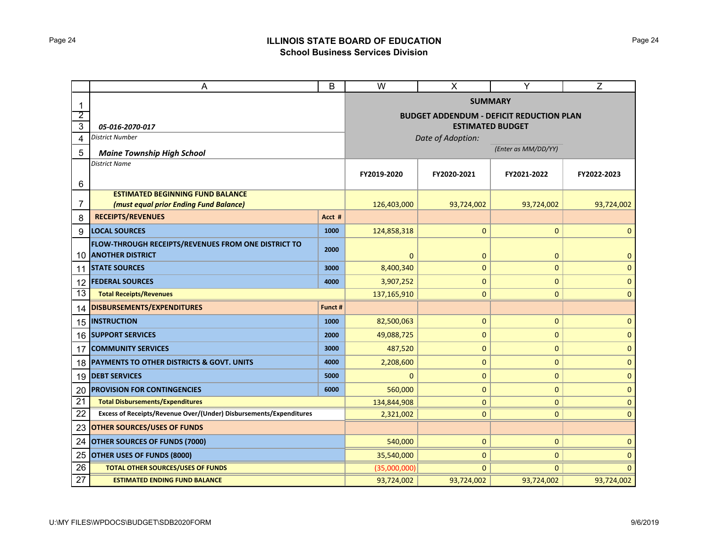# Page 24 **ILLINOIS STATE BOARD OF EDUCATION School Business Services Division**

|              | A                                                                  |         | $\overline{\mathsf{W}}$ | X                 | Y                                               | Z            |  |  |  |  |
|--------------|--------------------------------------------------------------------|---------|-------------------------|-------------------|-------------------------------------------------|--------------|--|--|--|--|
| $\mathbf{1}$ |                                                                    |         |                         |                   | <b>SUMMARY</b>                                  |              |  |  |  |  |
| 2            |                                                                    |         |                         |                   | <b>BUDGET ADDENDUM - DEFICIT REDUCTION PLAN</b> |              |  |  |  |  |
| 3            | 05-016-2070-017                                                    |         |                         |                   | <b>ESTIMATED BUDGET</b>                         |              |  |  |  |  |
| 4            | <b>District Number</b>                                             |         |                         | Date of Adoption: |                                                 |              |  |  |  |  |
| 5            | <b>Maine Township High School</b>                                  |         | (Enter as MM/DD/YY)     |                   |                                                 |              |  |  |  |  |
|              | <b>District Name</b>                                               |         |                         |                   |                                                 |              |  |  |  |  |
| 6            |                                                                    |         | FY2019-2020             | FY2020-2021       | FY2021-2022                                     | FY2022-2023  |  |  |  |  |
|              | <b>ESTIMATED BEGINNING FUND BALANCE</b>                            |         |                         |                   |                                                 |              |  |  |  |  |
| 7            | (must equal prior Ending Fund Balance)                             |         | 126,403,000             | 93,724,002        | 93,724,002                                      | 93,724,002   |  |  |  |  |
| 8            | <b>RECEIPTS/REVENUES</b>                                           | Acct #  |                         |                   |                                                 |              |  |  |  |  |
| 9            | <b>LOCAL SOURCES</b>                                               | 1000    | 124,858,318             | $\mathbf 0$       | 0                                               | $\mathbf{0}$ |  |  |  |  |
|              | FLOW-THROUGH RECEIPTS/REVENUES FROM ONE DISTRICT TO                | 2000    |                         |                   |                                                 |              |  |  |  |  |
| 10           | <b>ANOTHER DISTRICT</b>                                            |         | $\mathbf 0$             | $\mathbf 0$       | $\mathbf 0$                                     | $\mathbf{0}$ |  |  |  |  |
| 11           | <b>STATE SOURCES</b>                                               | 3000    | 8,400,340               | $\mathbf{0}$      | 0                                               | $\pmb{0}$    |  |  |  |  |
| 12           | <b>FEDERAL SOURCES</b>                                             | 4000    | 3,907,252               | $\mathbf 0$       | 0                                               | $\mathbf{0}$ |  |  |  |  |
| 13           | <b>Total Receipts/Revenues</b>                                     |         | 137,165,910             | $\mathbf{0}$      | $\mathbf{0}$                                    | $\mathbf{0}$ |  |  |  |  |
| 14           | DISBURSEMENTS/EXPENDITURES                                         | Funct # |                         |                   |                                                 |              |  |  |  |  |
| 15           | <b>INSTRUCTION</b>                                                 | 1000    | 82,500,063              | $\mathbf 0$       | $\mathbf 0$                                     | $\mathbf{0}$ |  |  |  |  |
| 16           | <b>SUPPORT SERVICES</b>                                            | 2000    | 49,088,725              | $\mathbf 0$       | $\mathbf 0$                                     | $\mathbf 0$  |  |  |  |  |
| 17           | <b>COMMUNITY SERVICES</b>                                          | 3000    | 487,520                 | $\mathbf 0$       | 0                                               | $\mathbf 0$  |  |  |  |  |
| 18           | PAYMENTS TO OTHER DISTRICTS & GOVT. UNITS                          | 4000    | 2,208,600               | $\pmb{0}$         | 0                                               | $\pmb{0}$    |  |  |  |  |
| 19           | <b>DEBT SERVICES</b>                                               | 5000    | 0                       | $\mathbf 0$       | 0                                               | $\mathbf{0}$ |  |  |  |  |
| 20           | <b>PROVISION FOR CONTINGENCIES</b>                                 | 6000    | 560,000                 | $\mathbf{0}$      | 0                                               | $\mathbf{0}$ |  |  |  |  |
| 21           | <b>Total Disbursements/Expenditures</b>                            |         | 134,844,908             | $\mathbf 0$       | $\mathbf{0}$                                    | $\mathbf 0$  |  |  |  |  |
| 22           | Excess of Receipts/Revenue Over/(Under) Disbursements/Expenditures |         | 2,321,002               | $\mathbf{0}$      | $\mathbf{0}$                                    | $\mathbf{0}$ |  |  |  |  |
| 23           | <b>OTHER SOURCES/USES OF FUNDS</b>                                 |         |                         |                   |                                                 |              |  |  |  |  |
| 24           | <b>OTHER SOURCES OF FUNDS (7000)</b>                               |         | 540,000                 | $\mathbf 0$       | $\mathbf{0}$                                    | $\mathbf 0$  |  |  |  |  |
| 25           | OTHER USES OF FUNDS (8000)                                         |         | 35,540,000              | $\mathbf 0$       | 0                                               | $\mathbf{0}$ |  |  |  |  |
| 26           | <b>TOTAL OTHER SOURCES/USES OF FUNDS</b>                           |         | (35,000,000)            | $\mathbf{0}$      | $\mathbf{0}$                                    | $\mathbf{0}$ |  |  |  |  |
| 27           | <b>ESTIMATED ENDING FUND BALANCE</b>                               |         | 93,724,002              | 93,724,002        | 93,724,002                                      | 93,724,002   |  |  |  |  |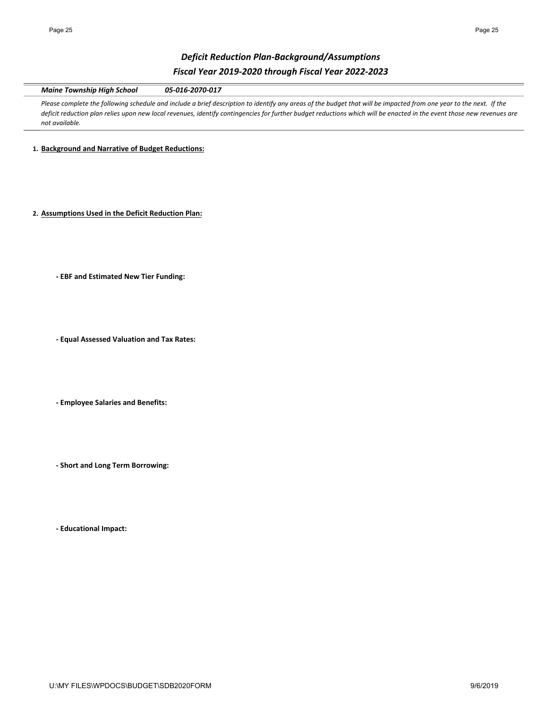# *Deficit Reduction Plan‐Background/Assumptions Fiscal Year 2019‐2020 through Fiscal Year 2022‐2023*

*Maine Township High School 05‐016‐2070‐017*

Please complete the following schedule and include a brief description to identify any areas of the budget that will be impacted from one year to the next. If the *deficit reduction plan relies upon new local revenues, identify contingencies for further budget reductions which will be enacted in the event those new revenues are not available.* 

**1. Background and Narrative of Budget Reductions:**

**2. Assumptions Used in the Deficit Reduction Plan:**

**‐ EBF and Estimated New Tier Funding:**

**‐ Equal Assessed Valuation and Tax Rates:**

**‐ Employee Salaries and Benefits:**

**‐ Short and Long Term Borrowing:**

**‐ Educational Impact:**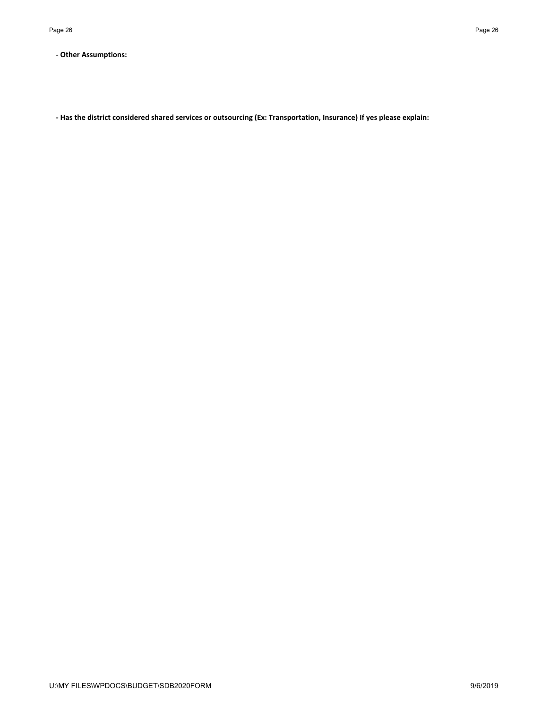**‐ Other Assumptions:**

**‐ Has the district considered shared services or outsourcing (Ex: Transportation, Insurance) If yes please explain:**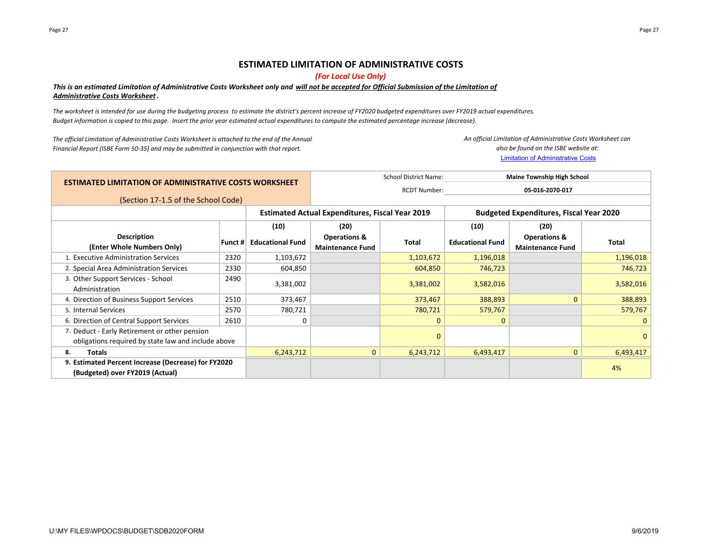### **ESTIMATED LIMITATION OF ADMINISTRATIVE COSTS**

*(For Local Use Only)*

### This is an estimated Limitation of Administrative Costs Worksheet only and will not be accepted for Official Submission of the Limitation of *Administrative Costs Worksheet.*

*The worksheet is intended for use during the budgeting process to estimate the district's percent increase of FY2020 budgeted expenditures over FY2019 actual expenditures. Budget information is copied to this page. Insert the prior year estimated actual expenditures to compute the estimated percentage increase (decrease).*

*The official Limitation of Administrative Costs Worksheet is attached to the end of the Annual Financial Report (ISBE Form 50‐35) and may be submitted in conjunction with that report.*

Limitation of Administrative Costs *An official Limitation of Administrative Costs Worksheet can also be found on the ISBE website at:*

| <b>ESTIMATED LIMITATION OF ADMINISTRATIVE COSTS WORKSHEET</b>                                        |         |                                                        |                                                    | <b>School District Name:</b> | <b>Maine Township High School</b>              |                                                    |              |
|------------------------------------------------------------------------------------------------------|---------|--------------------------------------------------------|----------------------------------------------------|------------------------------|------------------------------------------------|----------------------------------------------------|--------------|
|                                                                                                      |         |                                                        |                                                    | <b>RCDT Number:</b>          | 05-016-2070-017                                |                                                    |              |
| (Section 17-1.5 of the School Code)                                                                  |         |                                                        |                                                    |                              |                                                |                                                    |              |
|                                                                                                      |         | <b>Estimated Actual Expenditures, Fiscal Year 2019</b> |                                                    |                              | <b>Budgeted Expenditures, Fiscal Year 2020</b> |                                                    |              |
|                                                                                                      |         | (10)                                                   | (20)                                               |                              | (10)                                           | (20)                                               |              |
| <b>Description</b><br>(Enter Whole Numbers Only)                                                     | Funct # | <b>Educational Fund</b>                                | <b>Operations &amp;</b><br><b>Maintenance Fund</b> | <b>Total</b>                 | <b>Educational Fund</b>                        | <b>Operations &amp;</b><br><b>Maintenance Fund</b> | <b>Total</b> |
| 1. Executive Administration Services                                                                 | 2320    | 1,103,672                                              |                                                    | 1,103,672                    | 1,196,018                                      |                                                    | 1,196,018    |
| 2. Special Area Administration Services                                                              | 2330    | 604,850                                                |                                                    | 604,850                      | 746,723                                        |                                                    | 746,723      |
| 3. Other Support Services - School<br>Administration                                                 | 2490    | 3,381,002                                              |                                                    | 3,381,002                    | 3,582,016                                      |                                                    | 3,582,016    |
| 4. Direction of Business Support Services                                                            | 2510    | 373,467                                                |                                                    | 373,467                      | 388,893                                        | $\mathbf{0}$                                       | 388,893      |
| 5. Internal Services                                                                                 | 2570    | 780,721                                                |                                                    | 780,721                      | 579,767                                        |                                                    | 579,767      |
| 6. Direction of Central Support Services                                                             | 2610    | $\Omega$                                               |                                                    | $\mathbf{0}$                 | $\mathbf{0}$                                   |                                                    | 0            |
| 7. Deduct - Early Retirement or other pension<br>obligations required by state law and include above |         |                                                        |                                                    | $\mathbf{0}$                 |                                                |                                                    | $\Omega$     |
| Totals<br>8.                                                                                         |         | 6,243,712                                              | $\mathbf{0}$                                       | 6,243,712                    | 6,493,417                                      | $\mathbf{0}$                                       | 6,493,417    |
| 9. Estimated Percent Increase (Decrease) for FY2020<br>(Budgeted) over FY2019 (Actual)               |         |                                                        |                                                    |                              |                                                |                                                    | 4%           |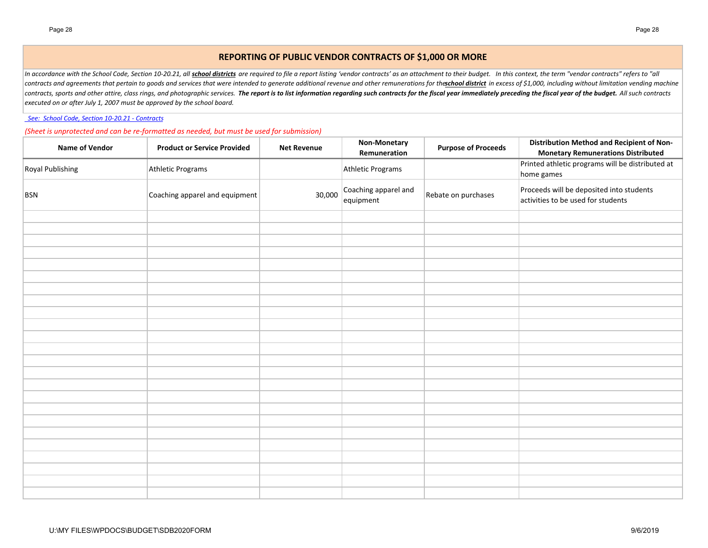## **REPORTING OF PUBLIC VENDOR CONTRACTS OF \$1,000 OR MORE**

In accordance with the School Code, Section 10-20.21, all school districts are required to file a report listing 'vendor contracts' as an attachment to their budget. In this context, the term "vendor contracts" refers to " contracts and agreements that pertain to goods and services that were intended to generate additional revenue and other remunerations for theschool district in excess of \$1,000, including without limitation vending machine contracts, sports and other attire, class rings, and photographic services. The report is to list information regarding such contracts for the fiscal year immediately preceding the fiscal year of the budget. All such contr *executed on or after July 1, 2007 must be approved by the school board.*

 *See: School Code, Section 10‐20.21 ‐ Contracts*

*(Sheet is unprotected and can be re‐formatted as needed, but must be used for submission)*

| Name of Vendor   | <b>Product or Service Provided</b> | <b>Net Revenue</b> | Non-Monetary<br>Remuneration      | <b>Purpose of Proceeds</b> | <b>Distribution Method and Recipient of Non-</b><br><b>Monetary Remunerations Distributed</b> |
|------------------|------------------------------------|--------------------|-----------------------------------|----------------------------|-----------------------------------------------------------------------------------------------|
| Royal Publishing | Athletic Programs                  |                    | Athletic Programs                 |                            | Printed athletic programs will be distributed at<br>home games                                |
| <b>BSN</b>       | Coaching apparel and equipment     | 30,000             | Coaching apparel and<br>equipment | Rebate on purchases        | Proceeds will be deposited into students<br>activities to be used for students                |
|                  |                                    |                    |                                   |                            |                                                                                               |
|                  |                                    |                    |                                   |                            |                                                                                               |
|                  |                                    |                    |                                   |                            |                                                                                               |
|                  |                                    |                    |                                   |                            |                                                                                               |
|                  |                                    |                    |                                   |                            |                                                                                               |
|                  |                                    |                    |                                   |                            |                                                                                               |
|                  |                                    |                    |                                   |                            |                                                                                               |
|                  |                                    |                    |                                   |                            |                                                                                               |
|                  |                                    |                    |                                   |                            |                                                                                               |
|                  |                                    |                    |                                   |                            |                                                                                               |
|                  |                                    |                    |                                   |                            |                                                                                               |
|                  |                                    |                    |                                   |                            |                                                                                               |
|                  |                                    |                    |                                   |                            |                                                                                               |
|                  |                                    |                    |                                   |                            |                                                                                               |
|                  |                                    |                    |                                   |                            |                                                                                               |
|                  |                                    |                    |                                   |                            |                                                                                               |
|                  |                                    |                    |                                   |                            |                                                                                               |
|                  |                                    |                    |                                   |                            |                                                                                               |
|                  |                                    |                    |                                   |                            |                                                                                               |
|                  |                                    |                    |                                   |                            |                                                                                               |
|                  |                                    |                    |                                   |                            |                                                                                               |
|                  |                                    |                    |                                   |                            |                                                                                               |